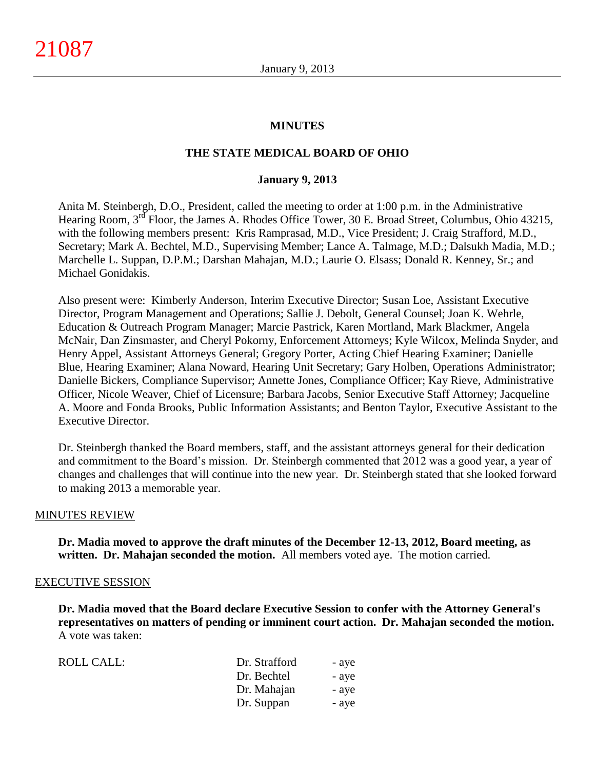### **MINUTES**

### **THE STATE MEDICAL BOARD OF OHIO**

#### **January 9, 2013**

Anita M. Steinbergh, D.O., President, called the meeting to order at 1:00 p.m. in the Administrative Hearing Room, 3<sup>rd</sup> Floor, the James A. Rhodes Office Tower, 30 E. Broad Street, Columbus, Ohio 43215, with the following members present: Kris Ramprasad, M.D., Vice President; J. Craig Strafford, M.D., Secretary; Mark A. Bechtel, M.D., Supervising Member; Lance A. Talmage, M.D.; Dalsukh Madia, M.D.; Marchelle L. Suppan, D.P.M.; Darshan Mahajan, M.D.; Laurie O. Elsass; Donald R. Kenney, Sr.; and Michael Gonidakis.

Also present were: Kimberly Anderson, Interim Executive Director; Susan Loe, Assistant Executive Director, Program Management and Operations; Sallie J. Debolt, General Counsel; Joan K. Wehrle, Education & Outreach Program Manager; Marcie Pastrick, Karen Mortland, Mark Blackmer, Angela McNair, Dan Zinsmaster, and Cheryl Pokorny, Enforcement Attorneys; Kyle Wilcox, Melinda Snyder, and Henry Appel, Assistant Attorneys General; Gregory Porter, Acting Chief Hearing Examiner; Danielle Blue, Hearing Examiner; Alana Noward, Hearing Unit Secretary; Gary Holben, Operations Administrator; Danielle Bickers, Compliance Supervisor; Annette Jones, Compliance Officer; Kay Rieve, Administrative Officer, Nicole Weaver, Chief of Licensure; Barbara Jacobs, Senior Executive Staff Attorney; Jacqueline A. Moore and Fonda Brooks, Public Information Assistants; and Benton Taylor, Executive Assistant to the Executive Director.

Dr. Steinbergh thanked the Board members, staff, and the assistant attorneys general for their dedication and commitment to the Board's mission. Dr. Steinbergh commented that 2012 was a good year, a year of changes and challenges that will continue into the new year. Dr. Steinbergh stated that she looked forward to making 2013 a memorable year.

#### MINUTES REVIEW

**Dr. Madia moved to approve the draft minutes of the December 12-13, 2012, Board meeting, as written. Dr. Mahajan seconded the motion.** All members voted aye. The motion carried.

#### EXECUTIVE SESSION

**Dr. Madia moved that the Board declare Executive Session to confer with the Attorney General's representatives on matters of pending or imminent court action. Dr. Mahajan seconded the motion.** A vote was taken:

| <b>ROLL CALL:</b> | Dr. Strafford | - aye |
|-------------------|---------------|-------|
|                   | Dr. Bechtel   | - aye |
|                   | Dr. Mahajan   | - aye |
|                   | Dr. Suppan    | - aye |
|                   |               |       |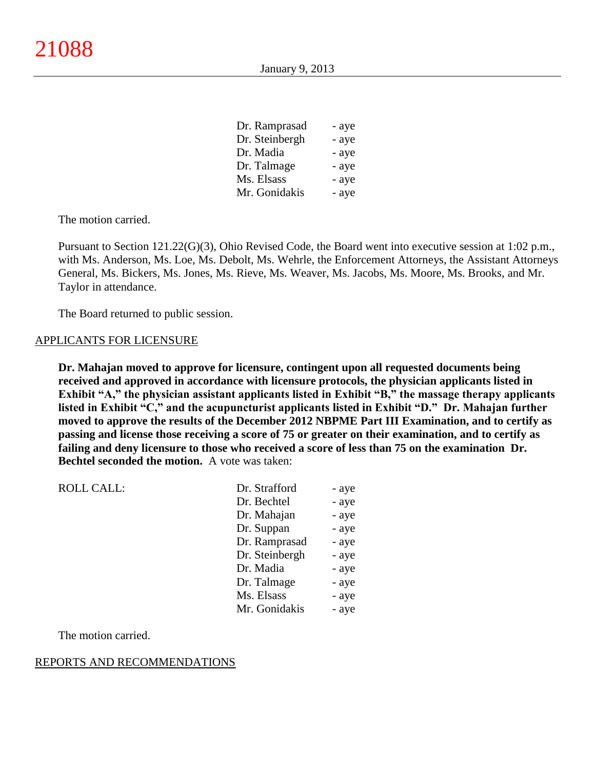| Dr. Ramprasad  | - aye |
|----------------|-------|
| Dr. Steinbergh | - aye |
| Dr. Madia      | - aye |
| Dr. Talmage    | - aye |
| Ms. Elsass     | - aye |
| Mr. Gonidakis  | - aye |

The motion carried.

Pursuant to Section 121.22(G)(3), Ohio Revised Code, the Board went into executive session at 1:02 p.m., with Ms. Anderson, Ms. Loe, Ms. Debolt, Ms. Wehrle, the Enforcement Attorneys, the Assistant Attorneys General, Ms. Bickers, Ms. Jones, Ms. Rieve, Ms. Weaver, Ms. Jacobs, Ms. Moore, Ms. Brooks, and Mr. Taylor in attendance.

The Board returned to public session.

#### APPLICANTS FOR LICENSURE

**Dr. Mahajan moved to approve for licensure, contingent upon all requested documents being received and approved in accordance with licensure protocols, the physician applicants listed in Exhibit "A," the physician assistant applicants listed in Exhibit "B," the massage therapy applicants listed in Exhibit "C," and the acupuncturist applicants listed in Exhibit "D." Dr. Mahajan further moved to approve the results of the December 2012 NBPME Part III Examination, and to certify as passing and license those receiving a score of 75 or greater on their examination, and to certify as failing and deny licensure to those who received a score of less than 75 on the examination Dr. Bechtel seconded the motion.** A vote was taken:

| <b>ROLL CALL:</b> | Dr. Strafford  | - aye |
|-------------------|----------------|-------|
|                   | Dr. Bechtel    | - aye |
|                   | Dr. Mahajan    | - aye |
|                   | Dr. Suppan     | - aye |
|                   | Dr. Ramprasad  | - aye |
|                   | Dr. Steinbergh | - aye |
|                   | Dr. Madia      | - aye |
|                   | Dr. Talmage    | - aye |
|                   | Ms. Elsass     | - aye |
|                   | Mr. Gonidakis  | - aye |

The motion carried.

#### REPORTS AND RECOMMENDATIONS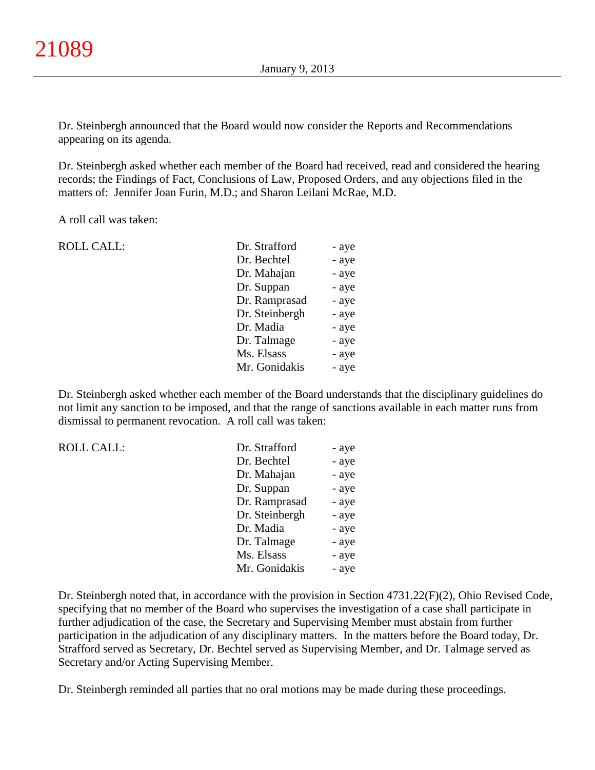Dr. Steinbergh announced that the Board would now consider the Reports and Recommendations appearing on its agenda.

Dr. Steinbergh asked whether each member of the Board had received, read and considered the hearing records; the Findings of Fact, Conclusions of Law, Proposed Orders, and any objections filed in the matters of: Jennifer Joan Furin, M.D.; and Sharon Leilani McRae, M.D.

A roll call was taken:

| <b>ROLL CALL:</b> | Dr. Strafford  | - aye |
|-------------------|----------------|-------|
|                   | Dr. Bechtel    | - aye |
|                   | Dr. Mahajan    | - aye |
|                   | Dr. Suppan     | - aye |
|                   | Dr. Ramprasad  | - aye |
|                   | Dr. Steinbergh | - aye |
|                   | Dr. Madia      | - aye |
|                   | Dr. Talmage    | - aye |
|                   | Ms. Elsass     | - aye |
|                   | Mr. Gonidakis  | - aye |
|                   |                |       |

Dr. Steinbergh asked whether each member of the Board understands that the disciplinary guidelines do not limit any sanction to be imposed, and that the range of sanctions available in each matter runs from dismissal to permanent revocation. A roll call was taken:

| <b>ROLL CALL:</b> | Dr. Strafford  | - aye |
|-------------------|----------------|-------|
|                   | Dr. Bechtel    | - aye |
|                   | Dr. Mahajan    | - aye |
|                   | Dr. Suppan     | - aye |
|                   | Dr. Ramprasad  | - aye |
|                   | Dr. Steinbergh | - aye |
|                   | Dr. Madia      | - aye |
|                   | Dr. Talmage    | - aye |
|                   | Ms. Elsass     | - aye |
|                   | Mr. Gonidakis  | - aye |
|                   |                |       |

Dr. Steinbergh noted that, in accordance with the provision in Section 4731.22(F)(2), Ohio Revised Code, specifying that no member of the Board who supervises the investigation of a case shall participate in further adjudication of the case, the Secretary and Supervising Member must abstain from further participation in the adjudication of any disciplinary matters. In the matters before the Board today, Dr. Strafford served as Secretary, Dr. Bechtel served as Supervising Member, and Dr. Talmage served as Secretary and/or Acting Supervising Member.

Dr. Steinbergh reminded all parties that no oral motions may be made during these proceedings.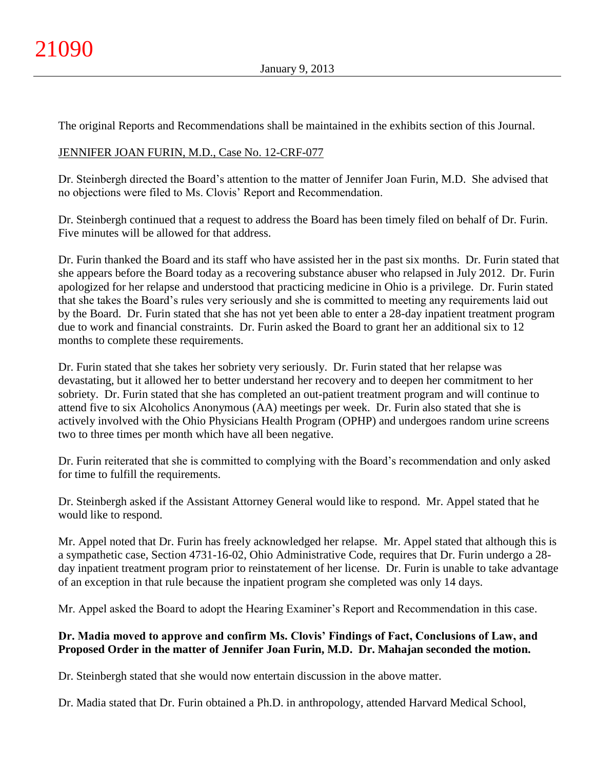The original Reports and Recommendations shall be maintained in the exhibits section of this Journal.

## JENNIFER JOAN FURIN, M.D., Case No. 12-CRF-077

Dr. Steinbergh directed the Board's attention to the matter of Jennifer Joan Furin, M.D. She advised that no objections were filed to Ms. Clovis' Report and Recommendation.

Dr. Steinbergh continued that a request to address the Board has been timely filed on behalf of Dr. Furin. Five minutes will be allowed for that address.

Dr. Furin thanked the Board and its staff who have assisted her in the past six months. Dr. Furin stated that she appears before the Board today as a recovering substance abuser who relapsed in July 2012. Dr. Furin apologized for her relapse and understood that practicing medicine in Ohio is a privilege. Dr. Furin stated that she takes the Board's rules very seriously and she is committed to meeting any requirements laid out by the Board. Dr. Furin stated that she has not yet been able to enter a 28-day inpatient treatment program due to work and financial constraints. Dr. Furin asked the Board to grant her an additional six to 12 months to complete these requirements.

Dr. Furin stated that she takes her sobriety very seriously. Dr. Furin stated that her relapse was devastating, but it allowed her to better understand her recovery and to deepen her commitment to her sobriety. Dr. Furin stated that she has completed an out-patient treatment program and will continue to attend five to six Alcoholics Anonymous (AA) meetings per week. Dr. Furin also stated that she is actively involved with the Ohio Physicians Health Program (OPHP) and undergoes random urine screens two to three times per month which have all been negative.

Dr. Furin reiterated that she is committed to complying with the Board's recommendation and only asked for time to fulfill the requirements.

Dr. Steinbergh asked if the Assistant Attorney General would like to respond. Mr. Appel stated that he would like to respond.

Mr. Appel noted that Dr. Furin has freely acknowledged her relapse. Mr. Appel stated that although this is a sympathetic case, Section 4731-16-02, Ohio Administrative Code, requires that Dr. Furin undergo a 28 day inpatient treatment program prior to reinstatement of her license. Dr. Furin is unable to take advantage of an exception in that rule because the inpatient program she completed was only 14 days.

Mr. Appel asked the Board to adopt the Hearing Examiner's Report and Recommendation in this case.

## **Dr. Madia moved to approve and confirm Ms. Clovis' Findings of Fact, Conclusions of Law, and Proposed Order in the matter of Jennifer Joan Furin, M.D. Dr. Mahajan seconded the motion.**

Dr. Steinbergh stated that she would now entertain discussion in the above matter.

Dr. Madia stated that Dr. Furin obtained a Ph.D. in anthropology, attended Harvard Medical School,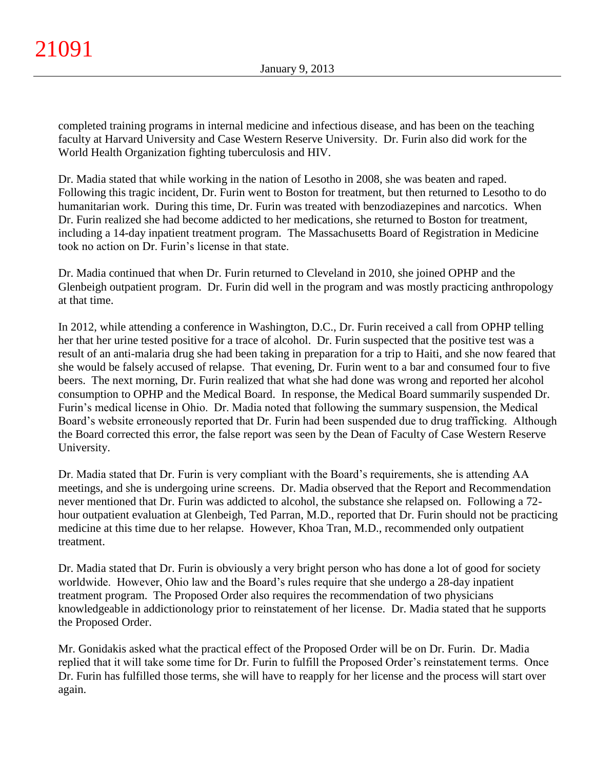completed training programs in internal medicine and infectious disease, and has been on the teaching faculty at Harvard University and Case Western Reserve University. Dr. Furin also did work for the World Health Organization fighting tuberculosis and HIV.

Dr. Madia stated that while working in the nation of Lesotho in 2008, she was beaten and raped. Following this tragic incident, Dr. Furin went to Boston for treatment, but then returned to Lesotho to do humanitarian work. During this time, Dr. Furin was treated with benzodiazepines and narcotics. When Dr. Furin realized she had become addicted to her medications, she returned to Boston for treatment, including a 14-day inpatient treatment program. The Massachusetts Board of Registration in Medicine took no action on Dr. Furin's license in that state.

Dr. Madia continued that when Dr. Furin returned to Cleveland in 2010, she joined OPHP and the Glenbeigh outpatient program. Dr. Furin did well in the program and was mostly practicing anthropology at that time.

In 2012, while attending a conference in Washington, D.C., Dr. Furin received a call from OPHP telling her that her urine tested positive for a trace of alcohol. Dr. Furin suspected that the positive test was a result of an anti-malaria drug she had been taking in preparation for a trip to Haiti, and she now feared that she would be falsely accused of relapse. That evening, Dr. Furin went to a bar and consumed four to five beers. The next morning, Dr. Furin realized that what she had done was wrong and reported her alcohol consumption to OPHP and the Medical Board. In response, the Medical Board summarily suspended Dr. Furin's medical license in Ohio. Dr. Madia noted that following the summary suspension, the Medical Board's website erroneously reported that Dr. Furin had been suspended due to drug trafficking. Although the Board corrected this error, the false report was seen by the Dean of Faculty of Case Western Reserve University.

Dr. Madia stated that Dr. Furin is very compliant with the Board's requirements, she is attending AA meetings, and she is undergoing urine screens. Dr. Madia observed that the Report and Recommendation never mentioned that Dr. Furin was addicted to alcohol, the substance she relapsed on. Following a 72 hour outpatient evaluation at Glenbeigh, Ted Parran, M.D., reported that Dr. Furin should not be practicing medicine at this time due to her relapse. However, Khoa Tran, M.D., recommended only outpatient treatment.

Dr. Madia stated that Dr. Furin is obviously a very bright person who has done a lot of good for society worldwide. However, Ohio law and the Board's rules require that she undergo a 28-day inpatient treatment program. The Proposed Order also requires the recommendation of two physicians knowledgeable in addictionology prior to reinstatement of her license. Dr. Madia stated that he supports the Proposed Order.

Mr. Gonidakis asked what the practical effect of the Proposed Order will be on Dr. Furin. Dr. Madia replied that it will take some time for Dr. Furin to fulfill the Proposed Order's reinstatement terms. Once Dr. Furin has fulfilled those terms, she will have to reapply for her license and the process will start over again.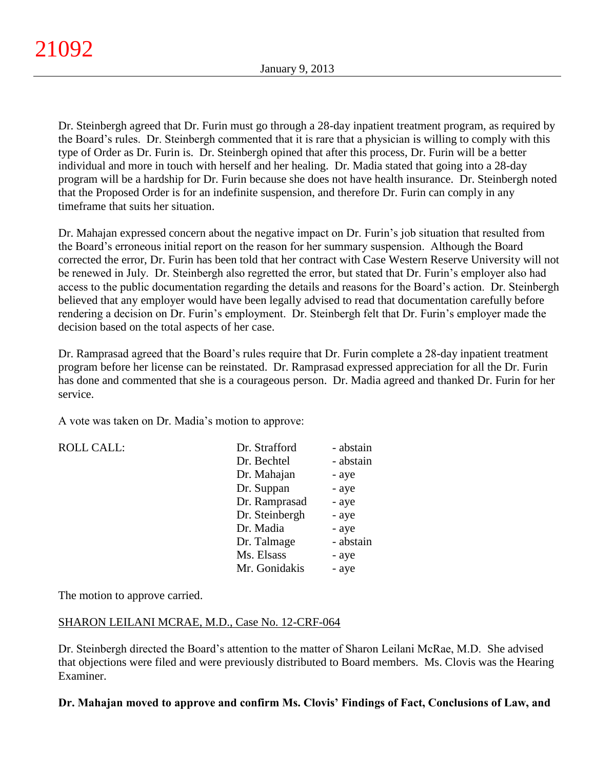Dr. Steinbergh agreed that Dr. Furin must go through a 28-day inpatient treatment program, as required by the Board's rules. Dr. Steinbergh commented that it is rare that a physician is willing to comply with this type of Order as Dr. Furin is. Dr. Steinbergh opined that after this process, Dr. Furin will be a better individual and more in touch with herself and her healing. Dr. Madia stated that going into a 28-day program will be a hardship for Dr. Furin because she does not have health insurance. Dr. Steinbergh noted that the Proposed Order is for an indefinite suspension, and therefore Dr. Furin can comply in any timeframe that suits her situation.

Dr. Mahajan expressed concern about the negative impact on Dr. Furin's job situation that resulted from the Board's erroneous initial report on the reason for her summary suspension. Although the Board corrected the error, Dr. Furin has been told that her contract with Case Western Reserve University will not be renewed in July. Dr. Steinbergh also regretted the error, but stated that Dr. Furin's employer also had access to the public documentation regarding the details and reasons for the Board's action. Dr. Steinbergh believed that any employer would have been legally advised to read that documentation carefully before rendering a decision on Dr. Furin's employment. Dr. Steinbergh felt that Dr. Furin's employer made the decision based on the total aspects of her case.

Dr. Ramprasad agreed that the Board's rules require that Dr. Furin complete a 28-day inpatient treatment program before her license can be reinstated. Dr. Ramprasad expressed appreciation for all the Dr. Furin has done and commented that she is a courageous person. Dr. Madia agreed and thanked Dr. Furin for her service.

A vote was taken on Dr. Madia's motion to approve:

 $ROLL CALL$ :

| Dr. Strafford  | - abstain |
|----------------|-----------|
| Dr. Bechtel    | - abstain |
| Dr. Mahajan    | - aye     |
| Dr. Suppan     | - aye     |
| Dr. Ramprasad  | - aye     |
| Dr. Steinbergh | - aye     |
| Dr. Madia      | - aye     |
| Dr. Talmage    | - abstain |
| Ms. Elsass     | - aye     |
| Mr. Gonidakis  | - aye     |

The motion to approve carried.

### SHARON LEILANI MCRAE, M.D., Case No. 12-CRF-064

Dr. Steinbergh directed the Board's attention to the matter of Sharon Leilani McRae, M.D. She advised that objections were filed and were previously distributed to Board members. Ms. Clovis was the Hearing Examiner.

**Dr. Mahajan moved to approve and confirm Ms. Clovis' Findings of Fact, Conclusions of Law, and**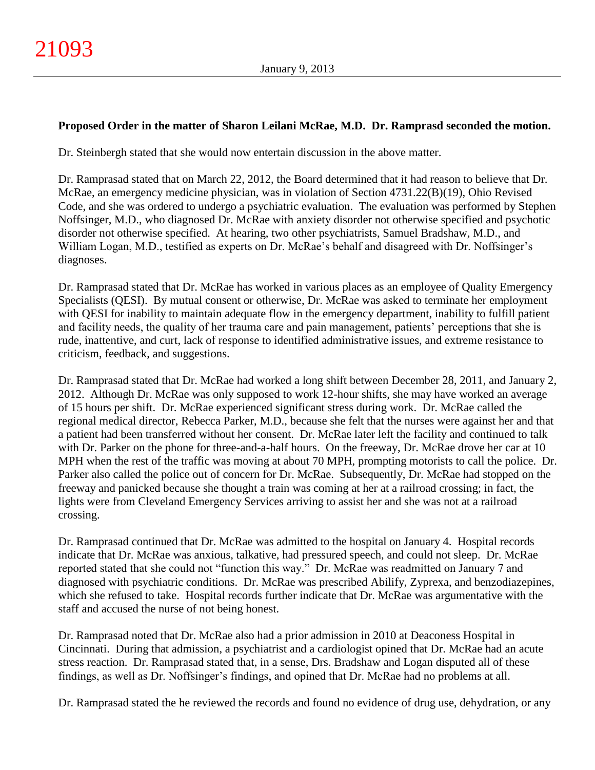## **Proposed Order in the matter of Sharon Leilani McRae, M.D. Dr. Ramprasd seconded the motion.**

Dr. Steinbergh stated that she would now entertain discussion in the above matter.

Dr. Ramprasad stated that on March 22, 2012, the Board determined that it had reason to believe that Dr. McRae, an emergency medicine physician, was in violation of Section 4731.22(B)(19), Ohio Revised Code, and she was ordered to undergo a psychiatric evaluation. The evaluation was performed by Stephen Noffsinger, M.D., who diagnosed Dr. McRae with anxiety disorder not otherwise specified and psychotic disorder not otherwise specified. At hearing, two other psychiatrists, Samuel Bradshaw, M.D., and William Logan, M.D., testified as experts on Dr. McRae's behalf and disagreed with Dr. Noffsinger's diagnoses.

Dr. Ramprasad stated that Dr. McRae has worked in various places as an employee of Quality Emergency Specialists (QESI). By mutual consent or otherwise, Dr. McRae was asked to terminate her employment with QESI for inability to maintain adequate flow in the emergency department, inability to fulfill patient and facility needs, the quality of her trauma care and pain management, patients' perceptions that she is rude, inattentive, and curt, lack of response to identified administrative issues, and extreme resistance to criticism, feedback, and suggestions.

Dr. Ramprasad stated that Dr. McRae had worked a long shift between December 28, 2011, and January 2, 2012. Although Dr. McRae was only supposed to work 12-hour shifts, she may have worked an average of 15 hours per shift. Dr. McRae experienced significant stress during work. Dr. McRae called the regional medical director, Rebecca Parker, M.D., because she felt that the nurses were against her and that a patient had been transferred without her consent. Dr. McRae later left the facility and continued to talk with Dr. Parker on the phone for three-and-a-half hours. On the freeway, Dr. McRae drove her car at 10 MPH when the rest of the traffic was moving at about 70 MPH, prompting motorists to call the police. Dr. Parker also called the police out of concern for Dr. McRae. Subsequently, Dr. McRae had stopped on the freeway and panicked because she thought a train was coming at her at a railroad crossing; in fact, the lights were from Cleveland Emergency Services arriving to assist her and she was not at a railroad crossing.

Dr. Ramprasad continued that Dr. McRae was admitted to the hospital on January 4. Hospital records indicate that Dr. McRae was anxious, talkative, had pressured speech, and could not sleep. Dr. McRae reported stated that she could not "function this way." Dr. McRae was readmitted on January 7 and diagnosed with psychiatric conditions. Dr. McRae was prescribed Abilify, Zyprexa, and benzodiazepines, which she refused to take. Hospital records further indicate that Dr. McRae was argumentative with the staff and accused the nurse of not being honest.

Dr. Ramprasad noted that Dr. McRae also had a prior admission in 2010 at Deaconess Hospital in Cincinnati. During that admission, a psychiatrist and a cardiologist opined that Dr. McRae had an acute stress reaction. Dr. Ramprasad stated that, in a sense, Drs. Bradshaw and Logan disputed all of these findings, as well as Dr. Noffsinger's findings, and opined that Dr. McRae had no problems at all.

Dr. Ramprasad stated the he reviewed the records and found no evidence of drug use, dehydration, or any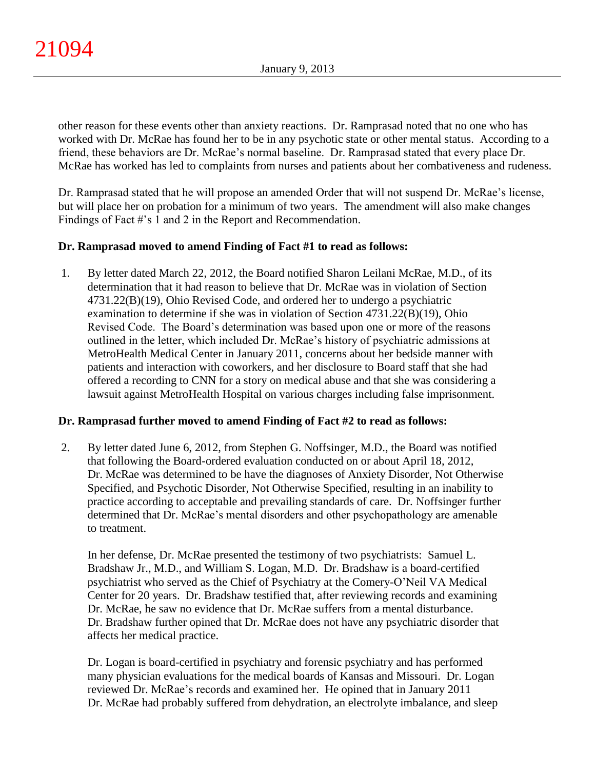other reason for these events other than anxiety reactions. Dr. Ramprasad noted that no one who has worked with Dr. McRae has found her to be in any psychotic state or other mental status. According to a friend, these behaviors are Dr. McRae's normal baseline. Dr. Ramprasad stated that every place Dr. McRae has worked has led to complaints from nurses and patients about her combativeness and rudeness.

Dr. Ramprasad stated that he will propose an amended Order that will not suspend Dr. McRae's license, but will place her on probation for a minimum of two years. The amendment will also make changes Findings of Fact #'s 1 and 2 in the Report and Recommendation.

## **Dr. Ramprasad moved to amend Finding of Fact #1 to read as follows:**

1. By letter dated March 22, 2012, the Board notified Sharon Leilani McRae, M.D., of its determination that it had reason to believe that Dr. McRae was in violation of Section 4731.22(B)(19), Ohio Revised Code, and ordered her to undergo a psychiatric examination to determine if she was in violation of Section 4731.22(B)(19), Ohio Revised Code. The Board's determination was based upon one or more of the reasons outlined in the letter, which included Dr. McRae's history of psychiatric admissions at MetroHealth Medical Center in January 2011, concerns about her bedside manner with patients and interaction with coworkers, and her disclosure to Board staff that she had offered a recording to CNN for a story on medical abuse and that she was considering a lawsuit against MetroHealth Hospital on various charges including false imprisonment.

### **Dr. Ramprasad further moved to amend Finding of Fact #2 to read as follows:**

2. By letter dated June 6, 2012, from Stephen G. Noffsinger, M.D., the Board was notified that following the Board-ordered evaluation conducted on or about April 18, 2012, Dr. McRae was determined to be have the diagnoses of Anxiety Disorder, Not Otherwise Specified, and Psychotic Disorder, Not Otherwise Specified, resulting in an inability to practice according to acceptable and prevailing standards of care. Dr. Noffsinger further determined that Dr. McRae's mental disorders and other psychopathology are amenable to treatment.

In her defense, Dr. McRae presented the testimony of two psychiatrists: Samuel L. Bradshaw Jr., M.D., and William S. Logan, M.D. Dr. Bradshaw is a board-certified psychiatrist who served as the Chief of Psychiatry at the Comery-O'Neil VA Medical Center for 20 years. Dr. Bradshaw testified that, after reviewing records and examining Dr. McRae, he saw no evidence that Dr. McRae suffers from a mental disturbance. Dr. Bradshaw further opined that Dr. McRae does not have any psychiatric disorder that affects her medical practice.

Dr. Logan is board-certified in psychiatry and forensic psychiatry and has performed many physician evaluations for the medical boards of Kansas and Missouri. Dr. Logan reviewed Dr. McRae's records and examined her. He opined that in January 2011 Dr. McRae had probably suffered from dehydration, an electrolyte imbalance, and sleep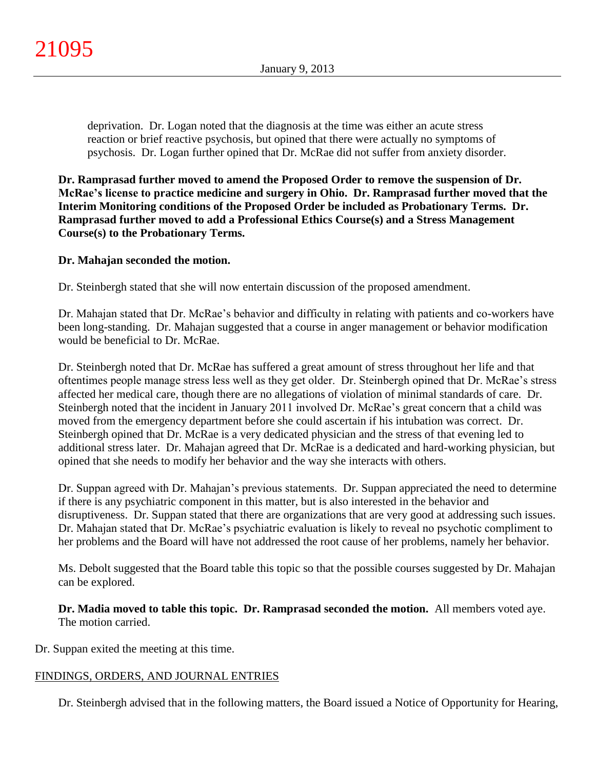deprivation. Dr. Logan noted that the diagnosis at the time was either an acute stress reaction or brief reactive psychosis, but opined that there were actually no symptoms of psychosis. Dr. Logan further opined that Dr. McRae did not suffer from anxiety disorder.

**Dr. Ramprasad further moved to amend the Proposed Order to remove the suspension of Dr. McRae's license to practice medicine and surgery in Ohio. Dr. Ramprasad further moved that the Interim Monitoring conditions of the Proposed Order be included as Probationary Terms. Dr. Ramprasad further moved to add a Professional Ethics Course(s) and a Stress Management Course(s) to the Probationary Terms.**

## **Dr. Mahajan seconded the motion.**

Dr. Steinbergh stated that she will now entertain discussion of the proposed amendment.

Dr. Mahajan stated that Dr. McRae's behavior and difficulty in relating with patients and co-workers have been long-standing. Dr. Mahajan suggested that a course in anger management or behavior modification would be beneficial to Dr. McRae.

Dr. Steinbergh noted that Dr. McRae has suffered a great amount of stress throughout her life and that oftentimes people manage stress less well as they get older. Dr. Steinbergh opined that Dr. McRae's stress affected her medical care, though there are no allegations of violation of minimal standards of care. Dr. Steinbergh noted that the incident in January 2011 involved Dr. McRae's great concern that a child was moved from the emergency department before she could ascertain if his intubation was correct. Dr. Steinbergh opined that Dr. McRae is a very dedicated physician and the stress of that evening led to additional stress later. Dr. Mahajan agreed that Dr. McRae is a dedicated and hard-working physician, but opined that she needs to modify her behavior and the way she interacts with others.

Dr. Suppan agreed with Dr. Mahajan's previous statements. Dr. Suppan appreciated the need to determine if there is any psychiatric component in this matter, but is also interested in the behavior and disruptiveness. Dr. Suppan stated that there are organizations that are very good at addressing such issues. Dr. Mahajan stated that Dr. McRae's psychiatric evaluation is likely to reveal no psychotic compliment to her problems and the Board will have not addressed the root cause of her problems, namely her behavior.

Ms. Debolt suggested that the Board table this topic so that the possible courses suggested by Dr. Mahajan can be explored.

**Dr. Madia moved to table this topic. Dr. Ramprasad seconded the motion.** All members voted aye. The motion carried.

Dr. Suppan exited the meeting at this time.

## FINDINGS, ORDERS, AND JOURNAL ENTRIES

Dr. Steinbergh advised that in the following matters, the Board issued a Notice of Opportunity for Hearing,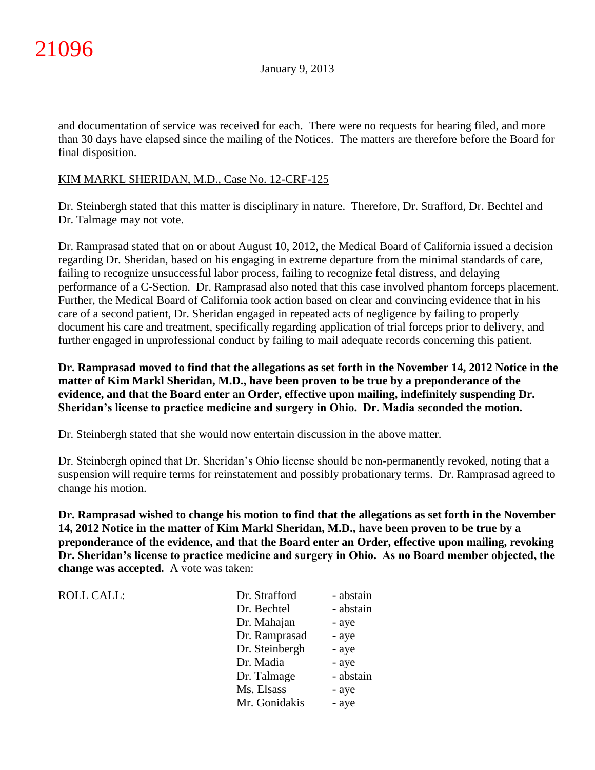ROLL CALL:

and documentation of service was received for each. There were no requests for hearing filed, and more than 30 days have elapsed since the mailing of the Notices.The matters are therefore before the Board for final disposition.

## KIM MARKL SHERIDAN, M.D., Case No. 12-CRF-125

Dr. Steinbergh stated that this matter is disciplinary in nature. Therefore, Dr. Strafford, Dr. Bechtel and Dr. Talmage may not vote.

Dr. Ramprasad stated that on or about August 10, 2012, the Medical Board of California issued a decision regarding Dr. Sheridan, based on his engaging in extreme departure from the minimal standards of care, failing to recognize unsuccessful labor process, failing to recognize fetal distress, and delaying performance of a C-Section. Dr. Ramprasad also noted that this case involved phantom forceps placement. Further, the Medical Board of California took action based on clear and convincing evidence that in his care of a second patient, Dr. Sheridan engaged in repeated acts of negligence by failing to properly document his care and treatment, specifically regarding application of trial forceps prior to delivery, and further engaged in unprofessional conduct by failing to mail adequate records concerning this patient.

**Dr. Ramprasad moved to find that the allegations as set forth in the November 14, 2012 Notice in the matter of Kim Markl Sheridan, M.D., have been proven to be true by a preponderance of the evidence, and that the Board enter an Order, effective upon mailing, indefinitely suspending Dr. Sheridan's license to practice medicine and surgery in Ohio. Dr. Madia seconded the motion.**

Dr. Steinbergh stated that she would now entertain discussion in the above matter.

Dr. Steinbergh opined that Dr. Sheridan's Ohio license should be non-permanently revoked, noting that a suspension will require terms for reinstatement and possibly probationary terms. Dr. Ramprasad agreed to change his motion.

**Dr. Ramprasad wished to change his motion to find that the allegations as set forth in the November 14, 2012 Notice in the matter of Kim Markl Sheridan, M.D., have been proven to be true by a preponderance of the evidence, and that the Board enter an Order, effective upon mailing, revoking Dr. Sheridan's license to practice medicine and surgery in Ohio. As no Board member objected, the change was accepted.** A vote was taken:

| Dr. Strafford  | - abstain |
|----------------|-----------|
| Dr. Bechtel    | - abstain |
| Dr. Mahajan    | - aye     |
| Dr. Ramprasad  | - aye     |
| Dr. Steinbergh | - aye     |
| Dr. Madia      | - aye     |
| Dr. Talmage    | - abstain |
| Ms. Elsass     | - aye     |
| Mr. Gonidakis  | - aye     |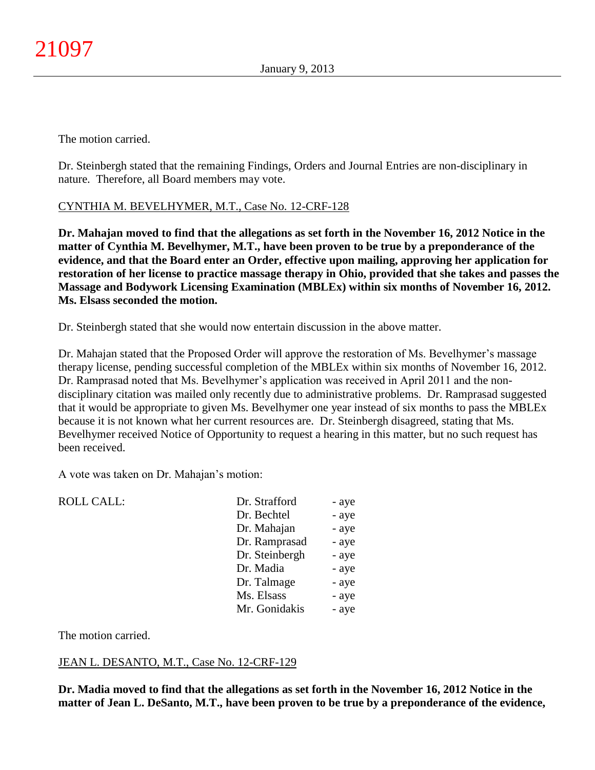The motion carried.

Dr. Steinbergh stated that the remaining Findings, Orders and Journal Entries are non-disciplinary in nature. Therefore, all Board members may vote.

# CYNTHIA M. BEVELHYMER, M.T., Case No. 12-CRF-128

**Dr. Mahajan moved to find that the allegations as set forth in the November 16, 2012 Notice in the matter of Cynthia M. Bevelhymer, M.T., have been proven to be true by a preponderance of the evidence, and that the Board enter an Order, effective upon mailing, approving her application for restoration of her license to practice massage therapy in Ohio, provided that she takes and passes the Massage and Bodywork Licensing Examination (MBLEx) within six months of November 16, 2012. Ms. Elsass seconded the motion.**

Dr. Steinbergh stated that she would now entertain discussion in the above matter.

Dr. Mahajan stated that the Proposed Order will approve the restoration of Ms. Bevelhymer's massage therapy license, pending successful completion of the MBLEx within six months of November 16, 2012. Dr. Ramprasad noted that Ms. Bevelhymer's application was received in April 2011 and the nondisciplinary citation was mailed only recently due to administrative problems. Dr. Ramprasad suggested that it would be appropriate to given Ms. Bevelhymer one year instead of six months to pass the MBLEx because it is not known what her current resources are. Dr. Steinbergh disagreed, stating that Ms. Bevelhymer received Notice of Opportunity to request a hearing in this matter, but no such request has been received.

A vote was taken on Dr. Mahajan's motion:

| <b>ROLL CALL:</b> | Dr. Strafford  | - aye |
|-------------------|----------------|-------|
|                   | Dr. Bechtel    | - aye |
|                   | Dr. Mahajan    | - aye |
|                   | Dr. Ramprasad  | - aye |
|                   | Dr. Steinbergh | - aye |
|                   | Dr. Madia      | - aye |
|                   | Dr. Talmage    | - aye |
|                   | Ms. Elsass     | - aye |
|                   | Mr. Gonidakis  | - aye |
|                   |                |       |

The motion carried.

## JEAN L. DESANTO, M.T., Case No. 12-CRF-129

**Dr. Madia moved to find that the allegations as set forth in the November 16, 2012 Notice in the matter of Jean L. DeSanto, M.T., have been proven to be true by a preponderance of the evidence,**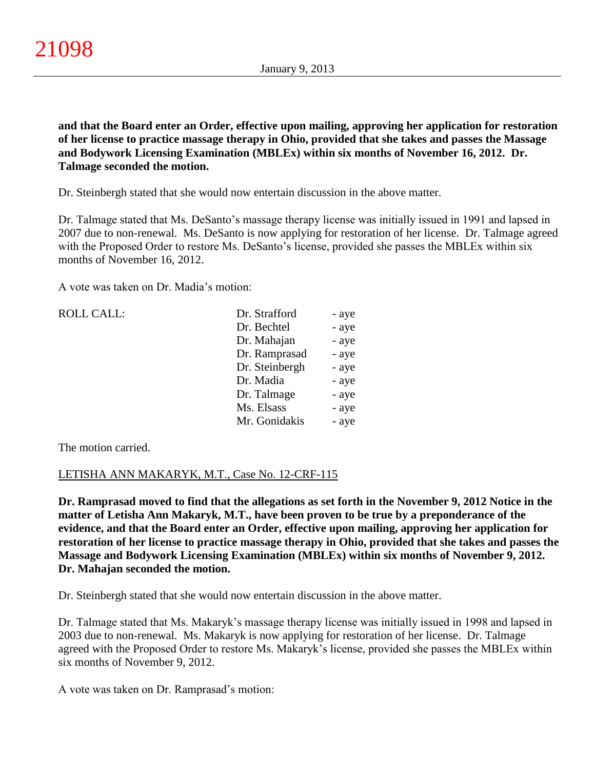**and that the Board enter an Order, effective upon mailing, approving her application for restoration of her license to practice massage therapy in Ohio, provided that she takes and passes the Massage and Bodywork Licensing Examination (MBLEx) within six months of November 16, 2012. Dr. Talmage seconded the motion.**

Dr. Steinbergh stated that she would now entertain discussion in the above matter.

Dr. Talmage stated that Ms. DeSanto's massage therapy license was initially issued in 1991 and lapsed in 2007 due to non-renewal. Ms. DeSanto is now applying for restoration of her license. Dr. Talmage agreed with the Proposed Order to restore Ms. DeSanto's license, provided she passes the MBLEx within six months of November 16, 2012.

A vote was taken on Dr. Madia's motion:

| <b>ROLL CALL:</b> | Dr. Strafford  | - aye |
|-------------------|----------------|-------|
|                   | Dr. Bechtel    | - aye |
|                   | Dr. Mahajan    | - aye |
|                   | Dr. Ramprasad  | - aye |
|                   | Dr. Steinbergh | - aye |
|                   | Dr. Madia      | - aye |
|                   | Dr. Talmage    | - aye |
|                   | Ms. Elsass     | - aye |
|                   | Mr. Gonidakis  | - aye |
|                   |                |       |

The motion carried.

## LETISHA ANN MAKARYK, M.T., Case No. 12-CRF-115

**Dr. Ramprasad moved to find that the allegations as set forth in the November 9, 2012 Notice in the matter of Letisha Ann Makaryk, M.T., have been proven to be true by a preponderance of the evidence, and that the Board enter an Order, effective upon mailing, approving her application for restoration of her license to practice massage therapy in Ohio, provided that she takes and passes the Massage and Bodywork Licensing Examination (MBLEx) within six months of November 9, 2012. Dr. Mahajan seconded the motion.**

Dr. Steinbergh stated that she would now entertain discussion in the above matter.

Dr. Talmage stated that Ms. Makaryk's massage therapy license was initially issued in 1998 and lapsed in 2003 due to non-renewal. Ms. Makaryk is now applying for restoration of her license. Dr. Talmage agreed with the Proposed Order to restore Ms. Makaryk's license, provided she passes the MBLEx within six months of November 9, 2012.

A vote was taken on Dr. Ramprasad's motion: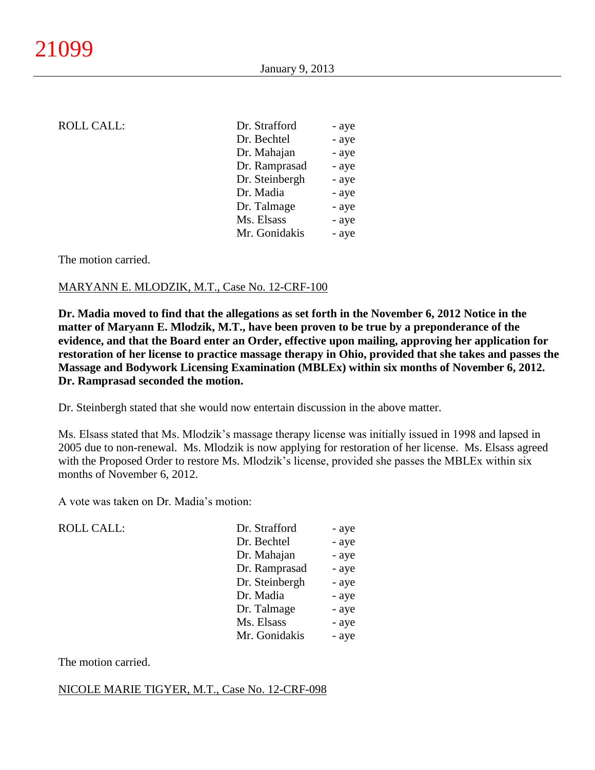| ROLL CALL: |  |
|------------|--|
|------------|--|

| <b>ROLL CALL:</b> | Dr. Strafford  | - aye |
|-------------------|----------------|-------|
|                   | Dr. Bechtel    | - aye |
|                   | Dr. Mahajan    | - aye |
|                   | Dr. Ramprasad  | - aye |
|                   | Dr. Steinbergh | - aye |
|                   | Dr. Madia      | - aye |
|                   | Dr. Talmage    | - aye |
|                   | Ms. Elsass     | - aye |
|                   | Mr. Gonidakis  | - aye |
|                   |                |       |

#### The motion carried.

#### MARYANN E. MLODZIK, M.T., Case No. 12-CRF-100

**Dr. Madia moved to find that the allegations as set forth in the November 6, 2012 Notice in the matter of Maryann E. Mlodzik, M.T., have been proven to be true by a preponderance of the evidence, and that the Board enter an Order, effective upon mailing, approving her application for restoration of her license to practice massage therapy in Ohio, provided that she takes and passes the Massage and Bodywork Licensing Examination (MBLEx) within six months of November 6, 2012. Dr. Ramprasad seconded the motion.**

Dr. Steinbergh stated that she would now entertain discussion in the above matter.

Ms. Elsass stated that Ms. Mlodzik's massage therapy license was initially issued in 1998 and lapsed in 2005 due to non-renewal. Ms. Mlodzik is now applying for restoration of her license. Ms. Elsass agreed with the Proposed Order to restore Ms. Mlodzik's license, provided she passes the MBLEx within six months of November 6, 2012.

A vote was taken on Dr. Madia's motion:

| <b>ROLL CALL:</b> | Dr. Strafford  | - aye |
|-------------------|----------------|-------|
|                   | Dr. Bechtel    | - aye |
|                   | Dr. Mahajan    | - aye |
|                   | Dr. Ramprasad  | - aye |
|                   | Dr. Steinbergh | - aye |
|                   | Dr. Madia      | - aye |
|                   | Dr. Talmage    | - aye |
|                   | Ms. Elsass     | - aye |
|                   | Mr. Gonidakis  | - aye |
|                   |                |       |

The motion carried.

#### NICOLE MARIE TIGYER, M.T., Case No. 12-CRF-098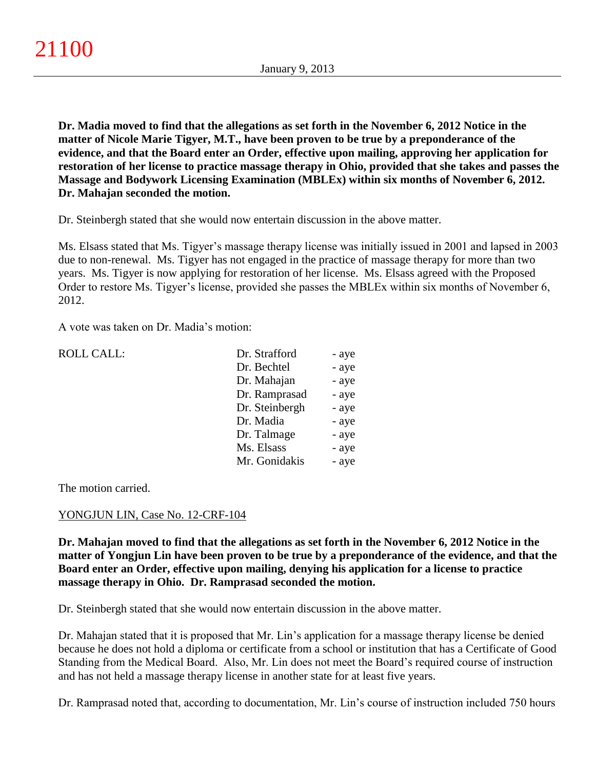**Dr. Madia moved to find that the allegations as set forth in the November 6, 2012 Notice in the matter of Nicole Marie Tigyer, M.T., have been proven to be true by a preponderance of the evidence, and that the Board enter an Order, effective upon mailing, approving her application for restoration of her license to practice massage therapy in Ohio, provided that she takes and passes the Massage and Bodywork Licensing Examination (MBLEx) within six months of November 6, 2012. Dr. Mahajan seconded the motion.**

Dr. Steinbergh stated that she would now entertain discussion in the above matter.

Ms. Elsass stated that Ms. Tigyer's massage therapy license was initially issued in 2001 and lapsed in 2003 due to non-renewal. Ms. Tigyer has not engaged in the practice of massage therapy for more than two years. Ms. Tigyer is now applying for restoration of her license. Ms. Elsass agreed with the Proposed Order to restore Ms. Tigyer's license, provided she passes the MBLEx within six months of November 6, 2012.

A vote was taken on Dr. Madia's motion:

| <b>ROLL CALL:</b> | Dr. Strafford  | - aye |
|-------------------|----------------|-------|
|                   | Dr. Bechtel    | - aye |
|                   | Dr. Mahajan    | - aye |
|                   | Dr. Ramprasad  | - aye |
|                   | Dr. Steinbergh | - aye |
|                   | Dr. Madia      | - aye |
|                   | Dr. Talmage    | - aye |
|                   | Ms. Elsass     | - aye |
|                   | Mr. Gonidakis  | - aye |
|                   |                |       |

The motion carried.

### YONGJUN LIN, Case No. 12-CRF-104

**Dr. Mahajan moved to find that the allegations as set forth in the November 6, 2012 Notice in the matter of Yongjun Lin have been proven to be true by a preponderance of the evidence, and that the Board enter an Order, effective upon mailing, denying his application for a license to practice massage therapy in Ohio. Dr. Ramprasad seconded the motion.**

Dr. Steinbergh stated that she would now entertain discussion in the above matter.

Dr. Mahajan stated that it is proposed that Mr. Lin's application for a massage therapy license be denied because he does not hold a diploma or certificate from a school or institution that has a Certificate of Good Standing from the Medical Board. Also, Mr. Lin does not meet the Board's required course of instruction and has not held a massage therapy license in another state for at least five years.

Dr. Ramprasad noted that, according to documentation, Mr. Lin's course of instruction included 750 hours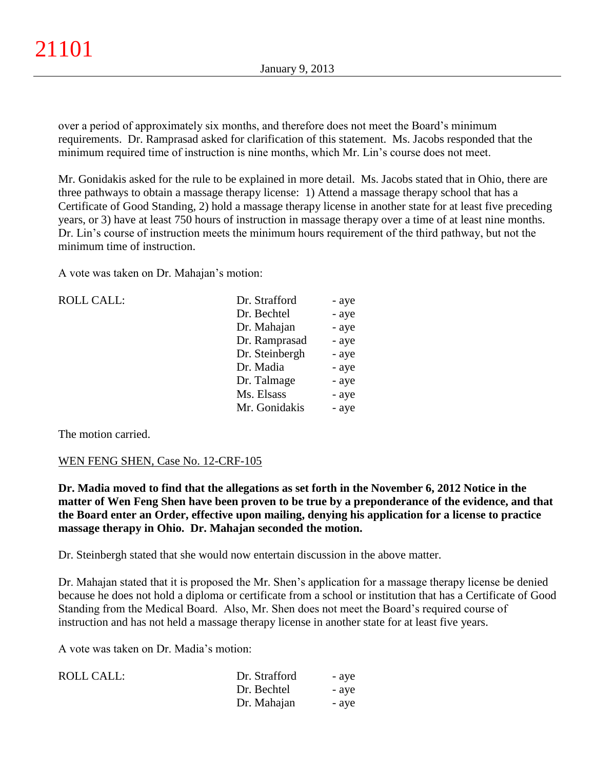over a period of approximately six months, and therefore does not meet the Board's minimum requirements. Dr. Ramprasad asked for clarification of this statement. Ms. Jacobs responded that the minimum required time of instruction is nine months, which Mr. Lin's course does not meet.

Mr. Gonidakis asked for the rule to be explained in more detail. Ms. Jacobs stated that in Ohio, there are three pathways to obtain a massage therapy license: 1) Attend a massage therapy school that has a Certificate of Good Standing, 2) hold a massage therapy license in another state for at least five preceding years, or 3) have at least 750 hours of instruction in massage therapy over a time of at least nine months. Dr. Lin's course of instruction meets the minimum hours requirement of the third pathway, but not the minimum time of instruction.

A vote was taken on Dr. Mahajan's motion:

| <b>ROLL CALL:</b> | Dr. Strafford  | - aye |
|-------------------|----------------|-------|
|                   | Dr. Bechtel    | - aye |
|                   | Dr. Mahajan    | - aye |
|                   | Dr. Ramprasad  | - aye |
|                   | Dr. Steinbergh | - aye |
|                   | Dr. Madia      | - aye |
|                   | Dr. Talmage    | - aye |
|                   | Ms. Elsass     | - aye |
|                   | Mr. Gonidakis  | - aye |
|                   |                |       |

The motion carried.

### WEN FENG SHEN, Case No. 12-CRF-105

**Dr. Madia moved to find that the allegations as set forth in the November 6, 2012 Notice in the matter of Wen Feng Shen have been proven to be true by a preponderance of the evidence, and that the Board enter an Order, effective upon mailing, denying his application for a license to practice massage therapy in Ohio. Dr. Mahajan seconded the motion.**

Dr. Steinbergh stated that she would now entertain discussion in the above matter.

Dr. Mahajan stated that it is proposed the Mr. Shen's application for a massage therapy license be denied because he does not hold a diploma or certificate from a school or institution that has a Certificate of Good Standing from the Medical Board. Also, Mr. Shen does not meet the Board's required course of instruction and has not held a massage therapy license in another state for at least five years.

A vote was taken on Dr. Madia's motion:

| ROLL CALL: | Dr. Strafford | - ave |
|------------|---------------|-------|
|            | Dr. Bechtel   | - aye |
|            | Dr. Mahajan   | - ave |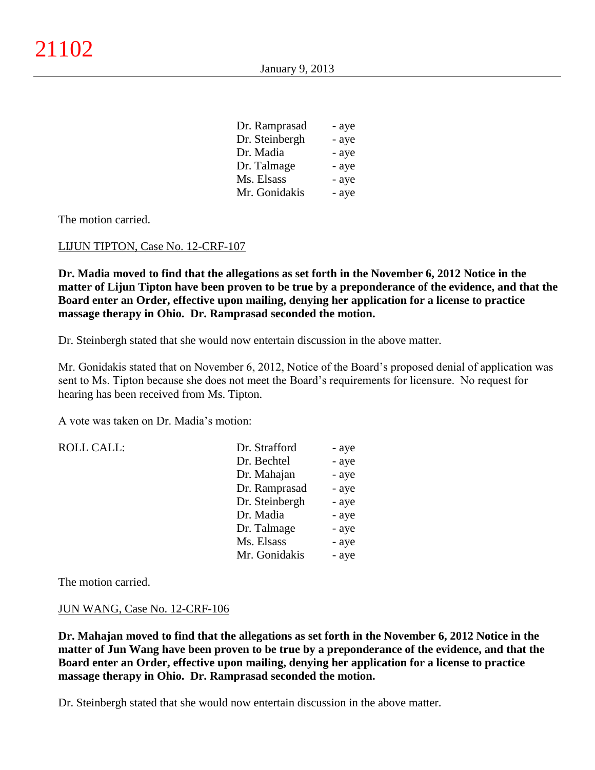| Dr. Ramprasad  | - aye |
|----------------|-------|
| Dr. Steinbergh | - aye |
| Dr. Madia      | - aye |
| Dr. Talmage    | - aye |
| Ms. Elsass     | - aye |
| Mr. Gonidakis  | - aye |

The motion carried.

#### LIJUN TIPTON, Case No. 12-CRF-107

**Dr. Madia moved to find that the allegations as set forth in the November 6, 2012 Notice in the matter of Lijun Tipton have been proven to be true by a preponderance of the evidence, and that the Board enter an Order, effective upon mailing, denying her application for a license to practice massage therapy in Ohio. Dr. Ramprasad seconded the motion.**

Dr. Steinbergh stated that she would now entertain discussion in the above matter.

Mr. Gonidakis stated that on November 6, 2012, Notice of the Board's proposed denial of application was sent to Ms. Tipton because she does not meet the Board's requirements for licensure. No request for hearing has been received from Ms. Tipton.

A vote was taken on Dr. Madia's motion:

| <b>ROLL CALL:</b> | Dr. Strafford  | - aye |
|-------------------|----------------|-------|
|                   | Dr. Bechtel    | - aye |
|                   | Dr. Mahajan    | - aye |
|                   | Dr. Ramprasad  | - aye |
|                   | Dr. Steinbergh | - aye |
|                   | Dr. Madia      | - aye |
|                   | Dr. Talmage    | - aye |
|                   | Ms. Elsass     | - aye |
|                   | Mr. Gonidakis  | - aye |

The motion carried.

#### JUN WANG, Case No. 12-CRF-106

**Dr. Mahajan moved to find that the allegations as set forth in the November 6, 2012 Notice in the matter of Jun Wang have been proven to be true by a preponderance of the evidence, and that the Board enter an Order, effective upon mailing, denying her application for a license to practice massage therapy in Ohio. Dr. Ramprasad seconded the motion.**

Dr. Steinbergh stated that she would now entertain discussion in the above matter.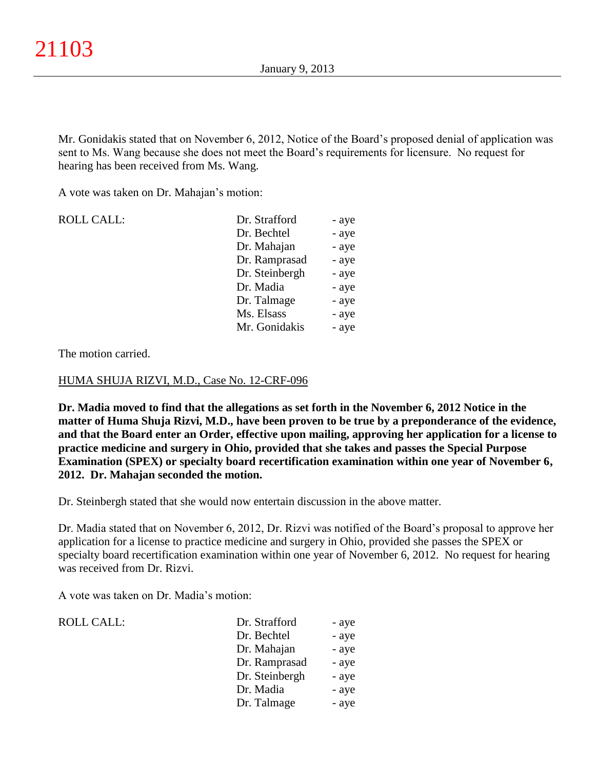Mr. Gonidakis stated that on November 6, 2012, Notice of the Board's proposed denial of application was sent to Ms. Wang because she does not meet the Board's requirements for licensure. No request for hearing has been received from Ms. Wang.

A vote was taken on Dr. Mahajan's motion:

| <b>ROLL CALL:</b> | Dr. Strafford  | - aye |
|-------------------|----------------|-------|
|                   | Dr. Bechtel    | - aye |
|                   | Dr. Mahajan    | - aye |
|                   | Dr. Ramprasad  | - aye |
|                   | Dr. Steinbergh | - aye |
|                   | Dr. Madia      | - aye |
|                   | Dr. Talmage    | - aye |
|                   | Ms. Elsass     | - aye |
|                   | Mr. Gonidakis  | - aye |

The motion carried.

#### HUMA SHUJA RIZVI, M.D., Case No. 12-CRF-096

**Dr. Madia moved to find that the allegations as set forth in the November 6, 2012 Notice in the matter of Huma Shuja Rizvi, M.D., have been proven to be true by a preponderance of the evidence, and that the Board enter an Order, effective upon mailing, approving her application for a license to practice medicine and surgery in Ohio, provided that she takes and passes the Special Purpose Examination (SPEX) or specialty board recertification examination within one year of November 6, 2012. Dr. Mahajan seconded the motion.**

Dr. Steinbergh stated that she would now entertain discussion in the above matter.

Dr. Madia stated that on November 6, 2012, Dr. Rizvi was notified of the Board's proposal to approve her application for a license to practice medicine and surgery in Ohio, provided she passes the SPEX or specialty board recertification examination within one year of November 6, 2012. No request for hearing was received from Dr. Rizvi.

A vote was taken on Dr. Madia's motion:

| <b>ROLL CALL:</b> | Dr. Strafford  | - aye |
|-------------------|----------------|-------|
|                   | Dr. Bechtel    | - aye |
|                   | Dr. Mahajan    | - aye |
|                   | Dr. Ramprasad  | - aye |
|                   | Dr. Steinbergh | - aye |
|                   | Dr. Madia      | - aye |
|                   | Dr. Talmage    | - aye |
|                   |                |       |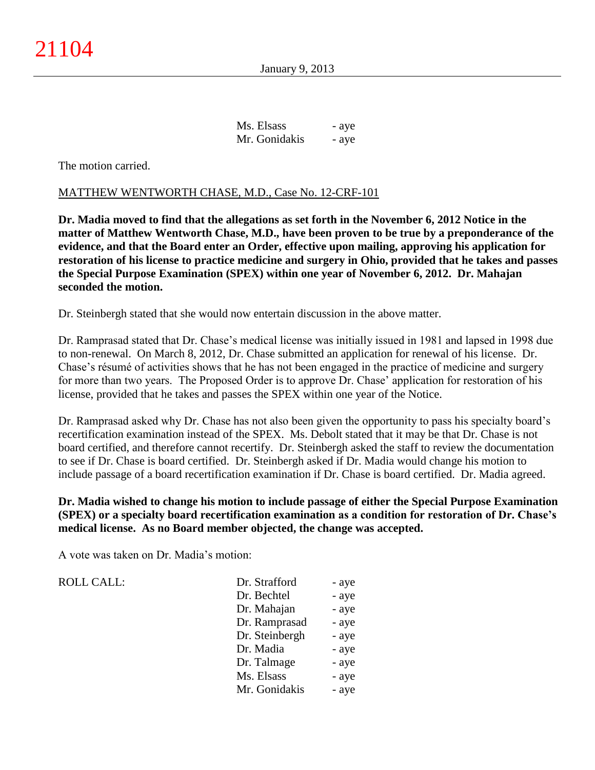January 9, 2013

| Ms. Elsass    | - aye |
|---------------|-------|
| Mr. Gonidakis | - aye |

The motion carried.

### MATTHEW WENTWORTH CHASE, M.D., Case No. 12-CRF-101

**Dr. Madia moved to find that the allegations as set forth in the November 6, 2012 Notice in the matter of Matthew Wentworth Chase, M.D., have been proven to be true by a preponderance of the evidence, and that the Board enter an Order, effective upon mailing, approving his application for restoration of his license to practice medicine and surgery in Ohio, provided that he takes and passes the Special Purpose Examination (SPEX) within one year of November 6, 2012. Dr. Mahajan seconded the motion.**

Dr. Steinbergh stated that she would now entertain discussion in the above matter.

Dr. Ramprasad stated that Dr. Chase's medical license was initially issued in 1981 and lapsed in 1998 due to non-renewal. On March 8, 2012, Dr. Chase submitted an application for renewal of his license. Dr. Chase's résumé of activities shows that he has not been engaged in the practice of medicine and surgery for more than two years. The Proposed Order is to approve Dr. Chase' application for restoration of his license, provided that he takes and passes the SPEX within one year of the Notice.

Dr. Ramprasad asked why Dr. Chase has not also been given the opportunity to pass his specialty board's recertification examination instead of the SPEX. Ms. Debolt stated that it may be that Dr. Chase is not board certified, and therefore cannot recertify. Dr. Steinbergh asked the staff to review the documentation to see if Dr. Chase is board certified. Dr. Steinbergh asked if Dr. Madia would change his motion to include passage of a board recertification examination if Dr. Chase is board certified. Dr. Madia agreed.

**Dr. Madia wished to change his motion to include passage of either the Special Purpose Examination (SPEX) or a specialty board recertification examination as a condition for restoration of Dr. Chase's medical license. As no Board member objected, the change was accepted.**

A vote was taken on Dr. Madia's motion:

ROLL CALL:

| Dr. Strafford  | - aye |
|----------------|-------|
| Dr. Bechtel    | - aye |
| Dr. Mahajan    | - aye |
| Dr. Ramprasad  | - aye |
| Dr. Steinbergh | - aye |
| Dr. Madia      | - aye |
| Dr. Talmage    | - aye |
| Ms. Elsass     | - aye |
| Mr. Gonidakis  | - aye |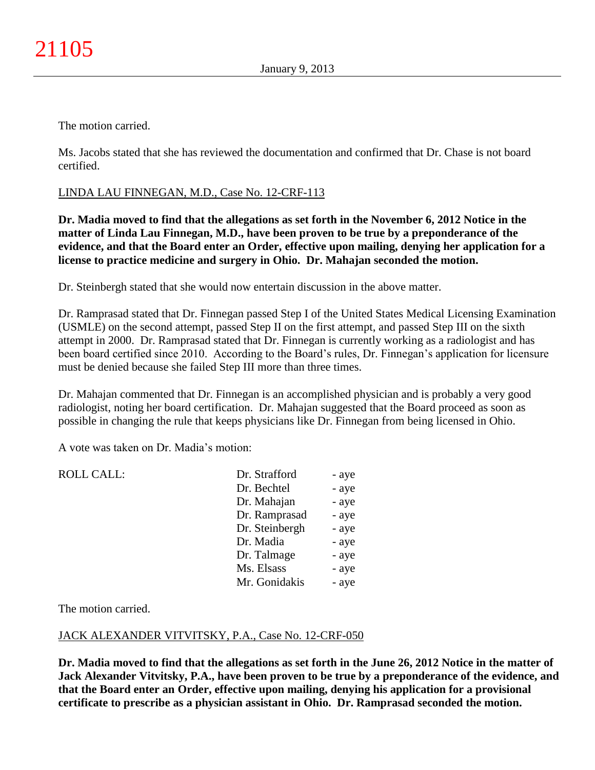The motion carried.

Ms. Jacobs stated that she has reviewed the documentation and confirmed that Dr. Chase is not board certified.

## LINDA LAU FINNEGAN, M.D., Case No. 12-CRF-113

**Dr. Madia moved to find that the allegations as set forth in the November 6, 2012 Notice in the matter of Linda Lau Finnegan, M.D., have been proven to be true by a preponderance of the evidence, and that the Board enter an Order, effective upon mailing, denying her application for a license to practice medicine and surgery in Ohio. Dr. Mahajan seconded the motion.**

Dr. Steinbergh stated that she would now entertain discussion in the above matter.

Dr. Ramprasad stated that Dr. Finnegan passed Step I of the United States Medical Licensing Examination (USMLE) on the second attempt, passed Step II on the first attempt, and passed Step III on the sixth attempt in 2000. Dr. Ramprasad stated that Dr. Finnegan is currently working as a radiologist and has been board certified since 2010. According to the Board's rules, Dr. Finnegan's application for licensure must be denied because she failed Step III more than three times.

Dr. Mahajan commented that Dr. Finnegan is an accomplished physician and is probably a very good radiologist, noting her board certification. Dr. Mahajan suggested that the Board proceed as soon as possible in changing the rule that keeps physicians like Dr. Finnegan from being licensed in Ohio.

A vote was taken on Dr. Madia's motion:

| <b>ROLL CALL:</b> | Dr. Strafford  | - aye |
|-------------------|----------------|-------|
|                   | Dr. Bechtel    | - aye |
|                   | Dr. Mahajan    | - aye |
|                   | Dr. Ramprasad  | - aye |
|                   | Dr. Steinbergh | - aye |
|                   | Dr. Madia      | - aye |
|                   | Dr. Talmage    | - aye |
|                   | Ms. Elsass     | - aye |
|                   | Mr. Gonidakis  | - aye |

The motion carried.

### JACK ALEXANDER VITVITSKY, P.A., Case No. 12-CRF-050

**Dr. Madia moved to find that the allegations as set forth in the June 26, 2012 Notice in the matter of Jack Alexander Vitvitsky, P.A., have been proven to be true by a preponderance of the evidence, and that the Board enter an Order, effective upon mailing, denying his application for a provisional certificate to prescribe as a physician assistant in Ohio. Dr. Ramprasad seconded the motion.**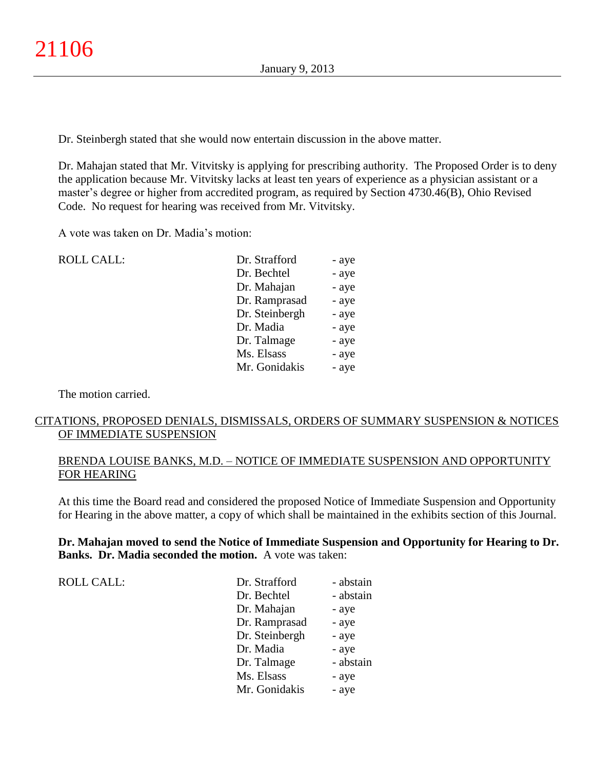Dr. Steinbergh stated that she would now entertain discussion in the above matter.

Dr. Mahajan stated that Mr. Vitvitsky is applying for prescribing authority. The Proposed Order is to deny the application because Mr. Vitvitsky lacks at least ten years of experience as a physician assistant or a master's degree or higher from accredited program, as required by Section 4730.46(B), Ohio Revised Code. No request for hearing was received from Mr. Vitvitsky.

A vote was taken on Dr. Madia's motion:

| <b>ROLL CALL:</b> | Dr. Strafford  | - aye |
|-------------------|----------------|-------|
|                   | Dr. Bechtel    | - aye |
|                   | Dr. Mahajan    | - aye |
|                   | Dr. Ramprasad  | - aye |
|                   | Dr. Steinbergh | - aye |
|                   | Dr. Madia      | - aye |
|                   | Dr. Talmage    | - aye |
|                   | Ms. Elsass     | - aye |
|                   | Mr. Gonidakis  | - aye |
|                   |                |       |

The motion carried.

## CITATIONS, PROPOSED DENIALS, DISMISSALS, ORDERS OF SUMMARY SUSPENSION & NOTICES OF IMMEDIATE SUSPENSION

### BRENDA LOUISE BANKS, M.D. – NOTICE OF IMMEDIATE SUSPENSION AND OPPORTUNITY FOR HEARING

At this time the Board read and considered the proposed Notice of Immediate Suspension and Opportunity for Hearing in the above matter, a copy of which shall be maintained in the exhibits section of this Journal.

### **Dr. Mahajan moved to send the Notice of Immediate Suspension and Opportunity for Hearing to Dr. Banks. Dr. Madia seconded the motion.** A vote was taken:

ROLL CALL:

| - abstain |
|-----------|
| - abstain |
| - aye     |
| - aye     |
| - aye     |
| - aye     |
| - abstain |
| - aye     |
| - aye     |
|           |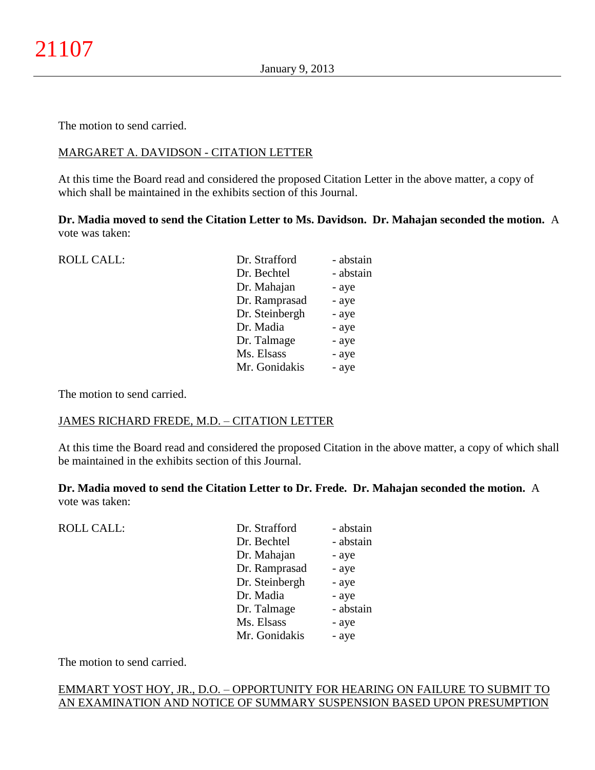The motion to send carried.

### MARGARET A. DAVIDSON - CITATION LETTER

At this time the Board read and considered the proposed Citation Letter in the above matter, a copy of which shall be maintained in the exhibits section of this Journal.

**Dr. Madia moved to send the Citation Letter to Ms. Davidson. Dr. Mahajan seconded the motion.** A vote was taken:

| <b>ROLL CALL:</b> | Dr. Strafford  | - abstain |
|-------------------|----------------|-----------|
|                   | Dr. Bechtel    | - abstain |
|                   | Dr. Mahajan    | - aye     |
|                   | Dr. Ramprasad  | - aye     |
|                   | Dr. Steinbergh | - aye     |
|                   | Dr. Madia      | - aye     |
|                   | Dr. Talmage    | - aye     |
|                   | Ms. Elsass     | - aye     |
|                   | Mr. Gonidakis  | - aye     |
|                   |                |           |

The motion to send carried.

### JAMES RICHARD FREDE, M.D. – CITATION LETTER

At this time the Board read and considered the proposed Citation in the above matter, a copy of which shall be maintained in the exhibits section of this Journal.

**Dr. Madia moved to send the Citation Letter to Dr. Frede. Dr. Mahajan seconded the motion.** A vote was taken:

| <b>ROLL CALL:</b> | Dr. Strafford  | - abstain |
|-------------------|----------------|-----------|
|                   | Dr. Bechtel    | - abstain |
|                   | Dr. Mahajan    | - aye     |
|                   | Dr. Ramprasad  | - aye     |
|                   | Dr. Steinbergh | - aye     |
|                   | Dr. Madia      | - aye     |
|                   | Dr. Talmage    | - abstain |
|                   | Ms. Elsass     | - aye     |
|                   | Mr. Gonidakis  | - aye     |
|                   |                |           |

The motion to send carried.

## EMMART YOST HOY, JR., D.O. – OPPORTUNITY FOR HEARING ON FAILURE TO SUBMIT TO AN EXAMINATION AND NOTICE OF SUMMARY SUSPENSION BASED UPON PRESUMPTION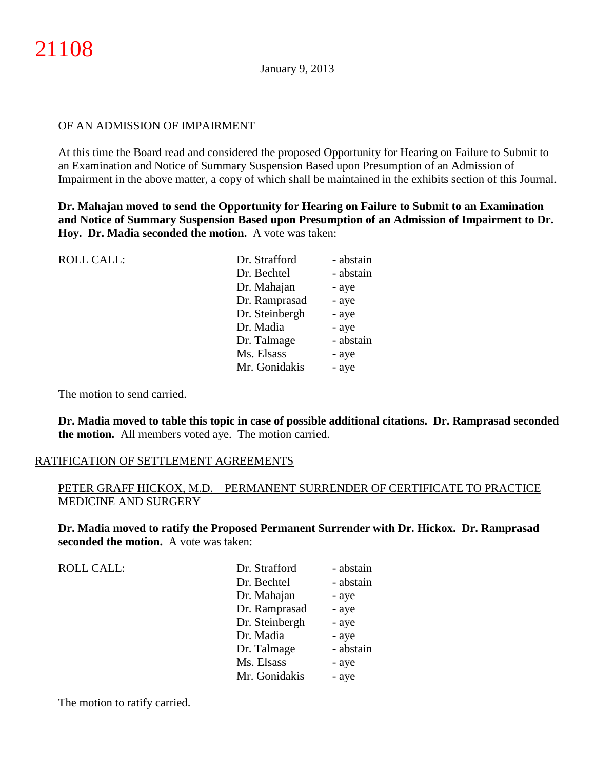#### OF AN ADMISSION OF IMPAIRMENT

At this time the Board read and considered the proposed Opportunity for Hearing on Failure to Submit to an Examination and Notice of Summary Suspension Based upon Presumption of an Admission of Impairment in the above matter, a copy of which shall be maintained in the exhibits section of this Journal.

**Dr. Mahajan moved to send the Opportunity for Hearing on Failure to Submit to an Examination and Notice of Summary Suspension Based upon Presumption of an Admission of Impairment to Dr. Hoy. Dr. Madia seconded the motion.** A vote was taken:

| <b>ROLL CALL:</b> | Dr. Strafford  | - abstain |
|-------------------|----------------|-----------|
|                   | Dr. Bechtel    | - abstain |
|                   | Dr. Mahajan    | - aye     |
|                   | Dr. Ramprasad  | - aye     |
|                   | Dr. Steinbergh | - aye     |
|                   | Dr. Madia      | - aye     |
|                   | Dr. Talmage    | - abstain |
|                   | Ms. Elsass     | - aye     |
|                   | Mr. Gonidakis  | - aye     |
|                   |                |           |

The motion to send carried.

**Dr. Madia moved to table this topic in case of possible additional citations. Dr. Ramprasad seconded the motion.** All members voted aye. The motion carried.

### RATIFICATION OF SETTLEMENT AGREEMENTS

## PETER GRAFF HICKOX, M.D. – PERMANENT SURRENDER OF CERTIFICATE TO PRACTICE MEDICINE AND SURGERY

**Dr. Madia moved to ratify the Proposed Permanent Surrender with Dr. Hickox. Dr. Ramprasad seconded the motion.** A vote was taken:

| <b>ROLL CALL:</b> | Dr. Strafford  | - abstain |
|-------------------|----------------|-----------|
|                   | Dr. Bechtel    | - abstain |
|                   | Dr. Mahajan    | - aye     |
|                   | Dr. Ramprasad  | - aye     |
|                   | Dr. Steinbergh | - aye     |
|                   | Dr. Madia      | - aye     |
|                   | Dr. Talmage    | - abstain |
|                   | Ms. Elsass     | - aye     |
|                   | Mr. Gonidakis  | - aye     |

The motion to ratify carried.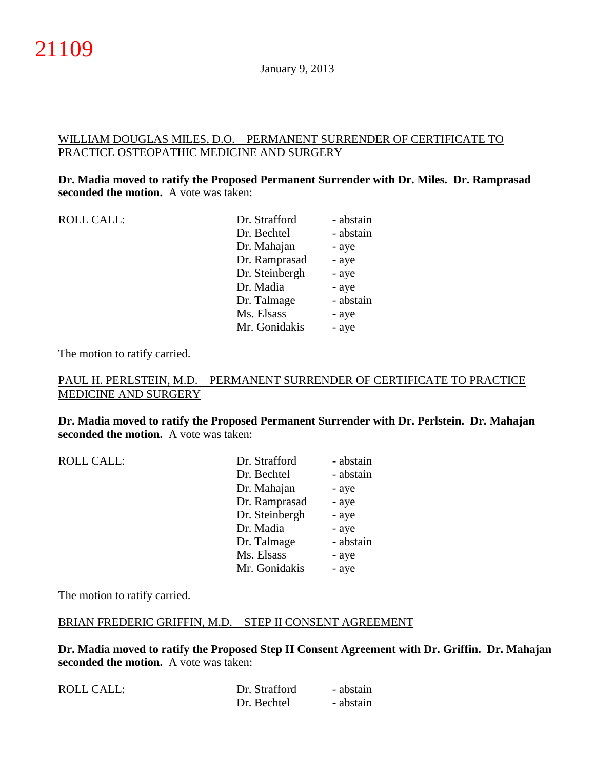### WILLIAM DOUGLAS MILES, D.O. – PERMANENT SURRENDER OF CERTIFICATE TO PRACTICE OSTEOPATHIC MEDICINE AND SURGERY

### **Dr. Madia moved to ratify the Proposed Permanent Surrender with Dr. Miles. Dr. Ramprasad seconded the motion.** A vote was taken:

ROLL CALL:

| Dr. Strafford  | - abstain |
|----------------|-----------|
| Dr. Bechtel    | - abstain |
| Dr. Mahajan    | - aye     |
| Dr. Ramprasad  | - aye     |
| Dr. Steinbergh | - aye     |
| Dr. Madia      | - aye     |
| Dr. Talmage    | - abstain |
| Ms. Elsass     | - aye     |
| Mr. Gonidakis  | - aye     |

The motion to ratify carried.

## PAUL H. PERLSTEIN, M.D. – PERMANENT SURRENDER OF CERTIFICATE TO PRACTICE MEDICINE AND SURGERY

**Dr. Madia moved to ratify the Proposed Permanent Surrender with Dr. Perlstein. Dr. Mahajan seconded the motion.** A vote was taken:

ROLL CALL:

| Dr. Strafford  | - abstain |
|----------------|-----------|
| Dr. Bechtel    | - abstain |
| Dr. Mahajan    | - aye     |
| Dr. Ramprasad  | - aye     |
| Dr. Steinbergh | - aye     |
| Dr. Madia      | - aye     |
| Dr. Talmage    | - abstain |
| Ms. Elsass     | - aye     |
| Mr. Gonidakis  | - aye     |
|                |           |

The motion to ratify carried.

### BRIAN FREDERIC GRIFFIN, M.D. – STEP II CONSENT AGREEMENT

**Dr. Madia moved to ratify the Proposed Step II Consent Agreement with Dr. Griffin. Dr. Mahajan seconded the motion.** A vote was taken:

| ROLL CALL: | Dr. Strafford | - abstain |
|------------|---------------|-----------|
|            | Dr. Bechtel   | - abstain |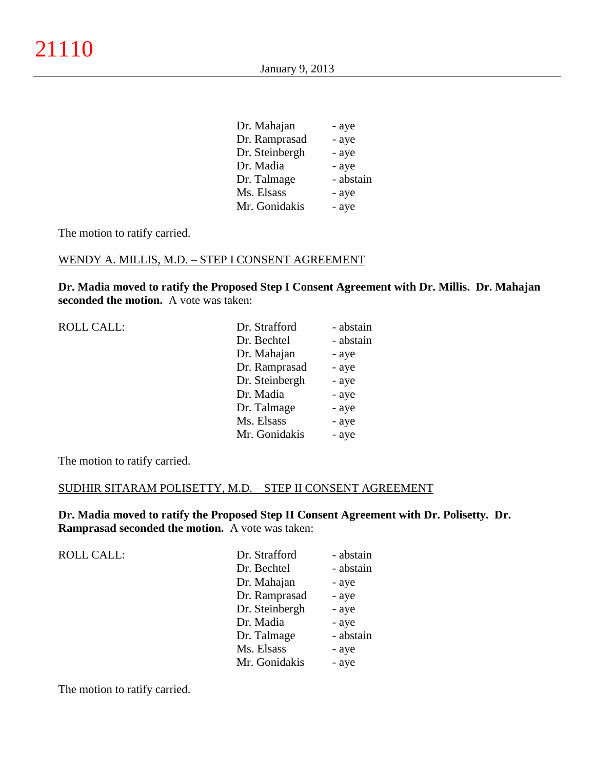| Dr. Mahajan    | - aye     |
|----------------|-----------|
| Dr. Ramprasad  | - aye     |
| Dr. Steinbergh | - aye     |
| Dr. Madia      | - aye     |
| Dr. Talmage    | - abstain |
| Ms. Elsass     | - aye     |
| Mr. Gonidakis  | - aye     |
|                |           |

The motion to ratify carried.

## WENDY A. MILLIS, M.D. – STEP I CONSENT AGREEMENT

**Dr. Madia moved to ratify the Proposed Step I Consent Agreement with Dr. Millis. Dr. Mahajan seconded the motion.** A vote was taken:

| <b>ROLL CALL:</b> | Dr. Strafford  | - abstain |
|-------------------|----------------|-----------|
|                   | Dr. Bechtel    | - abstain |
|                   | Dr. Mahajan    | - aye     |
|                   | Dr. Ramprasad  | - aye     |
|                   | Dr. Steinbergh | - aye     |
|                   | Dr. Madia      | - aye     |
|                   | Dr. Talmage    | - aye     |
|                   | Ms. Elsass     | - aye     |
|                   | Mr. Gonidakis  | - aye     |
|                   |                |           |

The motion to ratify carried.

#### SUDHIR SITARAM POLISETTY, M.D. – STEP II CONSENT AGREEMENT

**Dr. Madia moved to ratify the Proposed Step II Consent Agreement with Dr. Polisetty. Dr. Ramprasad seconded the motion.** A vote was taken:

| <b>ROLL CALL:</b> | Dr. Strafford  | - abstain |
|-------------------|----------------|-----------|
|                   | Dr. Bechtel    | - abstain |
|                   | Dr. Mahajan    | - aye     |
|                   | Dr. Ramprasad  | - aye     |
|                   | Dr. Steinbergh | - aye     |
|                   | Dr. Madia      | - aye     |
|                   | Dr. Talmage    | - abstain |
|                   | Ms. Elsass     | - aye     |
|                   | Mr. Gonidakis  | - aye     |

The motion to ratify carried.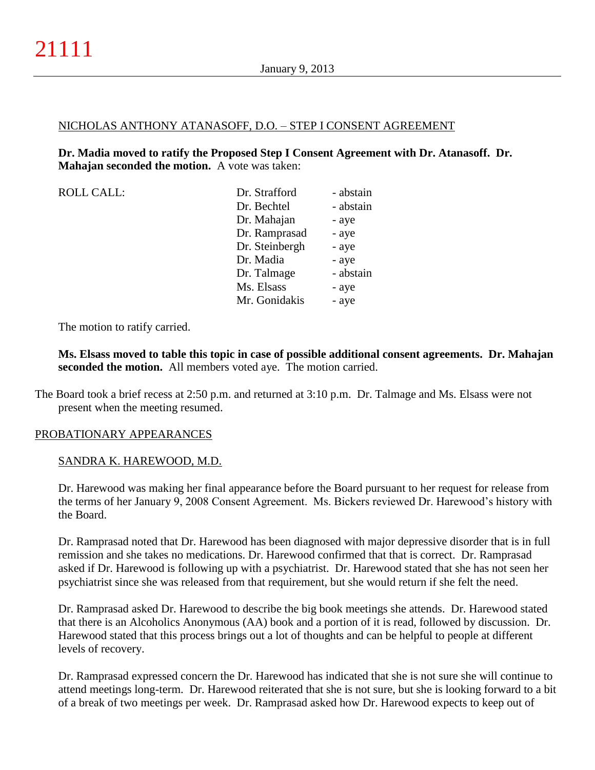#### NICHOLAS ANTHONY ATANASOFF, D.O. – STEP I CONSENT AGREEMENT

**Dr. Madia moved to ratify the Proposed Step I Consent Agreement with Dr. Atanasoff. Dr. Mahajan seconded the motion.** A vote was taken:

| <b>ROLL CALL:</b> | Dr. Strafford  | - abstain |
|-------------------|----------------|-----------|
|                   | Dr. Bechtel    | - abstain |
|                   | Dr. Mahajan    | - aye     |
|                   | Dr. Ramprasad  | - aye     |
|                   | Dr. Steinbergh | - aye     |
|                   | Dr. Madia      | - aye     |
|                   | Dr. Talmage    | - abstain |
|                   | Ms. Elsass     | - aye     |
|                   | Mr. Gonidakis  | - aye     |
|                   |                |           |

The motion to ratify carried.

**Ms. Elsass moved to table this topic in case of possible additional consent agreements. Dr. Mahajan seconded the motion.** All members voted aye. The motion carried.

The Board took a brief recess at 2:50 p.m. and returned at 3:10 p.m. Dr. Talmage and Ms. Elsass were not present when the meeting resumed.

### PROBATIONARY APPEARANCES

#### SANDRA K. HAREWOOD, M.D.

Dr. Harewood was making her final appearance before the Board pursuant to her request for release from the terms of her January 9, 2008 Consent Agreement. Ms. Bickers reviewed Dr. Harewood's history with the Board.

Dr. Ramprasad noted that Dr. Harewood has been diagnosed with major depressive disorder that is in full remission and she takes no medications. Dr. Harewood confirmed that that is correct. Dr. Ramprasad asked if Dr. Harewood is following up with a psychiatrist. Dr. Harewood stated that she has not seen her psychiatrist since she was released from that requirement, but she would return if she felt the need.

Dr. Ramprasad asked Dr. Harewood to describe the big book meetings she attends. Dr. Harewood stated that there is an Alcoholics Anonymous (AA) book and a portion of it is read, followed by discussion. Dr. Harewood stated that this process brings out a lot of thoughts and can be helpful to people at different levels of recovery.

Dr. Ramprasad expressed concern the Dr. Harewood has indicated that she is not sure she will continue to attend meetings long-term. Dr. Harewood reiterated that she is not sure, but she is looking forward to a bit of a break of two meetings per week. Dr. Ramprasad asked how Dr. Harewood expects to keep out of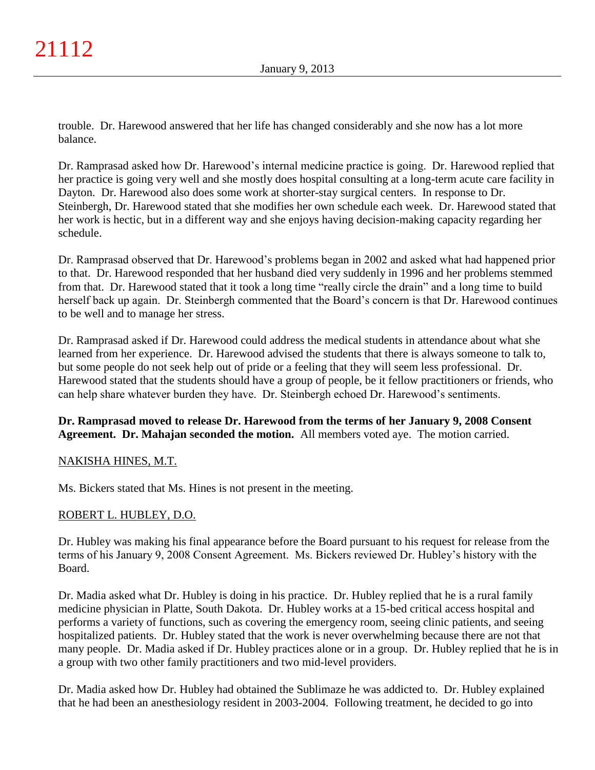trouble. Dr. Harewood answered that her life has changed considerably and she now has a lot more balance.

Dr. Ramprasad asked how Dr. Harewood's internal medicine practice is going. Dr. Harewood replied that her practice is going very well and she mostly does hospital consulting at a long-term acute care facility in Dayton. Dr. Harewood also does some work at shorter-stay surgical centers. In response to Dr. Steinbergh, Dr. Harewood stated that she modifies her own schedule each week. Dr. Harewood stated that her work is hectic, but in a different way and she enjoys having decision-making capacity regarding her schedule.

Dr. Ramprasad observed that Dr. Harewood's problems began in 2002 and asked what had happened prior to that. Dr. Harewood responded that her husband died very suddenly in 1996 and her problems stemmed from that. Dr. Harewood stated that it took a long time "really circle the drain" and a long time to build herself back up again. Dr. Steinbergh commented that the Board's concern is that Dr. Harewood continues to be well and to manage her stress.

Dr. Ramprasad asked if Dr. Harewood could address the medical students in attendance about what she learned from her experience. Dr. Harewood advised the students that there is always someone to talk to, but some people do not seek help out of pride or a feeling that they will seem less professional. Dr. Harewood stated that the students should have a group of people, be it fellow practitioners or friends, who can help share whatever burden they have. Dr. Steinbergh echoed Dr. Harewood's sentiments.

**Dr. Ramprasad moved to release Dr. Harewood from the terms of her January 9, 2008 Consent Agreement. Dr. Mahajan seconded the motion.** All members voted aye. The motion carried.

## NAKISHA HINES, M.T.

Ms. Bickers stated that Ms. Hines is not present in the meeting.

### ROBERT L. HUBLEY, D.O.

Dr. Hubley was making his final appearance before the Board pursuant to his request for release from the terms of his January 9, 2008 Consent Agreement. Ms. Bickers reviewed Dr. Hubley's history with the Board.

Dr. Madia asked what Dr. Hubley is doing in his practice. Dr. Hubley replied that he is a rural family medicine physician in Platte, South Dakota. Dr. Hubley works at a 15-bed critical access hospital and performs a variety of functions, such as covering the emergency room, seeing clinic patients, and seeing hospitalized patients. Dr. Hubley stated that the work is never overwhelming because there are not that many people. Dr. Madia asked if Dr. Hubley practices alone or in a group. Dr. Hubley replied that he is in a group with two other family practitioners and two mid-level providers.

Dr. Madia asked how Dr. Hubley had obtained the Sublimaze he was addicted to. Dr. Hubley explained that he had been an anesthesiology resident in 2003-2004. Following treatment, he decided to go into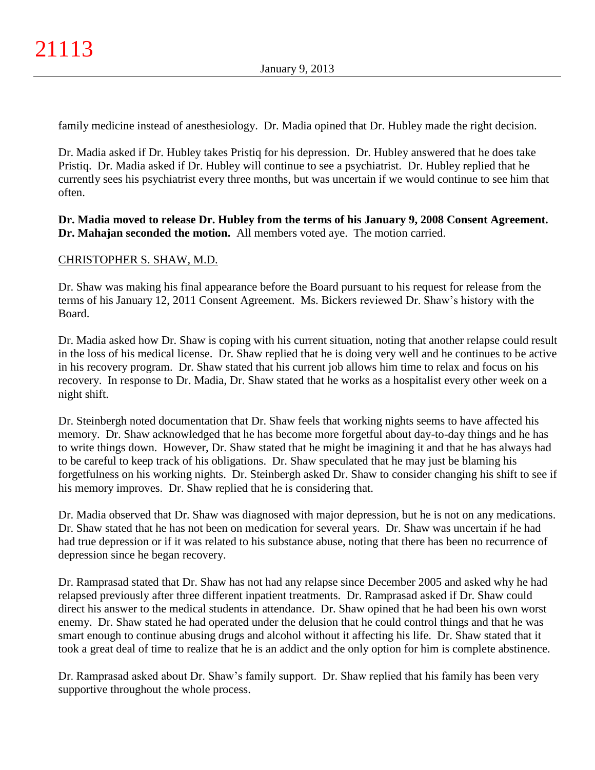family medicine instead of anesthesiology. Dr. Madia opined that Dr. Hubley made the right decision.

Dr. Madia asked if Dr. Hubley takes Pristiq for his depression. Dr. Hubley answered that he does take Pristiq. Dr. Madia asked if Dr. Hubley will continue to see a psychiatrist. Dr. Hubley replied that he currently sees his psychiatrist every three months, but was uncertain if we would continue to see him that often.

**Dr. Madia moved to release Dr. Hubley from the terms of his January 9, 2008 Consent Agreement. Dr. Mahajan seconded the motion.** All members voted aye. The motion carried.

## CHRISTOPHER S. SHAW, M.D.

Dr. Shaw was making his final appearance before the Board pursuant to his request for release from the terms of his January 12, 2011 Consent Agreement. Ms. Bickers reviewed Dr. Shaw's history with the Board.

Dr. Madia asked how Dr. Shaw is coping with his current situation, noting that another relapse could result in the loss of his medical license. Dr. Shaw replied that he is doing very well and he continues to be active in his recovery program. Dr. Shaw stated that his current job allows him time to relax and focus on his recovery. In response to Dr. Madia, Dr. Shaw stated that he works as a hospitalist every other week on a night shift.

Dr. Steinbergh noted documentation that Dr. Shaw feels that working nights seems to have affected his memory. Dr. Shaw acknowledged that he has become more forgetful about day-to-day things and he has to write things down. However, Dr. Shaw stated that he might be imagining it and that he has always had to be careful to keep track of his obligations. Dr. Shaw speculated that he may just be blaming his forgetfulness on his working nights. Dr. Steinbergh asked Dr. Shaw to consider changing his shift to see if his memory improves. Dr. Shaw replied that he is considering that.

Dr. Madia observed that Dr. Shaw was diagnosed with major depression, but he is not on any medications. Dr. Shaw stated that he has not been on medication for several years. Dr. Shaw was uncertain if he had had true depression or if it was related to his substance abuse, noting that there has been no recurrence of depression since he began recovery.

Dr. Ramprasad stated that Dr. Shaw has not had any relapse since December 2005 and asked why he had relapsed previously after three different inpatient treatments. Dr. Ramprasad asked if Dr. Shaw could direct his answer to the medical students in attendance. Dr. Shaw opined that he had been his own worst enemy. Dr. Shaw stated he had operated under the delusion that he could control things and that he was smart enough to continue abusing drugs and alcohol without it affecting his life. Dr. Shaw stated that it took a great deal of time to realize that he is an addict and the only option for him is complete abstinence.

Dr. Ramprasad asked about Dr. Shaw's family support. Dr. Shaw replied that his family has been very supportive throughout the whole process.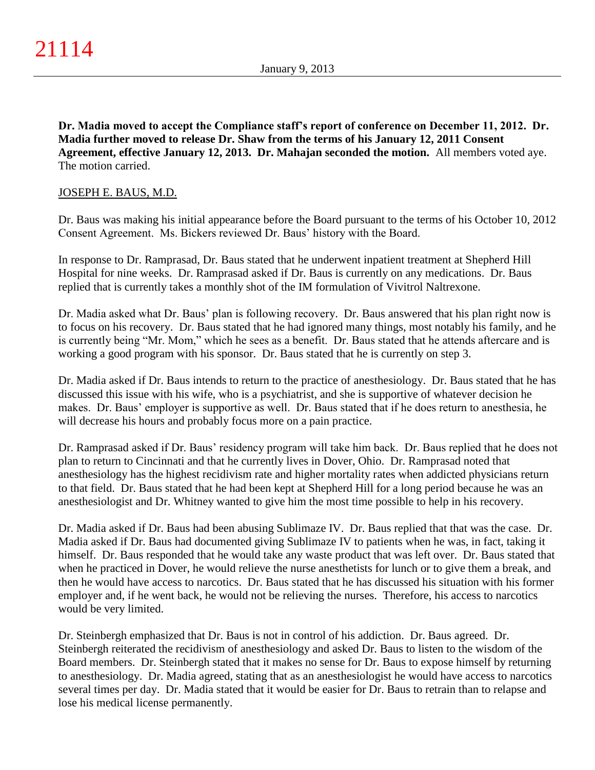**Dr. Madia moved to accept the Compliance staff's report of conference on December 11, 2012. Dr. Madia further moved to release Dr. Shaw from the terms of his January 12, 2011 Consent Agreement, effective January 12, 2013. Dr. Mahajan seconded the motion.** All members voted aye. The motion carried.

## JOSEPH E. BAUS, M.D.

Dr. Baus was making his initial appearance before the Board pursuant to the terms of his October 10, 2012 Consent Agreement. Ms. Bickers reviewed Dr. Baus' history with the Board.

In response to Dr. Ramprasad, Dr. Baus stated that he underwent inpatient treatment at Shepherd Hill Hospital for nine weeks. Dr. Ramprasad asked if Dr. Baus is currently on any medications. Dr. Baus replied that is currently takes a monthly shot of the IM formulation of Vivitrol Naltrexone.

Dr. Madia asked what Dr. Baus' plan is following recovery. Dr. Baus answered that his plan right now is to focus on his recovery. Dr. Baus stated that he had ignored many things, most notably his family, and he is currently being "Mr. Mom," which he sees as a benefit. Dr. Baus stated that he attends aftercare and is working a good program with his sponsor. Dr. Baus stated that he is currently on step 3.

Dr. Madia asked if Dr. Baus intends to return to the practice of anesthesiology. Dr. Baus stated that he has discussed this issue with his wife, who is a psychiatrist, and she is supportive of whatever decision he makes. Dr. Baus' employer is supportive as well. Dr. Baus stated that if he does return to anesthesia, he will decrease his hours and probably focus more on a pain practice.

Dr. Ramprasad asked if Dr. Baus' residency program will take him back. Dr. Baus replied that he does not plan to return to Cincinnati and that he currently lives in Dover, Ohio. Dr. Ramprasad noted that anesthesiology has the highest recidivism rate and higher mortality rates when addicted physicians return to that field. Dr. Baus stated that he had been kept at Shepherd Hill for a long period because he was an anesthesiologist and Dr. Whitney wanted to give him the most time possible to help in his recovery.

Dr. Madia asked if Dr. Baus had been abusing Sublimaze IV. Dr. Baus replied that that was the case. Dr. Madia asked if Dr. Baus had documented giving Sublimaze IV to patients when he was, in fact, taking it himself. Dr. Baus responded that he would take any waste product that was left over. Dr. Baus stated that when he practiced in Dover, he would relieve the nurse anesthetists for lunch or to give them a break, and then he would have access to narcotics. Dr. Baus stated that he has discussed his situation with his former employer and, if he went back, he would not be relieving the nurses. Therefore, his access to narcotics would be very limited.

Dr. Steinbergh emphasized that Dr. Baus is not in control of his addiction. Dr. Baus agreed. Dr. Steinbergh reiterated the recidivism of anesthesiology and asked Dr. Baus to listen to the wisdom of the Board members. Dr. Steinbergh stated that it makes no sense for Dr. Baus to expose himself by returning to anesthesiology. Dr. Madia agreed, stating that as an anesthesiologist he would have access to narcotics several times per day. Dr. Madia stated that it would be easier for Dr. Baus to retrain than to relapse and lose his medical license permanently.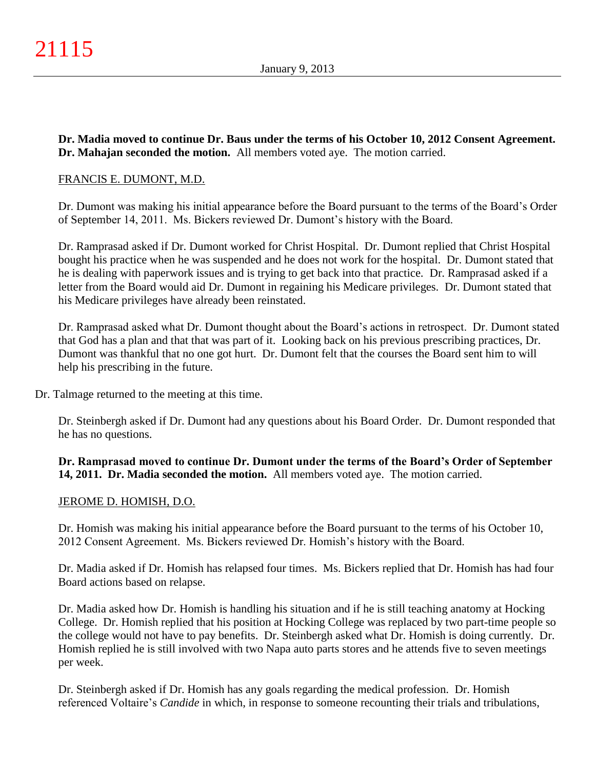**Dr. Madia moved to continue Dr. Baus under the terms of his October 10, 2012 Consent Agreement. Dr. Mahajan seconded the motion.** All members voted aye. The motion carried.

### FRANCIS E. DUMONT, M.D.

Dr. Dumont was making his initial appearance before the Board pursuant to the terms of the Board's Order of September 14, 2011. Ms. Bickers reviewed Dr. Dumont's history with the Board.

Dr. Ramprasad asked if Dr. Dumont worked for Christ Hospital. Dr. Dumont replied that Christ Hospital bought his practice when he was suspended and he does not work for the hospital. Dr. Dumont stated that he is dealing with paperwork issues and is trying to get back into that practice. Dr. Ramprasad asked if a letter from the Board would aid Dr. Dumont in regaining his Medicare privileges. Dr. Dumont stated that his Medicare privileges have already been reinstated.

Dr. Ramprasad asked what Dr. Dumont thought about the Board's actions in retrospect. Dr. Dumont stated that God has a plan and that that was part of it. Looking back on his previous prescribing practices, Dr. Dumont was thankful that no one got hurt. Dr. Dumont felt that the courses the Board sent him to will help his prescribing in the future.

Dr. Talmage returned to the meeting at this time.

Dr. Steinbergh asked if Dr. Dumont had any questions about his Board Order. Dr. Dumont responded that he has no questions.

**Dr. Ramprasad moved to continue Dr. Dumont under the terms of the Board's Order of September 14, 2011. Dr. Madia seconded the motion.** All members voted aye. The motion carried.

#### JEROME D. HOMISH, D.O.

Dr. Homish was making his initial appearance before the Board pursuant to the terms of his October 10, 2012 Consent Agreement. Ms. Bickers reviewed Dr. Homish's history with the Board.

Dr. Madia asked if Dr. Homish has relapsed four times. Ms. Bickers replied that Dr. Homish has had four Board actions based on relapse.

Dr. Madia asked how Dr. Homish is handling his situation and if he is still teaching anatomy at Hocking College. Dr. Homish replied that his position at Hocking College was replaced by two part-time people so the college would not have to pay benefits. Dr. Steinbergh asked what Dr. Homish is doing currently. Dr. Homish replied he is still involved with two Napa auto parts stores and he attends five to seven meetings per week.

Dr. Steinbergh asked if Dr. Homish has any goals regarding the medical profession. Dr. Homish referenced Voltaire's *Candide* in which, in response to someone recounting their trials and tribulations,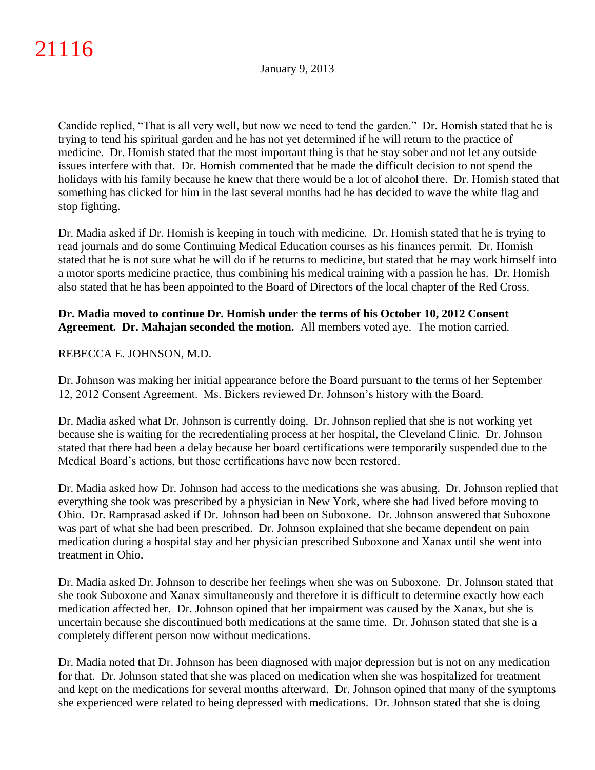Candide replied, "That is all very well, but now we need to tend the garden." Dr. Homish stated that he is trying to tend his spiritual garden and he has not yet determined if he will return to the practice of medicine. Dr. Homish stated that the most important thing is that he stay sober and not let any outside issues interfere with that. Dr. Homish commented that he made the difficult decision to not spend the holidays with his family because he knew that there would be a lot of alcohol there. Dr. Homish stated that something has clicked for him in the last several months had he has decided to wave the white flag and stop fighting.

Dr. Madia asked if Dr. Homish is keeping in touch with medicine. Dr. Homish stated that he is trying to read journals and do some Continuing Medical Education courses as his finances permit. Dr. Homish stated that he is not sure what he will do if he returns to medicine, but stated that he may work himself into a motor sports medicine practice, thus combining his medical training with a passion he has. Dr. Homish also stated that he has been appointed to the Board of Directors of the local chapter of the Red Cross.

## **Dr. Madia moved to continue Dr. Homish under the terms of his October 10, 2012 Consent Agreement. Dr. Mahajan seconded the motion.** All members voted aye. The motion carried.

## REBECCA E. JOHNSON, M.D.

Dr. Johnson was making her initial appearance before the Board pursuant to the terms of her September 12, 2012 Consent Agreement. Ms. Bickers reviewed Dr. Johnson's history with the Board.

Dr. Madia asked what Dr. Johnson is currently doing. Dr. Johnson replied that she is not working yet because she is waiting for the recredentialing process at her hospital, the Cleveland Clinic. Dr. Johnson stated that there had been a delay because her board certifications were temporarily suspended due to the Medical Board's actions, but those certifications have now been restored.

Dr. Madia asked how Dr. Johnson had access to the medications she was abusing. Dr. Johnson replied that everything she took was prescribed by a physician in New York, where she had lived before moving to Ohio. Dr. Ramprasad asked if Dr. Johnson had been on Suboxone. Dr. Johnson answered that Suboxone was part of what she had been prescribed. Dr. Johnson explained that she became dependent on pain medication during a hospital stay and her physician prescribed Suboxone and Xanax until she went into treatment in Ohio.

Dr. Madia asked Dr. Johnson to describe her feelings when she was on Suboxone. Dr. Johnson stated that she took Suboxone and Xanax simultaneously and therefore it is difficult to determine exactly how each medication affected her. Dr. Johnson opined that her impairment was caused by the Xanax, but she is uncertain because she discontinued both medications at the same time. Dr. Johnson stated that she is a completely different person now without medications.

Dr. Madia noted that Dr. Johnson has been diagnosed with major depression but is not on any medication for that. Dr. Johnson stated that she was placed on medication when she was hospitalized for treatment and kept on the medications for several months afterward. Dr. Johnson opined that many of the symptoms she experienced were related to being depressed with medications. Dr. Johnson stated that she is doing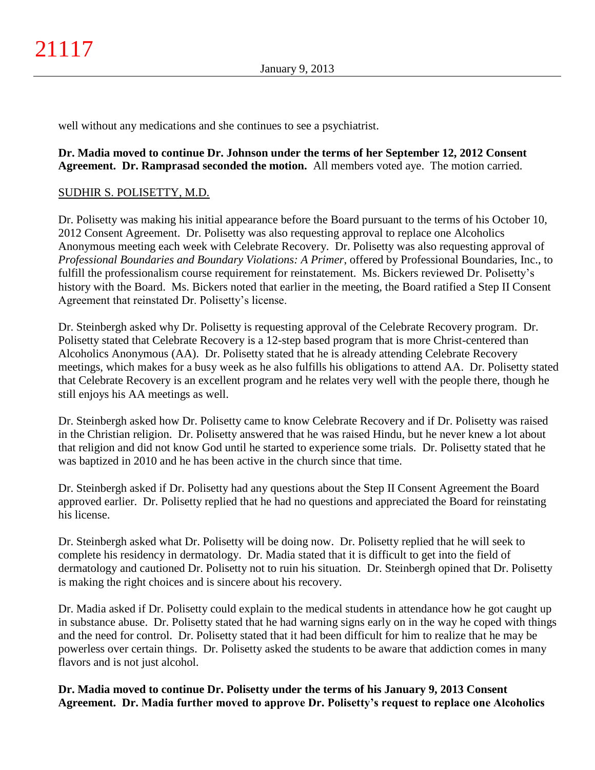well without any medications and she continues to see a psychiatrist.

### **Dr. Madia moved to continue Dr. Johnson under the terms of her September 12, 2012 Consent Agreement. Dr. Ramprasad seconded the motion.** All members voted aye. The motion carried.

## SUDHIR S. POLISETTY, M.D.

Dr. Polisetty was making his initial appearance before the Board pursuant to the terms of his October 10, 2012 Consent Agreement. Dr. Polisetty was also requesting approval to replace one Alcoholics Anonymous meeting each week with Celebrate Recovery. Dr. Polisetty was also requesting approval of *Professional Boundaries and Boundary Violations: A Primer*, offered by Professional Boundaries, Inc., to fulfill the professionalism course requirement for reinstatement. Ms. Bickers reviewed Dr. Polisetty's history with the Board. Ms. Bickers noted that earlier in the meeting, the Board ratified a Step II Consent Agreement that reinstated Dr. Polisetty's license.

Dr. Steinbergh asked why Dr. Polisetty is requesting approval of the Celebrate Recovery program. Dr. Polisetty stated that Celebrate Recovery is a 12-step based program that is more Christ-centered than Alcoholics Anonymous (AA). Dr. Polisetty stated that he is already attending Celebrate Recovery meetings, which makes for a busy week as he also fulfills his obligations to attend AA. Dr. Polisetty stated that Celebrate Recovery is an excellent program and he relates very well with the people there, though he still enjoys his AA meetings as well.

Dr. Steinbergh asked how Dr. Polisetty came to know Celebrate Recovery and if Dr. Polisetty was raised in the Christian religion. Dr. Polisetty answered that he was raised Hindu, but he never knew a lot about that religion and did not know God until he started to experience some trials. Dr. Polisetty stated that he was baptized in 2010 and he has been active in the church since that time.

Dr. Steinbergh asked if Dr. Polisetty had any questions about the Step II Consent Agreement the Board approved earlier. Dr. Polisetty replied that he had no questions and appreciated the Board for reinstating his license.

Dr. Steinbergh asked what Dr. Polisetty will be doing now. Dr. Polisetty replied that he will seek to complete his residency in dermatology. Dr. Madia stated that it is difficult to get into the field of dermatology and cautioned Dr. Polisetty not to ruin his situation. Dr. Steinbergh opined that Dr. Polisetty is making the right choices and is sincere about his recovery.

Dr. Madia asked if Dr. Polisetty could explain to the medical students in attendance how he got caught up in substance abuse. Dr. Polisetty stated that he had warning signs early on in the way he coped with things and the need for control. Dr. Polisetty stated that it had been difficult for him to realize that he may be powerless over certain things. Dr. Polisetty asked the students to be aware that addiction comes in many flavors and is not just alcohol.

**Dr. Madia moved to continue Dr. Polisetty under the terms of his January 9, 2013 Consent Agreement. Dr. Madia further moved to approve Dr. Polisetty's request to replace one Alcoholics**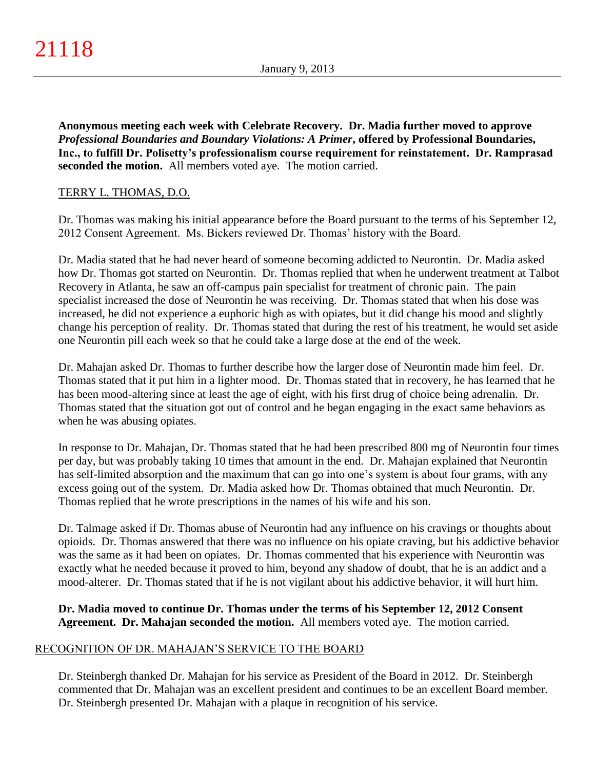**Anonymous meeting each week with Celebrate Recovery. Dr. Madia further moved to approve**  *Professional Boundaries and Boundary Violations: A Primer***, offered by Professional Boundaries, Inc., to fulfill Dr. Polisetty's professionalism course requirement for reinstatement. Dr. Ramprasad seconded the motion.** All members voted aye. The motion carried.

## TERRY L. THOMAS, D.O.

Dr. Thomas was making his initial appearance before the Board pursuant to the terms of his September 12, 2012 Consent Agreement. Ms. Bickers reviewed Dr. Thomas' history with the Board.

Dr. Madia stated that he had never heard of someone becoming addicted to Neurontin. Dr. Madia asked how Dr. Thomas got started on Neurontin. Dr. Thomas replied that when he underwent treatment at Talbot Recovery in Atlanta, he saw an off-campus pain specialist for treatment of chronic pain. The pain specialist increased the dose of Neurontin he was receiving. Dr. Thomas stated that when his dose was increased, he did not experience a euphoric high as with opiates, but it did change his mood and slightly change his perception of reality. Dr. Thomas stated that during the rest of his treatment, he would set aside one Neurontin pill each week so that he could take a large dose at the end of the week.

Dr. Mahajan asked Dr. Thomas to further describe how the larger dose of Neurontin made him feel. Dr. Thomas stated that it put him in a lighter mood. Dr. Thomas stated that in recovery, he has learned that he has been mood-altering since at least the age of eight, with his first drug of choice being adrenalin. Dr. Thomas stated that the situation got out of control and he began engaging in the exact same behaviors as when he was abusing opiates.

In response to Dr. Mahajan, Dr. Thomas stated that he had been prescribed 800 mg of Neurontin four times per day, but was probably taking 10 times that amount in the end. Dr. Mahajan explained that Neurontin has self-limited absorption and the maximum that can go into one's system is about four grams, with any excess going out of the system. Dr. Madia asked how Dr. Thomas obtained that much Neurontin. Dr. Thomas replied that he wrote prescriptions in the names of his wife and his son.

Dr. Talmage asked if Dr. Thomas abuse of Neurontin had any influence on his cravings or thoughts about opioids. Dr. Thomas answered that there was no influence on his opiate craving, but his addictive behavior was the same as it had been on opiates. Dr. Thomas commented that his experience with Neurontin was exactly what he needed because it proved to him, beyond any shadow of doubt, that he is an addict and a mood-alterer. Dr. Thomas stated that if he is not vigilant about his addictive behavior, it will hurt him.

## **Dr. Madia moved to continue Dr. Thomas under the terms of his September 12, 2012 Consent Agreement. Dr. Mahajan seconded the motion.** All members voted aye. The motion carried.

## RECOGNITION OF DR. MAHAJAN'S SERVICE TO THE BOARD

Dr. Steinbergh thanked Dr. Mahajan for his service as President of the Board in 2012. Dr. Steinbergh commented that Dr. Mahajan was an excellent president and continues to be an excellent Board member. Dr. Steinbergh presented Dr. Mahajan with a plaque in recognition of his service.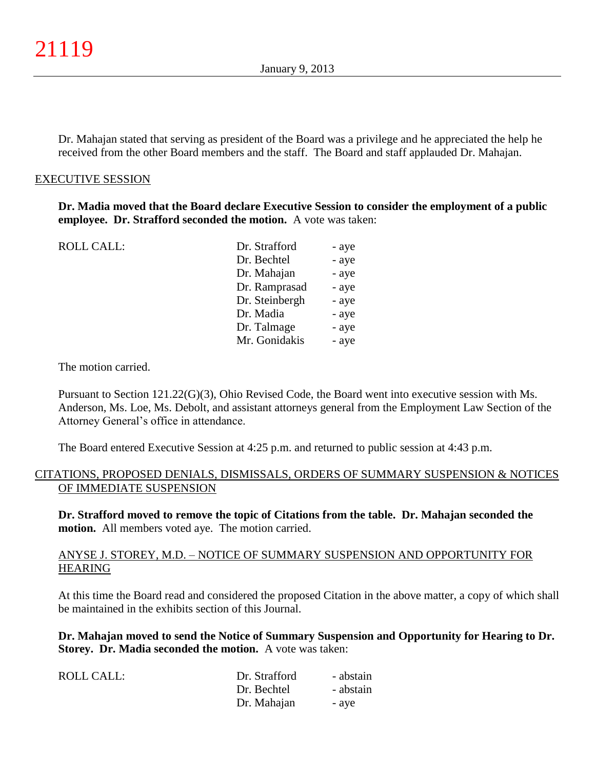Dr. Mahajan stated that serving as president of the Board was a privilege and he appreciated the help he received from the other Board members and the staff. The Board and staff applauded Dr. Mahajan.

#### EXECUTIVE SESSION

**Dr. Madia moved that the Board declare Executive Session to consider the employment of a public employee. Dr. Strafford seconded the motion.** A vote was taken:

| <b>ROLL CALL:</b> | Dr. Strafford  | - aye |
|-------------------|----------------|-------|
|                   | Dr. Bechtel    | - aye |
|                   | Dr. Mahajan    | - aye |
|                   | Dr. Ramprasad  | - aye |
|                   | Dr. Steinbergh | - aye |
|                   | Dr. Madia      | - aye |
|                   | Dr. Talmage    | - aye |
|                   | Mr. Gonidakis  | - aye |

The motion carried.

Pursuant to Section 121.22(G)(3), Ohio Revised Code, the Board went into executive session with Ms. Anderson, Ms. Loe, Ms. Debolt, and assistant attorneys general from the Employment Law Section of the Attorney General's office in attendance.

The Board entered Executive Session at 4:25 p.m. and returned to public session at 4:43 p.m.

#### CITATIONS, PROPOSED DENIALS, DISMISSALS, ORDERS OF SUMMARY SUSPENSION & NOTICES OF IMMEDIATE SUSPENSION

**Dr. Strafford moved to remove the topic of Citations from the table. Dr. Mahajan seconded the motion.** All members voted aye. The motion carried.

#### ANYSE J. STOREY, M.D. – NOTICE OF SUMMARY SUSPENSION AND OPPORTUNITY FOR HEARING

At this time the Board read and considered the proposed Citation in the above matter, a copy of which shall be maintained in the exhibits section of this Journal.

**Dr. Mahajan moved to send the Notice of Summary Suspension and Opportunity for Hearing to Dr. Storey. Dr. Madia seconded the motion.** A vote was taken:

| ROLL CALL: | Dr. Strafford | - abstain |
|------------|---------------|-----------|
|            | Dr. Bechtel   | - abstain |
|            | Dr. Mahajan   | - ave     |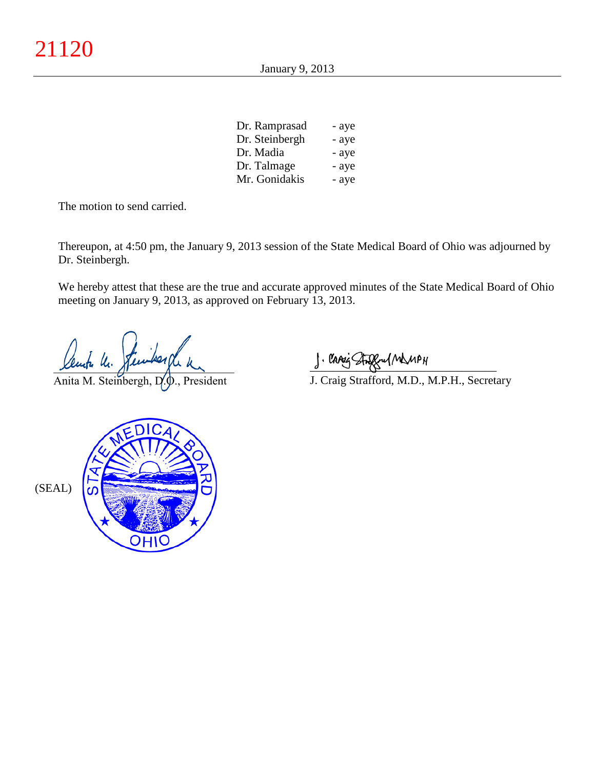| Dr. Ramprasad  | - aye |
|----------------|-------|
| Dr. Steinbergh | - aye |
| Dr. Madia      | - aye |
| Dr. Talmage    | - aye |
| Mr. Gonidakis  | - aye |

The motion to send carried.

Thereupon, at 4:50 pm, the January 9, 2013 session of the State Medical Board of Ohio was adjourned by Dr. Steinbergh.

We hereby attest that these are the true and accurate approved minutes of the State Medical Board of Ohio meeting on January 9, 2013, as approved on February 13, 2013.

ente le.

Anita M. Steinbergh, D.O., President

 $\frac{1}{2}$  and since  $\frac{1}{2}$ 

J. Craig Strafford, M.D., M.P.H., Secretary

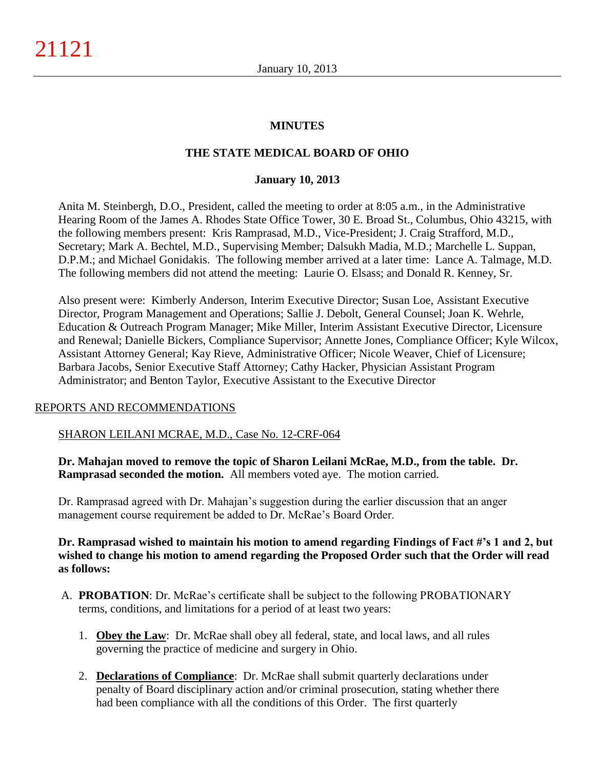## **MINUTES**

## **THE STATE MEDICAL BOARD OF OHIO**

#### **January 10, 2013**

Anita M. Steinbergh, D.O., President, called the meeting to order at 8:05 a.m., in the Administrative Hearing Room of the James A. Rhodes State Office Tower, 30 E. Broad St., Columbus, Ohio 43215, with the following members present: Kris Ramprasad, M.D., Vice-President; J. Craig Strafford, M.D., Secretary; Mark A. Bechtel, M.D., Supervising Member; Dalsukh Madia, M.D.; Marchelle L. Suppan, D.P.M.; and Michael Gonidakis. The following member arrived at a later time: Lance A. Talmage, M.D. The following members did not attend the meeting: Laurie O. Elsass; and Donald R. Kenney, Sr.

Also present were: Kimberly Anderson, Interim Executive Director; Susan Loe, Assistant Executive Director, Program Management and Operations; Sallie J. Debolt, General Counsel; Joan K. Wehrle, Education & Outreach Program Manager; Mike Miller, Interim Assistant Executive Director, Licensure and Renewal; Danielle Bickers, Compliance Supervisor; Annette Jones, Compliance Officer; Kyle Wilcox, Assistant Attorney General; Kay Rieve, Administrative Officer; Nicole Weaver, Chief of Licensure; Barbara Jacobs, Senior Executive Staff Attorney; Cathy Hacker, Physician Assistant Program Administrator; and Benton Taylor, Executive Assistant to the Executive Director

### REPORTS AND RECOMMENDATIONS

### SHARON LEILANI MCRAE, M.D., Case No. 12-CRF-064

**Dr. Mahajan moved to remove the topic of Sharon Leilani McRae, M.D., from the table. Dr. Ramprasad seconded the motion.** All members voted aye. The motion carried.

Dr. Ramprasad agreed with Dr. Mahajan's suggestion during the earlier discussion that an anger management course requirement be added to Dr. McRae's Board Order.

## **Dr. Ramprasad wished to maintain his motion to amend regarding Findings of Fact #'s 1 and 2, but wished to change his motion to amend regarding the Proposed Order such that the Order will read as follows:**

- A. **PROBATION**: Dr. McRae's certificate shall be subject to the following PROBATIONARY terms, conditions, and limitations for a period of at least two years:
	- 1. **Obey the Law**: Dr. McRae shall obey all federal, state, and local laws, and all rules governing the practice of medicine and surgery in Ohio.
	- 2. **Declarations of Compliance**: Dr. McRae shall submit quarterly declarations under penalty of Board disciplinary action and/or criminal prosecution, stating whether there had been compliance with all the conditions of this Order. The first quarterly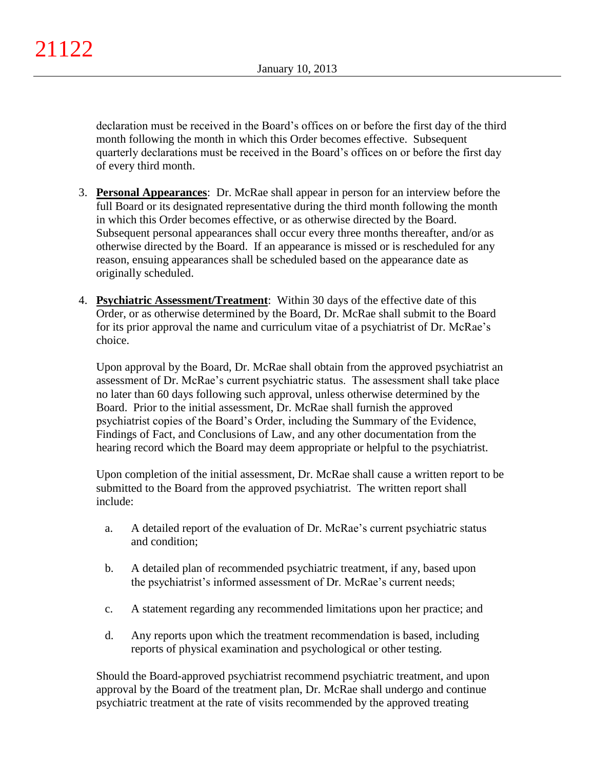declaration must be received in the Board's offices on or before the first day of the third month following the month in which this Order becomes effective. Subsequent quarterly declarations must be received in the Board's offices on or before the first day of every third month.

- 3. **Personal Appearances**: Dr. McRae shall appear in person for an interview before the full Board or its designated representative during the third month following the month in which this Order becomes effective, or as otherwise directed by the Board. Subsequent personal appearances shall occur every three months thereafter, and/or as otherwise directed by the Board. If an appearance is missed or is rescheduled for any reason, ensuing appearances shall be scheduled based on the appearance date as originally scheduled.
- 4. **Psychiatric Assessment/Treatment**: Within 30 days of the effective date of this Order, or as otherwise determined by the Board, Dr. McRae shall submit to the Board for its prior approval the name and curriculum vitae of a psychiatrist of Dr. McRae's choice.

Upon approval by the Board, Dr. McRae shall obtain from the approved psychiatrist an assessment of Dr. McRae's current psychiatric status. The assessment shall take place no later than 60 days following such approval, unless otherwise determined by the Board. Prior to the initial assessment, Dr. McRae shall furnish the approved psychiatrist copies of the Board's Order, including the Summary of the Evidence, Findings of Fact, and Conclusions of Law, and any other documentation from the hearing record which the Board may deem appropriate or helpful to the psychiatrist.

Upon completion of the initial assessment, Dr. McRae shall cause a written report to be submitted to the Board from the approved psychiatrist. The written report shall include:

- a. A detailed report of the evaluation of Dr. McRae's current psychiatric status and condition;
- b. A detailed plan of recommended psychiatric treatment, if any, based upon the psychiatrist's informed assessment of Dr. McRae's current needs;
- c. A statement regarding any recommended limitations upon her practice; and
- d. Any reports upon which the treatment recommendation is based, including reports of physical examination and psychological or other testing.

Should the Board-approved psychiatrist recommend psychiatric treatment, and upon approval by the Board of the treatment plan, Dr. McRae shall undergo and continue psychiatric treatment at the rate of visits recommended by the approved treating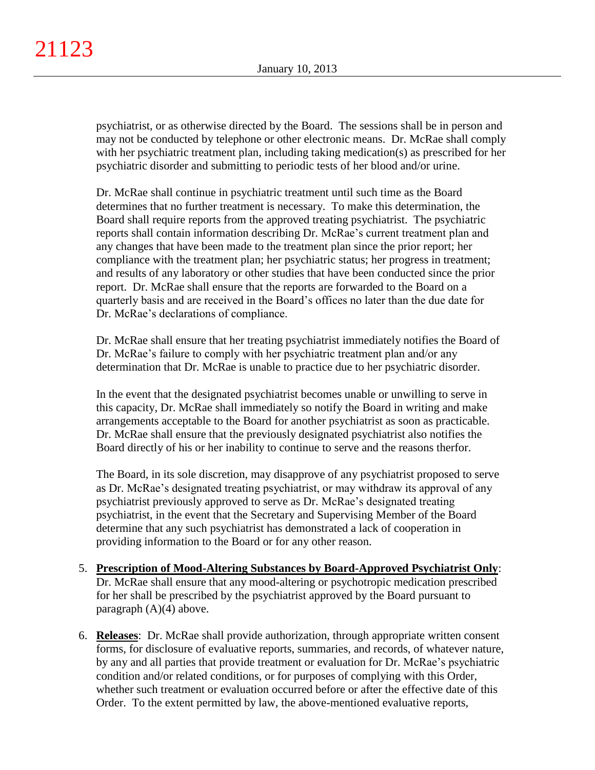psychiatrist, or as otherwise directed by the Board. The sessions shall be in person and may not be conducted by telephone or other electronic means. Dr. McRae shall comply with her psychiatric treatment plan, including taking medication(s) as prescribed for her psychiatric disorder and submitting to periodic tests of her blood and/or urine.

Dr. McRae shall continue in psychiatric treatment until such time as the Board determines that no further treatment is necessary. To make this determination, the Board shall require reports from the approved treating psychiatrist. The psychiatric reports shall contain information describing Dr. McRae's current treatment plan and any changes that have been made to the treatment plan since the prior report; her compliance with the treatment plan; her psychiatric status; her progress in treatment; and results of any laboratory or other studies that have been conducted since the prior report. Dr. McRae shall ensure that the reports are forwarded to the Board on a quarterly basis and are received in the Board's offices no later than the due date for Dr. McRae's declarations of compliance.

Dr. McRae shall ensure that her treating psychiatrist immediately notifies the Board of Dr. McRae's failure to comply with her psychiatric treatment plan and/or any determination that Dr. McRae is unable to practice due to her psychiatric disorder.

In the event that the designated psychiatrist becomes unable or unwilling to serve in this capacity, Dr. McRae shall immediately so notify the Board in writing and make arrangements acceptable to the Board for another psychiatrist as soon as practicable. Dr. McRae shall ensure that the previously designated psychiatrist also notifies the Board directly of his or her inability to continue to serve and the reasons therfor.

The Board, in its sole discretion, may disapprove of any psychiatrist proposed to serve as Dr. McRae's designated treating psychiatrist, or may withdraw its approval of any psychiatrist previously approved to serve as Dr. McRae's designated treating psychiatrist, in the event that the Secretary and Supervising Member of the Board determine that any such psychiatrist has demonstrated a lack of cooperation in providing information to the Board or for any other reason.

- 5. **Prescription of Mood-Altering Substances by Board-Approved Psychiatrist Only**: Dr. McRae shall ensure that any mood-altering or psychotropic medication prescribed for her shall be prescribed by the psychiatrist approved by the Board pursuant to paragraph (A)(4) above.
- 6. **Releases**: Dr. McRae shall provide authorization, through appropriate written consent forms, for disclosure of evaluative reports, summaries, and records, of whatever nature, by any and all parties that provide treatment or evaluation for Dr. McRae's psychiatric condition and/or related conditions, or for purposes of complying with this Order, whether such treatment or evaluation occurred before or after the effective date of this Order. To the extent permitted by law, the above-mentioned evaluative reports,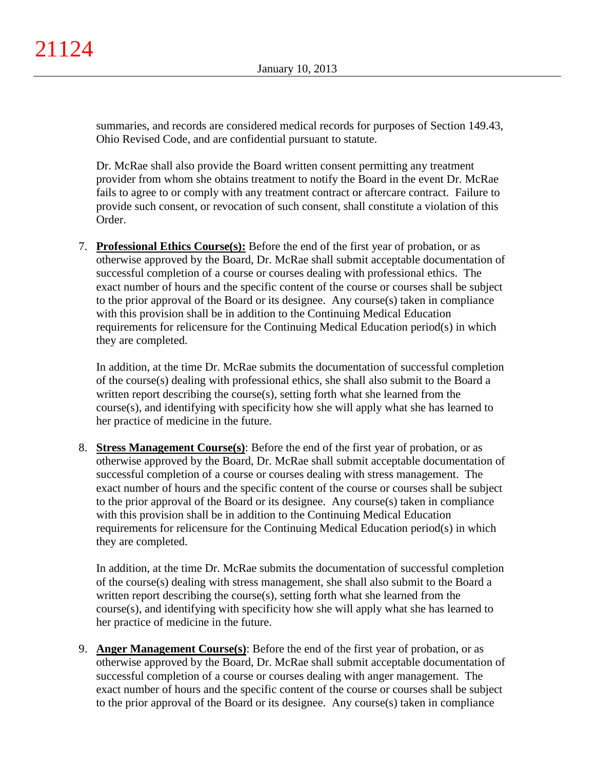summaries, and records are considered medical records for purposes of Section 149.43, Ohio Revised Code, and are confidential pursuant to statute.

Dr. McRae shall also provide the Board written consent permitting any treatment provider from whom she obtains treatment to notify the Board in the event Dr. McRae fails to agree to or comply with any treatment contract or aftercare contract. Failure to provide such consent, or revocation of such consent, shall constitute a violation of this Order.

7. **Professional Ethics Course(s):** Before the end of the first year of probation, or as otherwise approved by the Board, Dr. McRae shall submit acceptable documentation of successful completion of a course or courses dealing with professional ethics. The exact number of hours and the specific content of the course or courses shall be subject to the prior approval of the Board or its designee. Any course(s) taken in compliance with this provision shall be in addition to the Continuing Medical Education requirements for relicensure for the Continuing Medical Education period(s) in which they are completed.

In addition, at the time Dr. McRae submits the documentation of successful completion of the course(s) dealing with professional ethics, she shall also submit to the Board a written report describing the course(s), setting forth what she learned from the course(s), and identifying with specificity how she will apply what she has learned to her practice of medicine in the future.

8. **Stress Management Course(s)**: Before the end of the first year of probation, or as otherwise approved by the Board, Dr. McRae shall submit acceptable documentation of successful completion of a course or courses dealing with stress management. The exact number of hours and the specific content of the course or courses shall be subject to the prior approval of the Board or its designee. Any course(s) taken in compliance with this provision shall be in addition to the Continuing Medical Education requirements for relicensure for the Continuing Medical Education period(s) in which they are completed.

In addition, at the time Dr. McRae submits the documentation of successful completion of the course(s) dealing with stress management, she shall also submit to the Board a written report describing the course(s), setting forth what she learned from the course(s), and identifying with specificity how she will apply what she has learned to her practice of medicine in the future.

9. **Anger Management Course(s)**: Before the end of the first year of probation, or as otherwise approved by the Board, Dr. McRae shall submit acceptable documentation of successful completion of a course or courses dealing with anger management. The exact number of hours and the specific content of the course or courses shall be subject to the prior approval of the Board or its designee. Any course(s) taken in compliance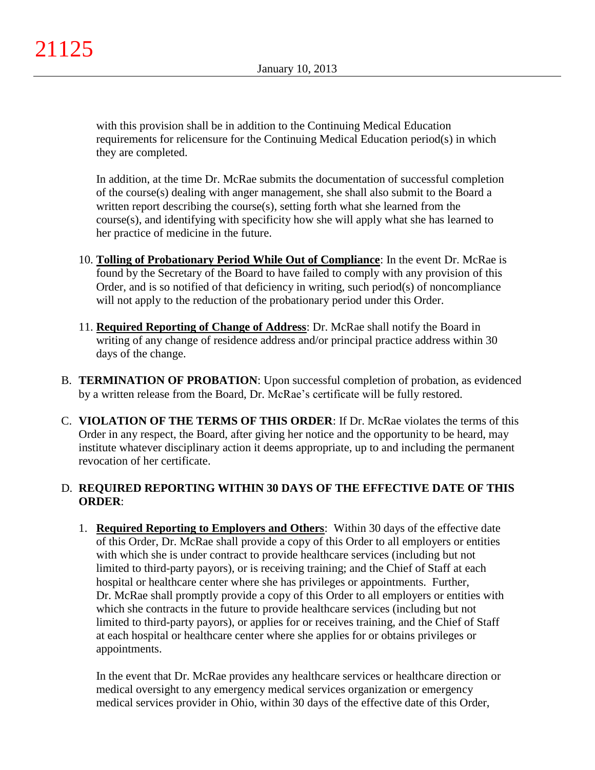with this provision shall be in addition to the Continuing Medical Education requirements for relicensure for the Continuing Medical Education period(s) in which they are completed.

In addition, at the time Dr. McRae submits the documentation of successful completion of the course(s) dealing with anger management, she shall also submit to the Board a written report describing the course(s), setting forth what she learned from the course(s), and identifying with specificity how she will apply what she has learned to her practice of medicine in the future.

- 10. **Tolling of Probationary Period While Out of Compliance**: In the event Dr. McRae is found by the Secretary of the Board to have failed to comply with any provision of this Order, and is so notified of that deficiency in writing, such period(s) of noncompliance will not apply to the reduction of the probationary period under this Order.
- 11. **Required Reporting of Change of Address**: Dr. McRae shall notify the Board in writing of any change of residence address and/or principal practice address within 30 days of the change.
- B. **TERMINATION OF PROBATION**: Upon successful completion of probation, as evidenced by a written release from the Board, Dr. McRae's certificate will be fully restored.
- C. **VIOLATION OF THE TERMS OF THIS ORDER**: If Dr. McRae violates the terms of this Order in any respect, the Board, after giving her notice and the opportunity to be heard, may institute whatever disciplinary action it deems appropriate, up to and including the permanent revocation of her certificate.

## D. **REQUIRED REPORTING WITHIN 30 DAYS OF THE EFFECTIVE DATE OF THIS ORDER**:

1. **Required Reporting to Employers and Others**: Within 30 days of the effective date of this Order, Dr. McRae shall provide a copy of this Order to all employers or entities with which she is under contract to provide healthcare services (including but not limited to third-party payors), or is receiving training; and the Chief of Staff at each hospital or healthcare center where she has privileges or appointments. Further, Dr. McRae shall promptly provide a copy of this Order to all employers or entities with which she contracts in the future to provide healthcare services (including but not limited to third-party payors), or applies for or receives training, and the Chief of Staff at each hospital or healthcare center where she applies for or obtains privileges or appointments.

In the event that Dr. McRae provides any healthcare services or healthcare direction or medical oversight to any emergency medical services organization or emergency medical services provider in Ohio, within 30 days of the effective date of this Order,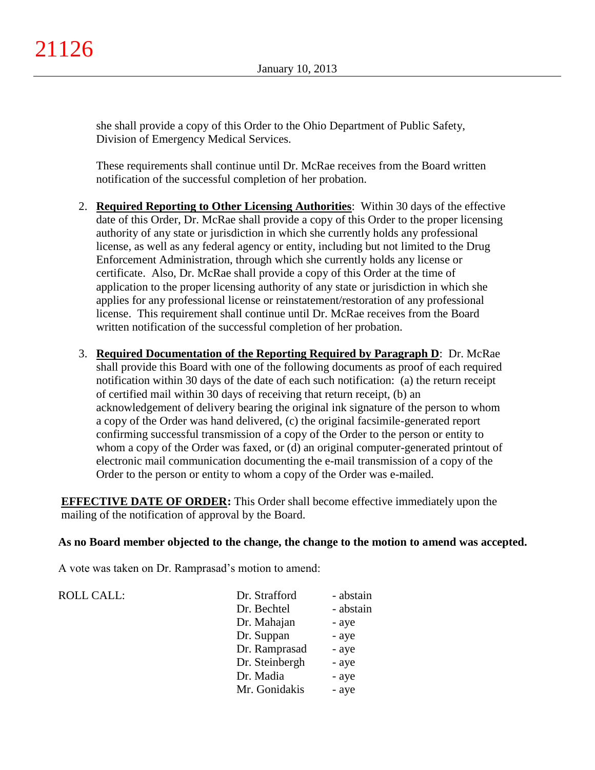she shall provide a copy of this Order to the Ohio Department of Public Safety, Division of Emergency Medical Services.

These requirements shall continue until Dr. McRae receives from the Board written notification of the successful completion of her probation.

- 2. **Required Reporting to Other Licensing Authorities**: Within 30 days of the effective date of this Order, Dr. McRae shall provide a copy of this Order to the proper licensing authority of any state or jurisdiction in which she currently holds any professional license, as well as any federal agency or entity, including but not limited to the Drug Enforcement Administration, through which she currently holds any license or certificate. Also, Dr. McRae shall provide a copy of this Order at the time of application to the proper licensing authority of any state or jurisdiction in which she applies for any professional license or reinstatement/restoration of any professional license. This requirement shall continue until Dr. McRae receives from the Board written notification of the successful completion of her probation.
- 3. **Required Documentation of the Reporting Required by Paragraph D**: Dr. McRae shall provide this Board with one of the following documents as proof of each required notification within 30 days of the date of each such notification: (a) the return receipt of certified mail within 30 days of receiving that return receipt, (b) an acknowledgement of delivery bearing the original ink signature of the person to whom a copy of the Order was hand delivered, (c) the original facsimile-generated report confirming successful transmission of a copy of the Order to the person or entity to whom a copy of the Order was faxed, or (d) an original computer-generated printout of electronic mail communication documenting the e-mail transmission of a copy of the Order to the person or entity to whom a copy of the Order was e-mailed.

**EFFECTIVE DATE OF ORDER:** This Order shall become effective immediately upon the mailing of the notification of approval by the Board.

### **As no Board member objected to the change, the change to the motion to amend was accepted.**

A vote was taken on Dr. Ramprasad's motion to amend:

#### ROLL CALL:

| Dr. Strafford  | - abstain |
|----------------|-----------|
| Dr. Bechtel    | - abstain |
| Dr. Mahajan    | - aye     |
| Dr. Suppan     | - aye     |
| Dr. Ramprasad  | - aye     |
| Dr. Steinbergh | - aye     |
| Dr. Madia      | - aye     |
| Mr. Gonidakis  | - aye     |
|                |           |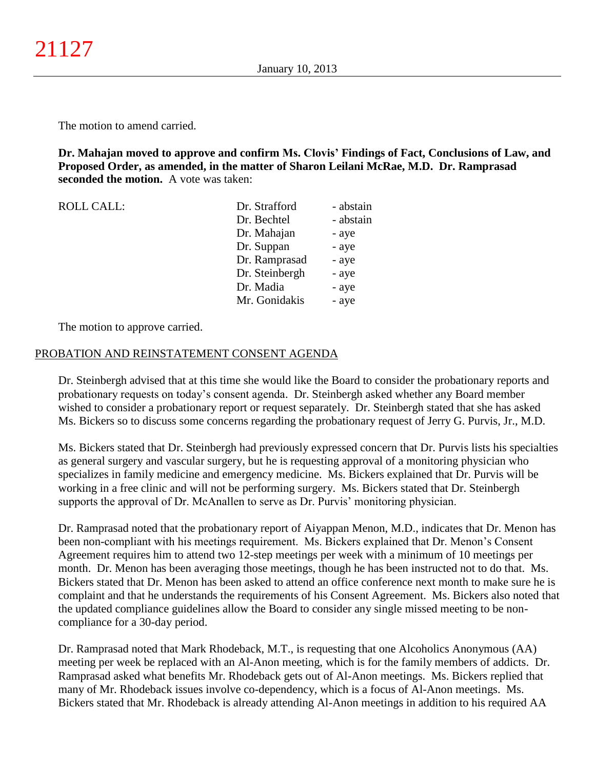The motion to amend carried.

**Dr. Mahajan moved to approve and confirm Ms. Clovis' Findings of Fact, Conclusions of Law, and Proposed Order, as amended, in the matter of Sharon Leilani McRae, M.D. Dr. Ramprasad seconded the motion.** A vote was taken:

| <b>ROLL CALL:</b> | Dr. Strafford  | - abstain |
|-------------------|----------------|-----------|
|                   | Dr. Bechtel    | - abstain |
|                   | Dr. Mahajan    | - aye     |
|                   | Dr. Suppan     | - aye     |
|                   | Dr. Ramprasad  | - aye     |
|                   | Dr. Steinbergh | - aye     |
|                   | Dr. Madia      | - aye     |
|                   | Mr. Gonidakis  | - aye     |

The motion to approve carried.

#### PROBATION AND REINSTATEMENT CONSENT AGENDA

Dr. Steinbergh advised that at this time she would like the Board to consider the probationary reports and probationary requests on today's consent agenda. Dr. Steinbergh asked whether any Board member wished to consider a probationary report or request separately. Dr. Steinbergh stated that she has asked Ms. Bickers so to discuss some concerns regarding the probationary request of Jerry G. Purvis, Jr., M.D.

Ms. Bickers stated that Dr. Steinbergh had previously expressed concern that Dr. Purvis lists his specialties as general surgery and vascular surgery, but he is requesting approval of a monitoring physician who specializes in family medicine and emergency medicine. Ms. Bickers explained that Dr. Purvis will be working in a free clinic and will not be performing surgery. Ms. Bickers stated that Dr. Steinbergh supports the approval of Dr. McAnallen to serve as Dr. Purvis' monitoring physician.

Dr. Ramprasad noted that the probationary report of Aiyappan Menon, M.D., indicates that Dr. Menon has been non-compliant with his meetings requirement. Ms. Bickers explained that Dr. Menon's Consent Agreement requires him to attend two 12-step meetings per week with a minimum of 10 meetings per month. Dr. Menon has been averaging those meetings, though he has been instructed not to do that. Ms. Bickers stated that Dr. Menon has been asked to attend an office conference next month to make sure he is complaint and that he understands the requirements of his Consent Agreement. Ms. Bickers also noted that the updated compliance guidelines allow the Board to consider any single missed meeting to be noncompliance for a 30-day period.

Dr. Ramprasad noted that Mark Rhodeback, M.T., is requesting that one Alcoholics Anonymous (AA) meeting per week be replaced with an Al-Anon meeting, which is for the family members of addicts. Dr. Ramprasad asked what benefits Mr. Rhodeback gets out of Al-Anon meetings. Ms. Bickers replied that many of Mr. Rhodeback issues involve co-dependency, which is a focus of Al-Anon meetings. Ms. Bickers stated that Mr. Rhodeback is already attending Al-Anon meetings in addition to his required AA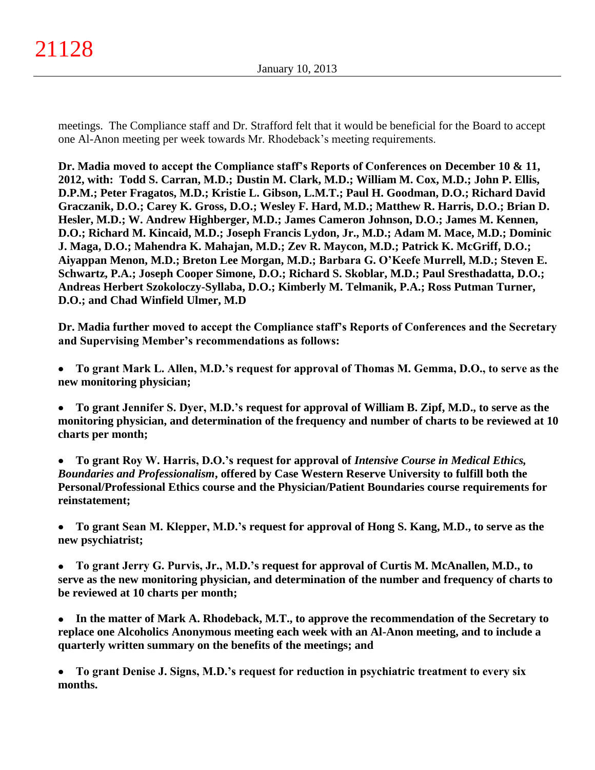meetings. The Compliance staff and Dr. Strafford felt that it would be beneficial for the Board to accept one Al-Anon meeting per week towards Mr. Rhodeback's meeting requirements.

**Dr. Madia moved to accept the Compliance staff's Reports of Conferences on December 10 & 11, 2012, with: Todd S. Carran, M.D.; Dustin M. Clark, M.D.; William M. Cox, M.D.; John P. Ellis, D.P.M.; Peter Fragatos, M.D.; Kristie L. Gibson, L.M.T.; Paul H. Goodman, D.O.; Richard David Graczanik, D.O.; Carey K. Gross, D.O.; Wesley F. Hard, M.D.; Matthew R. Harris, D.O.; Brian D. Hesler, M.D.; W. Andrew Highberger, M.D.; James Cameron Johnson, D.O.; James M. Kennen, D.O.; Richard M. Kincaid, M.D.; Joseph Francis Lydon, Jr., M.D.; Adam M. Mace, M.D.; Dominic J. Maga, D.O.; Mahendra K. Mahajan, M.D.; Zev R. Maycon, M.D.; Patrick K. McGriff, D.O.; Aiyappan Menon, M.D.; Breton Lee Morgan, M.D.; Barbara G. O'Keefe Murrell, M.D.; Steven E. Schwartz, P.A.; Joseph Cooper Simone, D.O.; Richard S. Skoblar, M.D.; Paul Sresthadatta, D.O.; Andreas Herbert Szokoloczy-Syllaba, D.O.; Kimberly M. Telmanik, P.A.; Ross Putman Turner, D.O.; and Chad Winfield Ulmer, M.D**

**Dr. Madia further moved to accept the Compliance staff's Reports of Conferences and the Secretary and Supervising Member's recommendations as follows:**

- **To grant Mark L. Allen, M.D.'s request for approval of Thomas M. Gemma, D.O., to serve as the**   $\bullet$ **new monitoring physician;**
- **To grant Jennifer S. Dyer, M.D.'s request for approval of William B. Zipf, M.D., to serve as the**   $\bullet$ **monitoring physician, and determination of the frequency and number of charts to be reviewed at 10 charts per month;**
- **To grant Roy W. Harris, D.O.'s request for approval of** *Intensive Course in Medical Ethics,*   $\bullet$ *Boundaries and Professionalism***, offered by Case Western Reserve University to fulfill both the Personal/Professional Ethics course and the Physician/Patient Boundaries course requirements for reinstatement;**
- **To grant Sean M. Klepper, M.D.'s request for approval of Hong S. Kang, M.D., to serve as the**   $\bullet$ **new psychiatrist;**
- **To grant Jerry G. Purvis, Jr., M.D.'s request for approval of Curtis M. McAnallen, M.D., to serve as the new monitoring physician, and determination of the number and frequency of charts to be reviewed at 10 charts per month;**
- **In the matter of Mark A. Rhodeback, M.T., to approve the recommendation of the Secretary to replace one Alcoholics Anonymous meeting each week with an Al-Anon meeting, and to include a quarterly written summary on the benefits of the meetings; and**
- **To grant Denise J. Signs, M.D.'s request for reduction in psychiatric treatment to every six**   $\bullet$ **months.**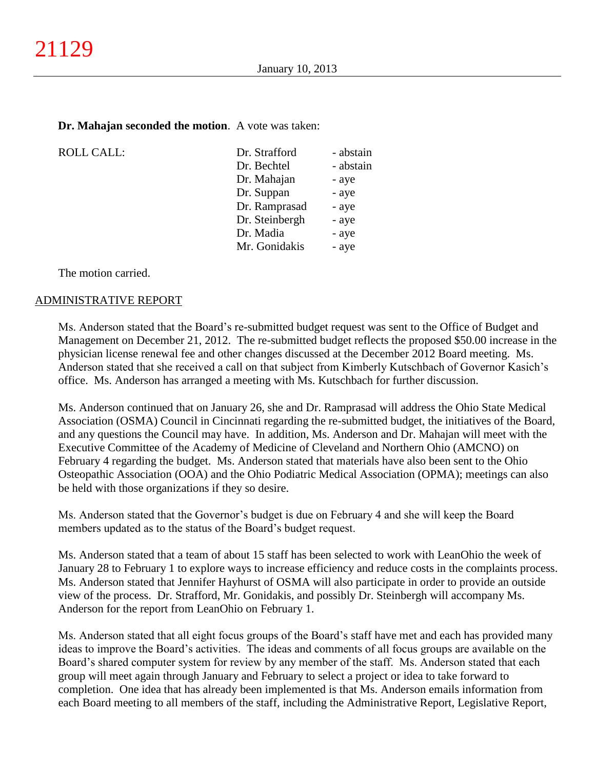#### **Dr. Mahajan seconded the motion**. A vote was taken:

| <b>ROLL CALL:</b> | Dr. Strafford  | - abstain |
|-------------------|----------------|-----------|
|                   | Dr. Bechtel    | - abstain |
|                   | Dr. Mahajan    | - aye     |
|                   | Dr. Suppan     | - aye     |
|                   | Dr. Ramprasad  | - aye     |
|                   | Dr. Steinbergh | - aye     |
|                   | Dr. Madia      | - aye     |
|                   | Mr. Gonidakis  | - aye     |
|                   |                |           |

The motion carried.

#### ADMINISTRATIVE REPORT

Ms. Anderson stated that the Board's re-submitted budget request was sent to the Office of Budget and Management on December 21, 2012. The re-submitted budget reflects the proposed \$50.00 increase in the physician license renewal fee and other changes discussed at the December 2012 Board meeting. Ms. Anderson stated that she received a call on that subject from Kimberly Kutschbach of Governor Kasich's office. Ms. Anderson has arranged a meeting with Ms. Kutschbach for further discussion.

Ms. Anderson continued that on January 26, she and Dr. Ramprasad will address the Ohio State Medical Association (OSMA) Council in Cincinnati regarding the re-submitted budget, the initiatives of the Board, and any questions the Council may have. In addition, Ms. Anderson and Dr. Mahajan will meet with the Executive Committee of the Academy of Medicine of Cleveland and Northern Ohio (AMCNO) on February 4 regarding the budget. Ms. Anderson stated that materials have also been sent to the Ohio Osteopathic Association (OOA) and the Ohio Podiatric Medical Association (OPMA); meetings can also be held with those organizations if they so desire.

Ms. Anderson stated that the Governor's budget is due on February 4 and she will keep the Board members updated as to the status of the Board's budget request.

Ms. Anderson stated that a team of about 15 staff has been selected to work with LeanOhio the week of January 28 to February 1 to explore ways to increase efficiency and reduce costs in the complaints process. Ms. Anderson stated that Jennifer Hayhurst of OSMA will also participate in order to provide an outside view of the process. Dr. Strafford, Mr. Gonidakis, and possibly Dr. Steinbergh will accompany Ms. Anderson for the report from LeanOhio on February 1.

Ms. Anderson stated that all eight focus groups of the Board's staff have met and each has provided many ideas to improve the Board's activities. The ideas and comments of all focus groups are available on the Board's shared computer system for review by any member of the staff. Ms. Anderson stated that each group will meet again through January and February to select a project or idea to take forward to completion. One idea that has already been implemented is that Ms. Anderson emails information from each Board meeting to all members of the staff, including the Administrative Report, Legislative Report,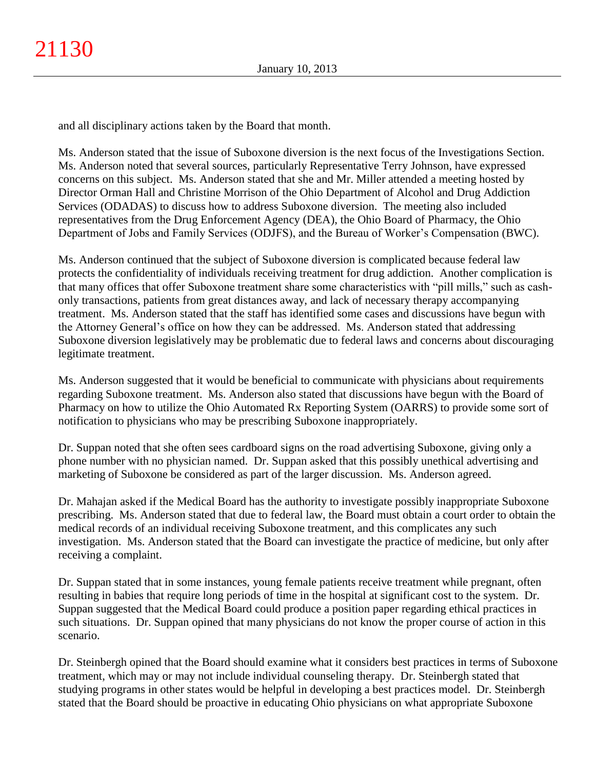and all disciplinary actions taken by the Board that month.

Ms. Anderson stated that the issue of Suboxone diversion is the next focus of the Investigations Section. Ms. Anderson noted that several sources, particularly Representative Terry Johnson, have expressed concerns on this subject. Ms. Anderson stated that she and Mr. Miller attended a meeting hosted by Director Orman Hall and Christine Morrison of the Ohio Department of Alcohol and Drug Addiction Services (ODADAS) to discuss how to address Suboxone diversion. The meeting also included representatives from the Drug Enforcement Agency (DEA), the Ohio Board of Pharmacy, the Ohio Department of Jobs and Family Services (ODJFS), and the Bureau of Worker's Compensation (BWC).

Ms. Anderson continued that the subject of Suboxone diversion is complicated because federal law protects the confidentiality of individuals receiving treatment for drug addiction. Another complication is that many offices that offer Suboxone treatment share some characteristics with "pill mills," such as cashonly transactions, patients from great distances away, and lack of necessary therapy accompanying treatment. Ms. Anderson stated that the staff has identified some cases and discussions have begun with the Attorney General's office on how they can be addressed. Ms. Anderson stated that addressing Suboxone diversion legislatively may be problematic due to federal laws and concerns about discouraging legitimate treatment.

Ms. Anderson suggested that it would be beneficial to communicate with physicians about requirements regarding Suboxone treatment. Ms. Anderson also stated that discussions have begun with the Board of Pharmacy on how to utilize the Ohio Automated Rx Reporting System (OARRS) to provide some sort of notification to physicians who may be prescribing Suboxone inappropriately.

Dr. Suppan noted that she often sees cardboard signs on the road advertising Suboxone, giving only a phone number with no physician named. Dr. Suppan asked that this possibly unethical advertising and marketing of Suboxone be considered as part of the larger discussion. Ms. Anderson agreed.

Dr. Mahajan asked if the Medical Board has the authority to investigate possibly inappropriate Suboxone prescribing. Ms. Anderson stated that due to federal law, the Board must obtain a court order to obtain the medical records of an individual receiving Suboxone treatment, and this complicates any such investigation. Ms. Anderson stated that the Board can investigate the practice of medicine, but only after receiving a complaint.

Dr. Suppan stated that in some instances, young female patients receive treatment while pregnant, often resulting in babies that require long periods of time in the hospital at significant cost to the system. Dr. Suppan suggested that the Medical Board could produce a position paper regarding ethical practices in such situations. Dr. Suppan opined that many physicians do not know the proper course of action in this scenario.

Dr. Steinbergh opined that the Board should examine what it considers best practices in terms of Suboxone treatment, which may or may not include individual counseling therapy. Dr. Steinbergh stated that studying programs in other states would be helpful in developing a best practices model. Dr. Steinbergh stated that the Board should be proactive in educating Ohio physicians on what appropriate Suboxone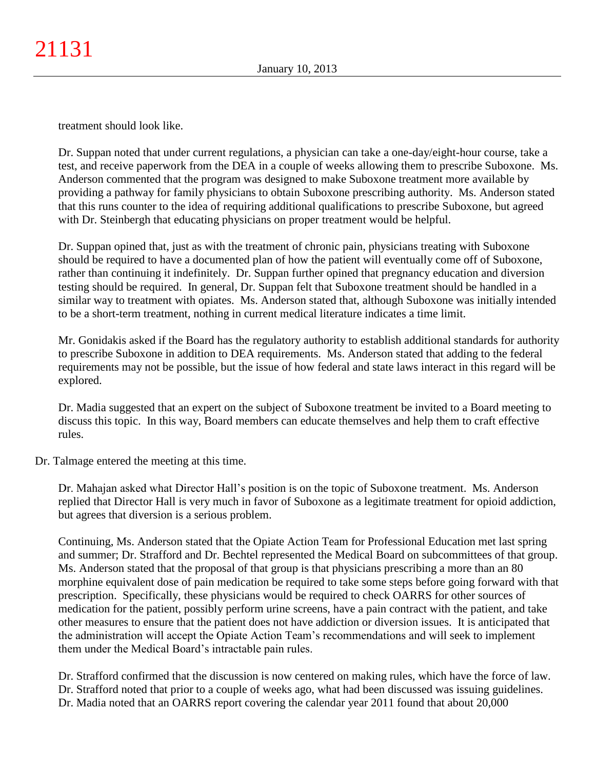treatment should look like.

Dr. Suppan noted that under current regulations, a physician can take a one-day/eight-hour course, take a test, and receive paperwork from the DEA in a couple of weeks allowing them to prescribe Suboxone. Ms. Anderson commented that the program was designed to make Suboxone treatment more available by providing a pathway for family physicians to obtain Suboxone prescribing authority. Ms. Anderson stated that this runs counter to the idea of requiring additional qualifications to prescribe Suboxone, but agreed with Dr. Steinbergh that educating physicians on proper treatment would be helpful.

Dr. Suppan opined that, just as with the treatment of chronic pain, physicians treating with Suboxone should be required to have a documented plan of how the patient will eventually come off of Suboxone, rather than continuing it indefinitely. Dr. Suppan further opined that pregnancy education and diversion testing should be required. In general, Dr. Suppan felt that Suboxone treatment should be handled in a similar way to treatment with opiates. Ms. Anderson stated that, although Suboxone was initially intended to be a short-term treatment, nothing in current medical literature indicates a time limit.

Mr. Gonidakis asked if the Board has the regulatory authority to establish additional standards for authority to prescribe Suboxone in addition to DEA requirements. Ms. Anderson stated that adding to the federal requirements may not be possible, but the issue of how federal and state laws interact in this regard will be explored.

Dr. Madia suggested that an expert on the subject of Suboxone treatment be invited to a Board meeting to discuss this topic. In this way, Board members can educate themselves and help them to craft effective rules.

Dr. Talmage entered the meeting at this time.

Dr. Mahajan asked what Director Hall's position is on the topic of Suboxone treatment. Ms. Anderson replied that Director Hall is very much in favor of Suboxone as a legitimate treatment for opioid addiction, but agrees that diversion is a serious problem.

Continuing, Ms. Anderson stated that the Opiate Action Team for Professional Education met last spring and summer; Dr. Strafford and Dr. Bechtel represented the Medical Board on subcommittees of that group. Ms. Anderson stated that the proposal of that group is that physicians prescribing a more than an 80 morphine equivalent dose of pain medication be required to take some steps before going forward with that prescription. Specifically, these physicians would be required to check OARRS for other sources of medication for the patient, possibly perform urine screens, have a pain contract with the patient, and take other measures to ensure that the patient does not have addiction or diversion issues. It is anticipated that the administration will accept the Opiate Action Team's recommendations and will seek to implement them under the Medical Board's intractable pain rules.

Dr. Strafford confirmed that the discussion is now centered on making rules, which have the force of law. Dr. Strafford noted that prior to a couple of weeks ago, what had been discussed was issuing guidelines. Dr. Madia noted that an OARRS report covering the calendar year 2011 found that about 20,000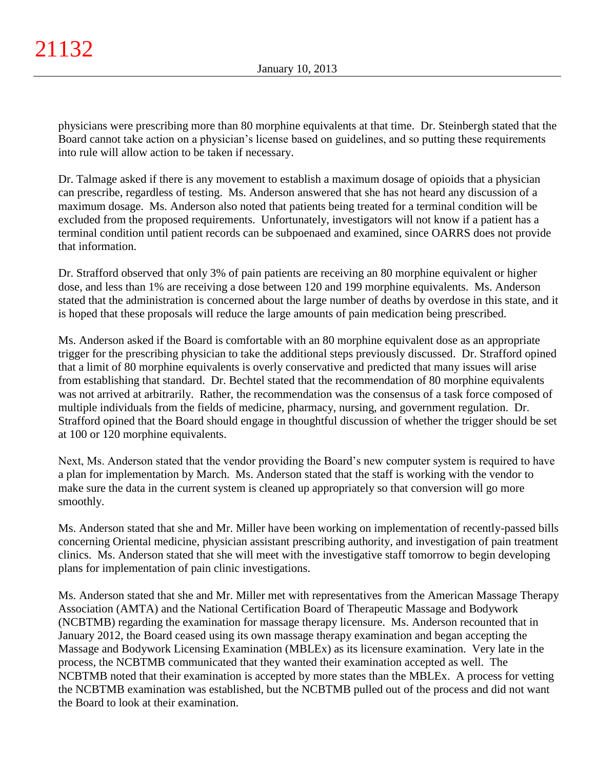physicians were prescribing more than 80 morphine equivalents at that time. Dr. Steinbergh stated that the Board cannot take action on a physician's license based on guidelines, and so putting these requirements into rule will allow action to be taken if necessary.

Dr. Talmage asked if there is any movement to establish a maximum dosage of opioids that a physician can prescribe, regardless of testing. Ms. Anderson answered that she has not heard any discussion of a maximum dosage. Ms. Anderson also noted that patients being treated for a terminal condition will be excluded from the proposed requirements. Unfortunately, investigators will not know if a patient has a terminal condition until patient records can be subpoenaed and examined, since OARRS does not provide that information.

Dr. Strafford observed that only 3% of pain patients are receiving an 80 morphine equivalent or higher dose, and less than 1% are receiving a dose between 120 and 199 morphine equivalents. Ms. Anderson stated that the administration is concerned about the large number of deaths by overdose in this state, and it is hoped that these proposals will reduce the large amounts of pain medication being prescribed.

Ms. Anderson asked if the Board is comfortable with an 80 morphine equivalent dose as an appropriate trigger for the prescribing physician to take the additional steps previously discussed. Dr. Strafford opined that a limit of 80 morphine equivalents is overly conservative and predicted that many issues will arise from establishing that standard. Dr. Bechtel stated that the recommendation of 80 morphine equivalents was not arrived at arbitrarily. Rather, the recommendation was the consensus of a task force composed of multiple individuals from the fields of medicine, pharmacy, nursing, and government regulation. Dr. Strafford opined that the Board should engage in thoughtful discussion of whether the trigger should be set at 100 or 120 morphine equivalents.

Next, Ms. Anderson stated that the vendor providing the Board's new computer system is required to have a plan for implementation by March. Ms. Anderson stated that the staff is working with the vendor to make sure the data in the current system is cleaned up appropriately so that conversion will go more smoothly.

Ms. Anderson stated that she and Mr. Miller have been working on implementation of recently-passed bills concerning Oriental medicine, physician assistant prescribing authority, and investigation of pain treatment clinics. Ms. Anderson stated that she will meet with the investigative staff tomorrow to begin developing plans for implementation of pain clinic investigations.

Ms. Anderson stated that she and Mr. Miller met with representatives from the American Massage Therapy Association (AMTA) and the National Certification Board of Therapeutic Massage and Bodywork (NCBTMB) regarding the examination for massage therapy licensure. Ms. Anderson recounted that in January 2012, the Board ceased using its own massage therapy examination and began accepting the Massage and Bodywork Licensing Examination (MBLEx) as its licensure examination. Very late in the process, the NCBTMB communicated that they wanted their examination accepted as well. The NCBTMB noted that their examination is accepted by more states than the MBLEx. A process for vetting the NCBTMB examination was established, but the NCBTMB pulled out of the process and did not want the Board to look at their examination.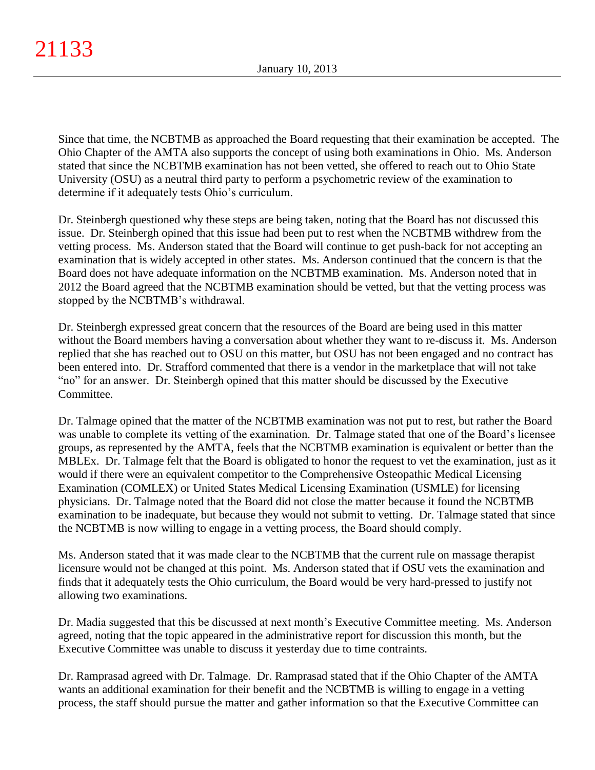Since that time, the NCBTMB as approached the Board requesting that their examination be accepted. The Ohio Chapter of the AMTA also supports the concept of using both examinations in Ohio. Ms. Anderson stated that since the NCBTMB examination has not been vetted, she offered to reach out to Ohio State University (OSU) as a neutral third party to perform a psychometric review of the examination to determine if it adequately tests Ohio's curriculum.

Dr. Steinbergh questioned why these steps are being taken, noting that the Board has not discussed this issue. Dr. Steinbergh opined that this issue had been put to rest when the NCBTMB withdrew from the vetting process. Ms. Anderson stated that the Board will continue to get push-back for not accepting an examination that is widely accepted in other states. Ms. Anderson continued that the concern is that the Board does not have adequate information on the NCBTMB examination. Ms. Anderson noted that in 2012 the Board agreed that the NCBTMB examination should be vetted, but that the vetting process was stopped by the NCBTMB's withdrawal.

Dr. Steinbergh expressed great concern that the resources of the Board are being used in this matter without the Board members having a conversation about whether they want to re-discuss it. Ms. Anderson replied that she has reached out to OSU on this matter, but OSU has not been engaged and no contract has been entered into. Dr. Strafford commented that there is a vendor in the marketplace that will not take "no" for an answer. Dr. Steinbergh opined that this matter should be discussed by the Executive Committee.

Dr. Talmage opined that the matter of the NCBTMB examination was not put to rest, but rather the Board was unable to complete its vetting of the examination. Dr. Talmage stated that one of the Board's licensee groups, as represented by the AMTA, feels that the NCBTMB examination is equivalent or better than the MBLEx. Dr. Talmage felt that the Board is obligated to honor the request to vet the examination, just as it would if there were an equivalent competitor to the Comprehensive Osteopathic Medical Licensing Examination (COMLEX) or United States Medical Licensing Examination (USMLE) for licensing physicians. Dr. Talmage noted that the Board did not close the matter because it found the NCBTMB examination to be inadequate, but because they would not submit to vetting. Dr. Talmage stated that since the NCBTMB is now willing to engage in a vetting process, the Board should comply.

Ms. Anderson stated that it was made clear to the NCBTMB that the current rule on massage therapist licensure would not be changed at this point. Ms. Anderson stated that if OSU vets the examination and finds that it adequately tests the Ohio curriculum, the Board would be very hard-pressed to justify not allowing two examinations.

Dr. Madia suggested that this be discussed at next month's Executive Committee meeting. Ms. Anderson agreed, noting that the topic appeared in the administrative report for discussion this month, but the Executive Committee was unable to discuss it yesterday due to time contraints.

Dr. Ramprasad agreed with Dr. Talmage. Dr. Ramprasad stated that if the Ohio Chapter of the AMTA wants an additional examination for their benefit and the NCBTMB is willing to engage in a vetting process, the staff should pursue the matter and gather information so that the Executive Committee can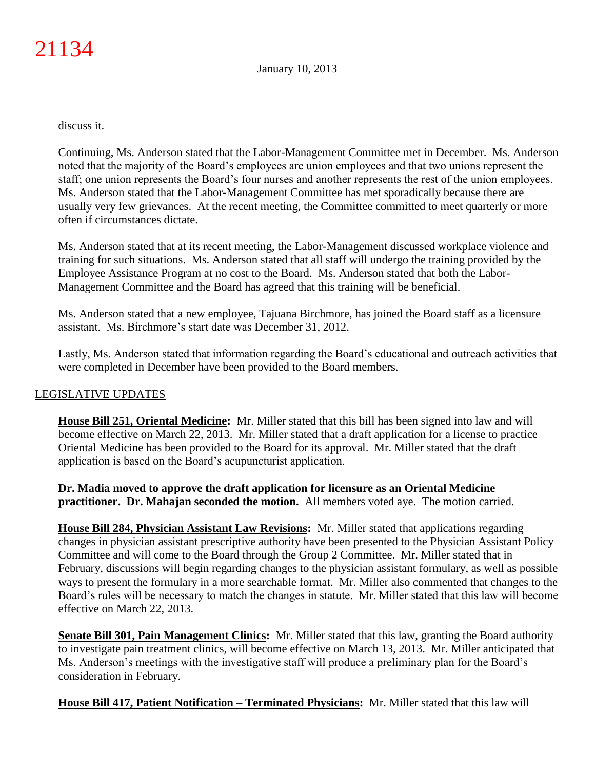discuss it.

Continuing, Ms. Anderson stated that the Labor-Management Committee met in December. Ms. Anderson noted that the majority of the Board's employees are union employees and that two unions represent the staff; one union represents the Board's four nurses and another represents the rest of the union employees. Ms. Anderson stated that the Labor-Management Committee has met sporadically because there are usually very few grievances. At the recent meeting, the Committee committed to meet quarterly or more often if circumstances dictate.

Ms. Anderson stated that at its recent meeting, the Labor-Management discussed workplace violence and training for such situations. Ms. Anderson stated that all staff will undergo the training provided by the Employee Assistance Program at no cost to the Board. Ms. Anderson stated that both the Labor-Management Committee and the Board has agreed that this training will be beneficial.

Ms. Anderson stated that a new employee, Tajuana Birchmore, has joined the Board staff as a licensure assistant. Ms. Birchmore's start date was December 31, 2012.

Lastly, Ms. Anderson stated that information regarding the Board's educational and outreach activities that were completed in December have been provided to the Board members.

## LEGISLATIVE UPDATES

**House Bill 251, Oriental Medicine:** Mr. Miller stated that this bill has been signed into law and will become effective on March 22, 2013. Mr. Miller stated that a draft application for a license to practice Oriental Medicine has been provided to the Board for its approval. Mr. Miller stated that the draft application is based on the Board's acupuncturist application.

**Dr. Madia moved to approve the draft application for licensure as an Oriental Medicine practitioner. Dr. Mahajan seconded the motion.** All members voted aye. The motion carried.

**House Bill 284, Physician Assistant Law Revisions:** Mr. Miller stated that applications regarding changes in physician assistant prescriptive authority have been presented to the Physician Assistant Policy Committee and will come to the Board through the Group 2 Committee. Mr. Miller stated that in February, discussions will begin regarding changes to the physician assistant formulary, as well as possible ways to present the formulary in a more searchable format. Mr. Miller also commented that changes to the Board's rules will be necessary to match the changes in statute. Mr. Miller stated that this law will become effective on March 22, 2013.

**Senate Bill 301, Pain Management Clinics:** Mr. Miller stated that this law, granting the Board authority to investigate pain treatment clinics, will become effective on March 13, 2013. Mr. Miller anticipated that Ms. Anderson's meetings with the investigative staff will produce a preliminary plan for the Board's consideration in February.

**House Bill 417, Patient Notification – Terminated Physicians:** Mr. Miller stated that this law will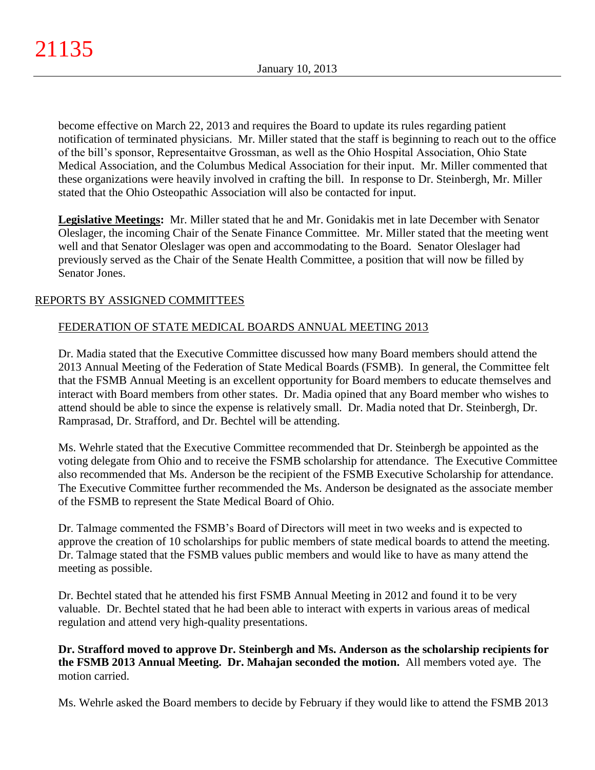become effective on March 22, 2013 and requires the Board to update its rules regarding patient notification of terminated physicians. Mr. Miller stated that the staff is beginning to reach out to the office of the bill's sponsor, Representaitve Grossman, as well as the Ohio Hospital Association, Ohio State Medical Association, and the Columbus Medical Association for their input. Mr. Miller commented that these organizations were heavily involved in crafting the bill. In response to Dr. Steinbergh, Mr. Miller stated that the Ohio Osteopathic Association will also be contacted for input.

**Legislative Meetings:** Mr. Miller stated that he and Mr. Gonidakis met in late December with Senator Oleslager, the incoming Chair of the Senate Finance Committee. Mr. Miller stated that the meeting went well and that Senator Oleslager was open and accommodating to the Board. Senator Oleslager had previously served as the Chair of the Senate Health Committee, a position that will now be filled by Senator Jones.

# REPORTS BY ASSIGNED COMMITTEES

# FEDERATION OF STATE MEDICAL BOARDS ANNUAL MEETING 2013

Dr. Madia stated that the Executive Committee discussed how many Board members should attend the 2013 Annual Meeting of the Federation of State Medical Boards (FSMB). In general, the Committee felt that the FSMB Annual Meeting is an excellent opportunity for Board members to educate themselves and interact with Board members from other states. Dr. Madia opined that any Board member who wishes to attend should be able to since the expense is relatively small. Dr. Madia noted that Dr. Steinbergh, Dr. Ramprasad, Dr. Strafford, and Dr. Bechtel will be attending.

Ms. Wehrle stated that the Executive Committee recommended that Dr. Steinbergh be appointed as the voting delegate from Ohio and to receive the FSMB scholarship for attendance. The Executive Committee also recommended that Ms. Anderson be the recipient of the FSMB Executive Scholarship for attendance. The Executive Committee further recommended the Ms. Anderson be designated as the associate member of the FSMB to represent the State Medical Board of Ohio.

Dr. Talmage commented the FSMB's Board of Directors will meet in two weeks and is expected to approve the creation of 10 scholarships for public members of state medical boards to attend the meeting. Dr. Talmage stated that the FSMB values public members and would like to have as many attend the meeting as possible.

Dr. Bechtel stated that he attended his first FSMB Annual Meeting in 2012 and found it to be very valuable. Dr. Bechtel stated that he had been able to interact with experts in various areas of medical regulation and attend very high-quality presentations.

**Dr. Strafford moved to approve Dr. Steinbergh and Ms. Anderson as the scholarship recipients for the FSMB 2013 Annual Meeting. Dr. Mahajan seconded the motion.** All members voted aye. The motion carried.

Ms. Wehrle asked the Board members to decide by February if they would like to attend the FSMB 2013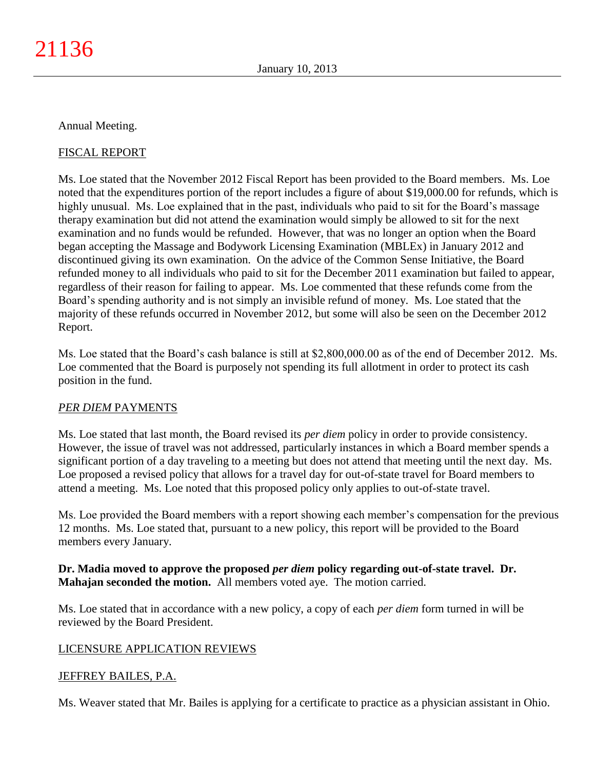### Annual Meeting.

## FISCAL REPORT

Ms. Loe stated that the November 2012 Fiscal Report has been provided to the Board members. Ms. Loe noted that the expenditures portion of the report includes a figure of about \$19,000.00 for refunds, which is highly unusual. Ms. Loe explained that in the past, individuals who paid to sit for the Board's massage therapy examination but did not attend the examination would simply be allowed to sit for the next examination and no funds would be refunded. However, that was no longer an option when the Board began accepting the Massage and Bodywork Licensing Examination (MBLEx) in January 2012 and discontinued giving its own examination. On the advice of the Common Sense Initiative, the Board refunded money to all individuals who paid to sit for the December 2011 examination but failed to appear, regardless of their reason for failing to appear. Ms. Loe commented that these refunds come from the Board's spending authority and is not simply an invisible refund of money. Ms. Loe stated that the majority of these refunds occurred in November 2012, but some will also be seen on the December 2012 Report.

Ms. Loe stated that the Board's cash balance is still at \$2,800,000.00 as of the end of December 2012. Ms. Loe commented that the Board is purposely not spending its full allotment in order to protect its cash position in the fund.

### *PER DIEM* PAYMENTS

Ms. Loe stated that last month, the Board revised its *per diem* policy in order to provide consistency. However, the issue of travel was not addressed, particularly instances in which a Board member spends a significant portion of a day traveling to a meeting but does not attend that meeting until the next day. Ms. Loe proposed a revised policy that allows for a travel day for out-of-state travel for Board members to attend a meeting. Ms. Loe noted that this proposed policy only applies to out-of-state travel.

Ms. Loe provided the Board members with a report showing each member's compensation for the previous 12 months. Ms. Loe stated that, pursuant to a new policy, this report will be provided to the Board members every January.

## **Dr. Madia moved to approve the proposed** *per diem* **policy regarding out-of-state travel. Dr. Mahajan seconded the motion.** All members voted aye. The motion carried.

Ms. Loe stated that in accordance with a new policy, a copy of each *per diem* form turned in will be reviewed by the Board President.

### LICENSURE APPLICATION REVIEWS

### JEFFREY BAILES, P.A.

Ms. Weaver stated that Mr. Bailes is applying for a certificate to practice as a physician assistant in Ohio.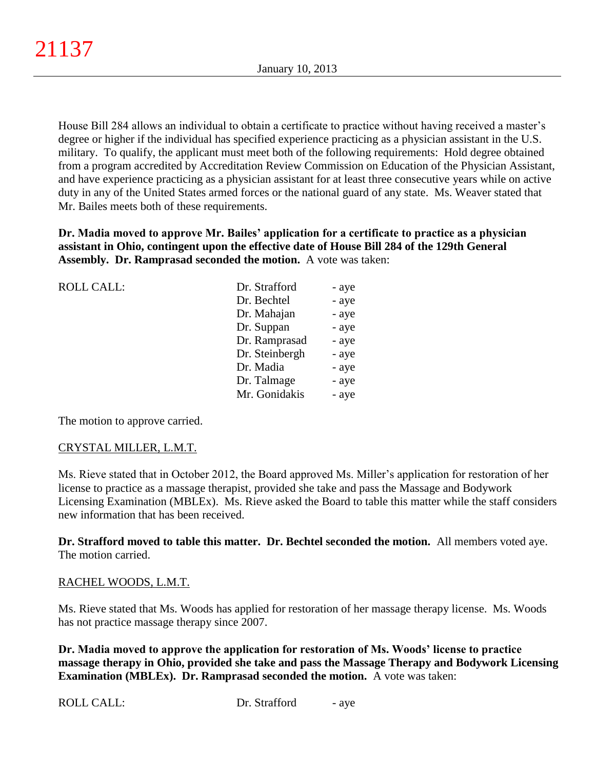House Bill 284 allows an individual to obtain a certificate to practice without having received a master's degree or higher if the individual has specified experience practicing as a physician assistant in the U.S. military. To qualify, the applicant must meet both of the following requirements: Hold degree obtained from a program accredited by Accreditation Review Commission on Education of the Physician Assistant, and have experience practicing as a physician assistant for at least three consecutive years while on active duty in any of the United States armed forces or the national guard of any state. Ms. Weaver stated that Mr. Bailes meets both of these requirements.

**Dr. Madia moved to approve Mr. Bailes' application for a certificate to practice as a physician assistant in Ohio, contingent upon the effective date of House Bill 284 of the 129th General Assembly. Dr. Ramprasad seconded the motion.** A vote was taken:

| <b>ROLL CALL:</b> | Dr. Strafford  | - aye |
|-------------------|----------------|-------|
|                   | Dr. Bechtel    | - aye |
|                   | Dr. Mahajan    | - aye |
|                   | Dr. Suppan     | - aye |
|                   | Dr. Ramprasad  | - aye |
|                   | Dr. Steinbergh | - aye |
|                   | Dr. Madia      | - aye |
|                   | Dr. Talmage    | - aye |
|                   | Mr. Gonidakis  | - aye |
|                   |                |       |

The motion to approve carried.

## CRYSTAL MILLER, L.M.T.

Ms. Rieve stated that in October 2012, the Board approved Ms. Miller's application for restoration of her license to practice as a massage therapist, provided she take and pass the Massage and Bodywork Licensing Examination (MBLEx). Ms. Rieve asked the Board to table this matter while the staff considers new information that has been received.

**Dr. Strafford moved to table this matter. Dr. Bechtel seconded the motion.** All members voted aye. The motion carried.

## RACHEL WOODS, L.M.T.

Ms. Rieve stated that Ms. Woods has applied for restoration of her massage therapy license. Ms. Woods has not practice massage therapy since 2007.

**Dr. Madia moved to approve the application for restoration of Ms. Woods' license to practice massage therapy in Ohio, provided she take and pass the Massage Therapy and Bodywork Licensing Examination (MBLEx). Dr. Ramprasad seconded the motion.** A vote was taken: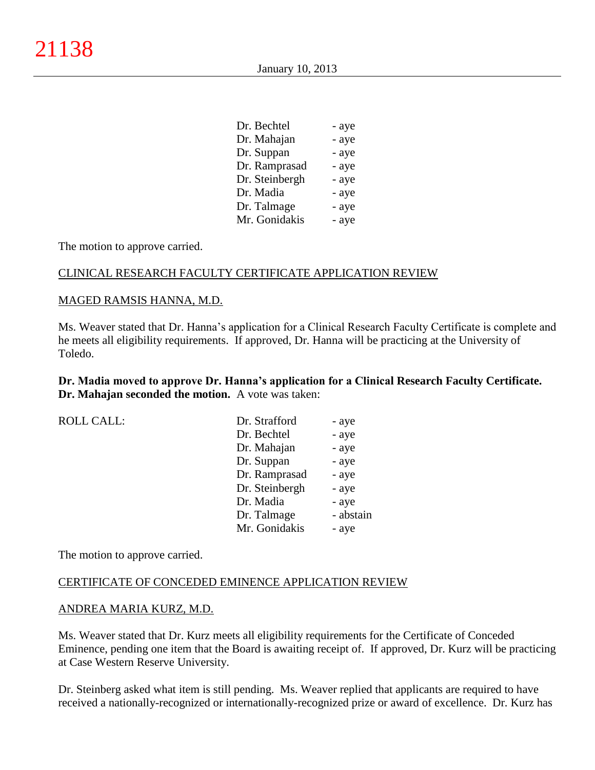January 10, 2013

| Dr. Bechtel    | - aye |
|----------------|-------|
| Dr. Mahajan    | - aye |
| Dr. Suppan     | - aye |
| Dr. Ramprasad  | - aye |
| Dr. Steinbergh | - aye |
| Dr. Madia      | - aye |
| Dr. Talmage    | - aye |
| Mr. Gonidakis  | - aye |

The motion to approve carried.

## CLINICAL RESEARCH FACULTY CERTIFICATE APPLICATION REVIEW

#### MAGED RAMSIS HANNA, M.D.

Ms. Weaver stated that Dr. Hanna's application for a Clinical Research Faculty Certificate is complete and he meets all eligibility requirements. If approved, Dr. Hanna will be practicing at the University of Toledo.

**Dr. Madia moved to approve Dr. Hanna's application for a Clinical Research Faculty Certificate. Dr. Mahajan seconded the motion.** A vote was taken:

| <b>ROLL CALL:</b> | Dr. Strafford  | - aye     |
|-------------------|----------------|-----------|
|                   | Dr. Bechtel    | - aye     |
|                   | Dr. Mahajan    | - aye     |
|                   | Dr. Suppan     | - aye     |
|                   | Dr. Ramprasad  | - aye     |
|                   | Dr. Steinbergh | - aye     |
|                   | Dr. Madia      | - aye     |
|                   | Dr. Talmage    | - abstain |
|                   | Mr. Gonidakis  | - aye     |
|                   |                |           |

The motion to approve carried.

#### CERTIFICATE OF CONCEDED EMINENCE APPLICATION REVIEW

#### ANDREA MARIA KURZ, M.D.

Ms. Weaver stated that Dr. Kurz meets all eligibility requirements for the Certificate of Conceded Eminence, pending one item that the Board is awaiting receipt of. If approved, Dr. Kurz will be practicing at Case Western Reserve University.

Dr. Steinberg asked what item is still pending. Ms. Weaver replied that applicants are required to have received a nationally-recognized or internationally-recognized prize or award of excellence. Dr. Kurz has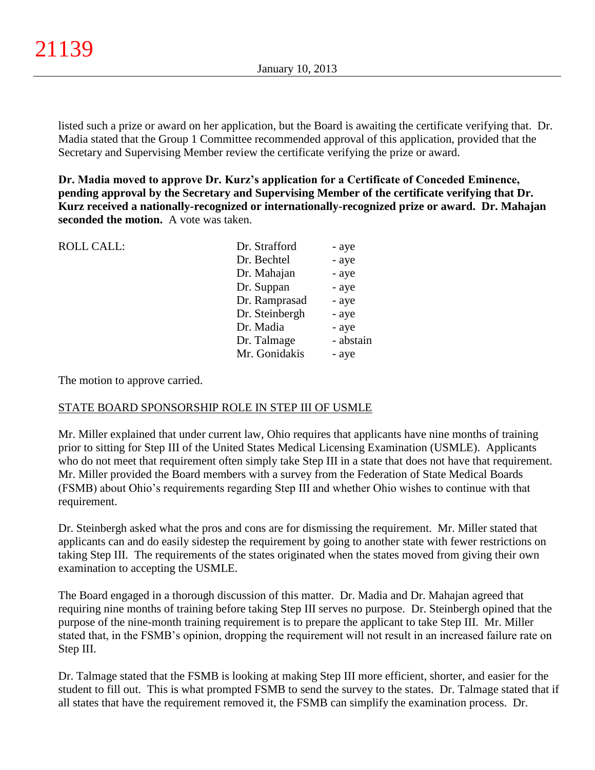listed such a prize or award on her application, but the Board is awaiting the certificate verifying that. Dr. Madia stated that the Group 1 Committee recommended approval of this application, provided that the Secretary and Supervising Member review the certificate verifying the prize or award.

**Dr. Madia moved to approve Dr. Kurz's application for a Certificate of Conceded Eminence, pending approval by the Secretary and Supervising Member of the certificate verifying that Dr. Kurz received a nationally-recognized or internationally-recognized prize or award. Dr. Mahajan seconded the motion.** A vote was taken.

| <b>ROLL CALL:</b> | Dr. Strafford  | - aye     |
|-------------------|----------------|-----------|
|                   | Dr. Bechtel    | - aye     |
|                   | Dr. Mahajan    | - aye     |
|                   | Dr. Suppan     | - aye     |
|                   | Dr. Ramprasad  | - aye     |
|                   | Dr. Steinbergh | - aye     |
|                   | Dr. Madia      | - aye     |
|                   | Dr. Talmage    | - abstain |
|                   | Mr. Gonidakis  | - aye     |
|                   |                |           |

The motion to approve carried.

### STATE BOARD SPONSORSHIP ROLE IN STEP III OF USMLE

Mr. Miller explained that under current law, Ohio requires that applicants have nine months of training prior to sitting for Step III of the United States Medical Licensing Examination (USMLE). Applicants who do not meet that requirement often simply take Step III in a state that does not have that requirement. Mr. Miller provided the Board members with a survey from the Federation of State Medical Boards (FSMB) about Ohio's requirements regarding Step III and whether Ohio wishes to continue with that requirement.

Dr. Steinbergh asked what the pros and cons are for dismissing the requirement. Mr. Miller stated that applicants can and do easily sidestep the requirement by going to another state with fewer restrictions on taking Step III. The requirements of the states originated when the states moved from giving their own examination to accepting the USMLE.

The Board engaged in a thorough discussion of this matter. Dr. Madia and Dr. Mahajan agreed that requiring nine months of training before taking Step III serves no purpose. Dr. Steinbergh opined that the purpose of the nine-month training requirement is to prepare the applicant to take Step III. Mr. Miller stated that, in the FSMB's opinion, dropping the requirement will not result in an increased failure rate on Step III.

Dr. Talmage stated that the FSMB is looking at making Step III more efficient, shorter, and easier for the student to fill out. This is what prompted FSMB to send the survey to the states. Dr. Talmage stated that if all states that have the requirement removed it, the FSMB can simplify the examination process. Dr.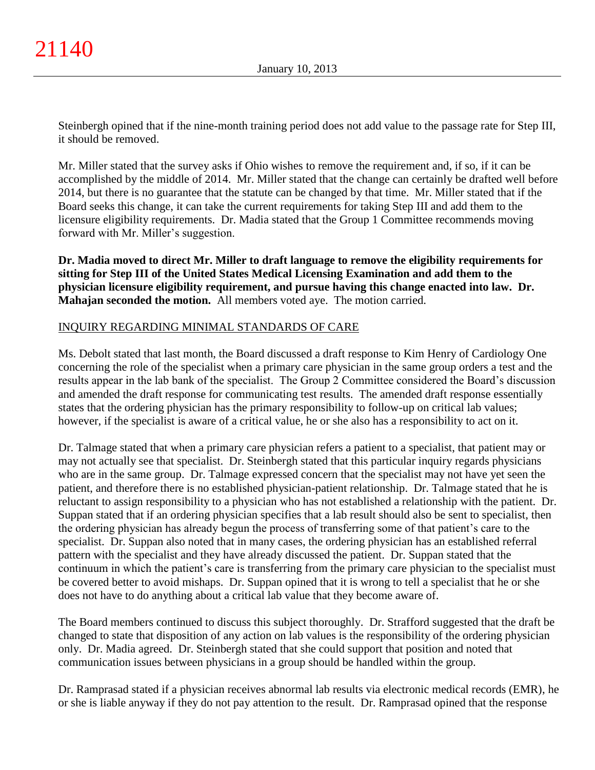Steinbergh opined that if the nine-month training period does not add value to the passage rate for Step III, it should be removed.

Mr. Miller stated that the survey asks if Ohio wishes to remove the requirement and, if so, if it can be accomplished by the middle of 2014. Mr. Miller stated that the change can certainly be drafted well before 2014, but there is no guarantee that the statute can be changed by that time. Mr. Miller stated that if the Board seeks this change, it can take the current requirements for taking Step III and add them to the licensure eligibility requirements. Dr. Madia stated that the Group 1 Committee recommends moving forward with Mr. Miller's suggestion.

**Dr. Madia moved to direct Mr. Miller to draft language to remove the eligibility requirements for sitting for Step III of the United States Medical Licensing Examination and add them to the physician licensure eligibility requirement, and pursue having this change enacted into law. Dr. Mahajan seconded the motion.** All members voted aye. The motion carried.

## INQUIRY REGARDING MINIMAL STANDARDS OF CARE

Ms. Debolt stated that last month, the Board discussed a draft response to Kim Henry of Cardiology One concerning the role of the specialist when a primary care physician in the same group orders a test and the results appear in the lab bank of the specialist. The Group 2 Committee considered the Board's discussion and amended the draft response for communicating test results. The amended draft response essentially states that the ordering physician has the primary responsibility to follow-up on critical lab values; however, if the specialist is aware of a critical value, he or she also has a responsibility to act on it.

Dr. Talmage stated that when a primary care physician refers a patient to a specialist, that patient may or may not actually see that specialist. Dr. Steinbergh stated that this particular inquiry regards physicians who are in the same group. Dr. Talmage expressed concern that the specialist may not have yet seen the patient, and therefore there is no established physician-patient relationship. Dr. Talmage stated that he is reluctant to assign responsibility to a physician who has not established a relationship with the patient. Dr. Suppan stated that if an ordering physician specifies that a lab result should also be sent to specialist, then the ordering physician has already begun the process of transferring some of that patient's care to the specialist. Dr. Suppan also noted that in many cases, the ordering physician has an established referral pattern with the specialist and they have already discussed the patient. Dr. Suppan stated that the continuum in which the patient's care is transferring from the primary care physician to the specialist must be covered better to avoid mishaps. Dr. Suppan opined that it is wrong to tell a specialist that he or she does not have to do anything about a critical lab value that they become aware of.

The Board members continued to discuss this subject thoroughly. Dr. Strafford suggested that the draft be changed to state that disposition of any action on lab values is the responsibility of the ordering physician only. Dr. Madia agreed. Dr. Steinbergh stated that she could support that position and noted that communication issues between physicians in a group should be handled within the group.

Dr. Ramprasad stated if a physician receives abnormal lab results via electronic medical records (EMR), he or she is liable anyway if they do not pay attention to the result. Dr. Ramprasad opined that the response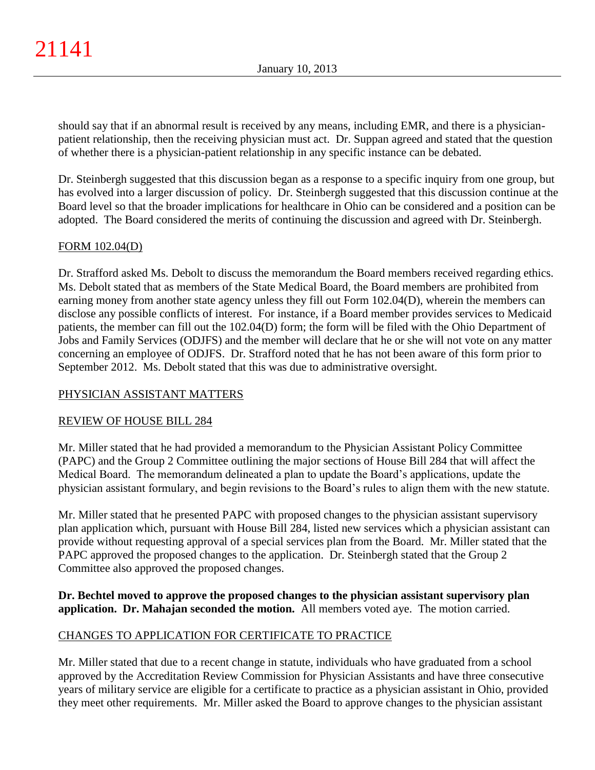should say that if an abnormal result is received by any means, including EMR, and there is a physicianpatient relationship, then the receiving physician must act. Dr. Suppan agreed and stated that the question of whether there is a physician-patient relationship in any specific instance can be debated.

Dr. Steinbergh suggested that this discussion began as a response to a specific inquiry from one group, but has evolved into a larger discussion of policy. Dr. Steinbergh suggested that this discussion continue at the Board level so that the broader implications for healthcare in Ohio can be considered and a position can be adopted. The Board considered the merits of continuing the discussion and agreed with Dr. Steinbergh.

# FORM 102.04(D)

Dr. Strafford asked Ms. Debolt to discuss the memorandum the Board members received regarding ethics. Ms. Debolt stated that as members of the State Medical Board, the Board members are prohibited from earning money from another state agency unless they fill out Form 102.04(D), wherein the members can disclose any possible conflicts of interest. For instance, if a Board member provides services to Medicaid patients, the member can fill out the 102.04(D) form; the form will be filed with the Ohio Department of Jobs and Family Services (ODJFS) and the member will declare that he or she will not vote on any matter concerning an employee of ODJFS. Dr. Strafford noted that he has not been aware of this form prior to September 2012. Ms. Debolt stated that this was due to administrative oversight.

# PHYSICIAN ASSISTANT MATTERS

## REVIEW OF HOUSE BILL 284

Mr. Miller stated that he had provided a memorandum to the Physician Assistant Policy Committee (PAPC) and the Group 2 Committee outlining the major sections of House Bill 284 that will affect the Medical Board. The memorandum delineated a plan to update the Board's applications, update the physician assistant formulary, and begin revisions to the Board's rules to align them with the new statute.

Mr. Miller stated that he presented PAPC with proposed changes to the physician assistant supervisory plan application which, pursuant with House Bill 284, listed new services which a physician assistant can provide without requesting approval of a special services plan from the Board. Mr. Miller stated that the PAPC approved the proposed changes to the application. Dr. Steinbergh stated that the Group 2 Committee also approved the proposed changes.

**Dr. Bechtel moved to approve the proposed changes to the physician assistant supervisory plan application. Dr. Mahajan seconded the motion.** All members voted aye. The motion carried.

# CHANGES TO APPLICATION FOR CERTIFICATE TO PRACTICE

Mr. Miller stated that due to a recent change in statute, individuals who have graduated from a school approved by the Accreditation Review Commission for Physician Assistants and have three consecutive years of military service are eligible for a certificate to practice as a physician assistant in Ohio, provided they meet other requirements. Mr. Miller asked the Board to approve changes to the physician assistant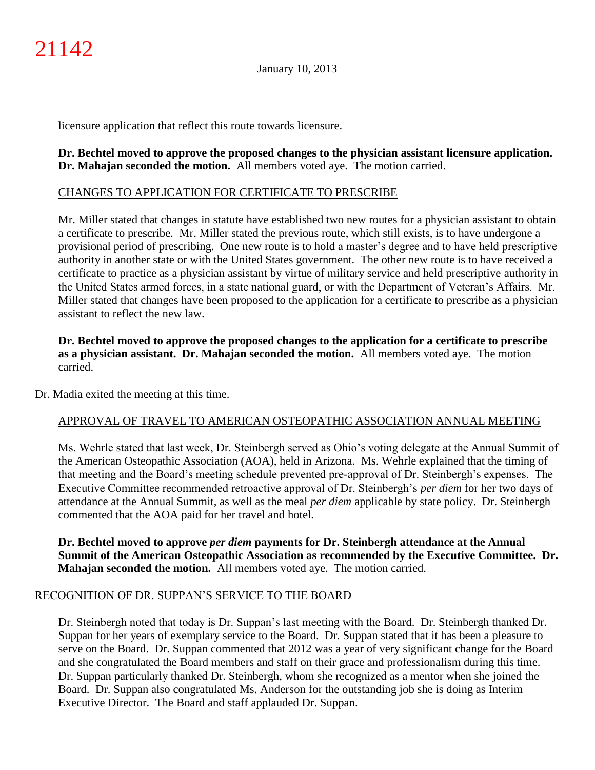licensure application that reflect this route towards licensure.

**Dr. Bechtel moved to approve the proposed changes to the physician assistant licensure application. Dr. Mahajan seconded the motion.** All members voted aye. The motion carried.

### CHANGES TO APPLICATION FOR CERTIFICATE TO PRESCRIBE

Mr. Miller stated that changes in statute have established two new routes for a physician assistant to obtain a certificate to prescribe. Mr. Miller stated the previous route, which still exists, is to have undergone a provisional period of prescribing. One new route is to hold a master's degree and to have held prescriptive authority in another state or with the United States government. The other new route is to have received a certificate to practice as a physician assistant by virtue of military service and held prescriptive authority in the United States armed forces, in a state national guard, or with the Department of Veteran's Affairs. Mr. Miller stated that changes have been proposed to the application for a certificate to prescribe as a physician assistant to reflect the new law.

**Dr. Bechtel moved to approve the proposed changes to the application for a certificate to prescribe as a physician assistant. Dr. Mahajan seconded the motion.** All members voted aye. The motion carried.

Dr. Madia exited the meeting at this time.

## APPROVAL OF TRAVEL TO AMERICAN OSTEOPATHIC ASSOCIATION ANNUAL MEETING

Ms. Wehrle stated that last week, Dr. Steinbergh served as Ohio's voting delegate at the Annual Summit of the American Osteopathic Association (AOA), held in Arizona. Ms. Wehrle explained that the timing of that meeting and the Board's meeting schedule prevented pre-approval of Dr. Steinbergh's expenses. The Executive Committee recommended retroactive approval of Dr. Steinbergh's *per diem* for her two days of attendance at the Annual Summit, as well as the meal *per diem* applicable by state policy. Dr. Steinbergh commented that the AOA paid for her travel and hotel.

**Dr. Bechtel moved to approve** *per diem* **payments for Dr. Steinbergh attendance at the Annual Summit of the American Osteopathic Association as recommended by the Executive Committee. Dr. Mahajan seconded the motion.** All members voted aye. The motion carried.

### RECOGNITION OF DR. SUPPAN'S SERVICE TO THE BOARD

Dr. Steinbergh noted that today is Dr. Suppan's last meeting with the Board. Dr. Steinbergh thanked Dr. Suppan for her years of exemplary service to the Board. Dr. Suppan stated that it has been a pleasure to serve on the Board. Dr. Suppan commented that 2012 was a year of very significant change for the Board and she congratulated the Board members and staff on their grace and professionalism during this time. Dr. Suppan particularly thanked Dr. Steinbergh, whom she recognized as a mentor when she joined the Board. Dr. Suppan also congratulated Ms. Anderson for the outstanding job she is doing as Interim Executive Director. The Board and staff applauded Dr. Suppan.